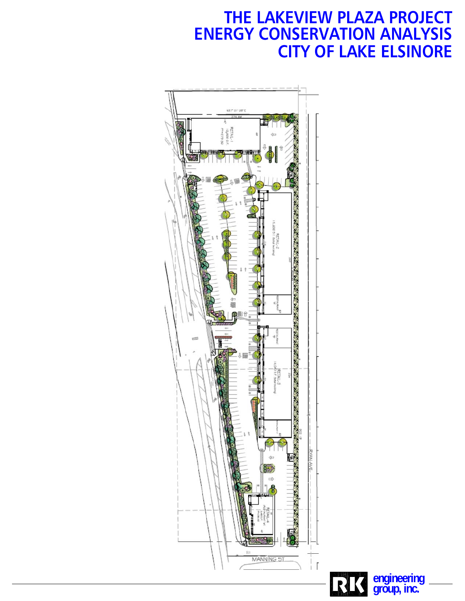# **ENERGY CONSERVATION ANALYSIS THE LAKEVIEW PLAZA PROJECT CITY OF LAKE ELSINORE**



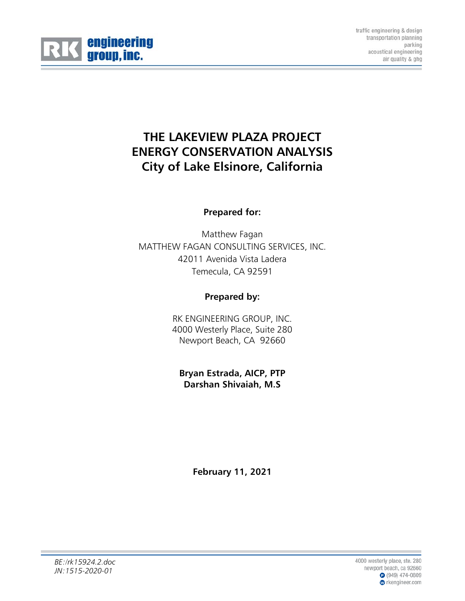

traffic engineering & design transportation planning parking acoustical engineering air quality & ghg

# **THE LAKEVIEW PLAZA PROJECT ENERGY CONSERVATION ANALYSIS City of Lake Elsinore, California**

# **Prepared for:**

Matthew Fagan MATTHEW FAGAN CONSULTING SERVICES, INC. 42011 Avenida Vista Ladera Temecula, CA 92591

# **Prepared by:**

RK ENGINEERING GROUP, INC. 4000 Westerly Place, Suite 280 Newport Beach, CA 92660

**Bryan Estrada, AICP, PTP Darshan Shivaiah, M.S** 

**February 11, 2021**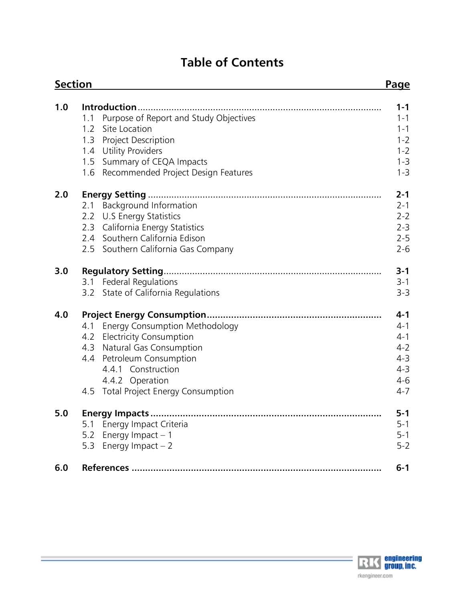# **Table of Contents**

| <b>Section</b> |                                                                                                                                                                                                                                        | <b>Page</b>                                                                          |
|----------------|----------------------------------------------------------------------------------------------------------------------------------------------------------------------------------------------------------------------------------------|--------------------------------------------------------------------------------------|
| 1.0            | Introduction<br>Purpose of Report and Study Objectives<br>1.1<br>Site Location<br>1.2<br>Project Description<br>1.3<br><b>Utility Providers</b><br>1.4<br>Summary of CEQA Impacts<br>1.5<br>Recommended Project Design Features<br>1.6 | $1 - 1$<br>1-1<br>$1 - 1$<br>$1 - 2$<br>$1 - 2$<br>$1 - 3$<br>$1 - 3$                |
| 2.0            | Background Information<br>2.1<br>2.2<br>U.S Energy Statistics<br>California Energy Statistics<br>2.3<br>2.4 Southern California Edison<br>2.5 Southern California Gas Company                                                          | $2 - 1$<br>$2 - 1$<br>$2 - 2$<br>$2 - 3$<br>$2 - 5$<br>$2 - 6$                       |
| 3.0            | 3.1 Federal Regulations<br>3.2 State of California Regulations                                                                                                                                                                         | $3 - 1$<br>$3 - 1$<br>$3 - 3$                                                        |
| 4.0            | 4.1 Energy Consumption Methodology<br><b>Electricity Consumption</b><br>4.2<br><b>Natural Gas Consumption</b><br>4.3<br>4.4 Petroleum Consumption<br>4.4.1 Construction<br>4.4.2 Operation<br>4.5 Total Project Energy Consumption     | $4 - 1$<br>$4 - 1$<br>$4 - 1$<br>$4 - 2$<br>$4 - 3$<br>$4 - 3$<br>$4 - 6$<br>$4 - 7$ |
| 5.0            | 5.1 Energy Impact Criteria<br>Energy Impact $-1$<br>5.2<br>Energy Impact $-2$<br>5.3                                                                                                                                                   | $5 - 1$<br>$5 - 1$<br>$5 - 1$<br>$5 - 2$                                             |
| 6.0            |                                                                                                                                                                                                                                        | $6 - 1$                                                                              |

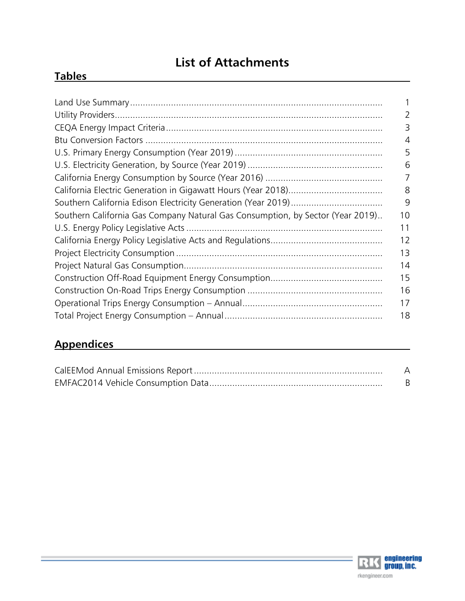# **List of Attachments**

# **Tables**

|                                                                                | 2  |
|--------------------------------------------------------------------------------|----|
|                                                                                | 3  |
|                                                                                | 4  |
|                                                                                | 5  |
|                                                                                | 6  |
|                                                                                | 7  |
|                                                                                | 8  |
|                                                                                | 9  |
| Southern California Gas Company Natural Gas Consumption, by Sector (Year 2019) | 10 |
|                                                                                | 11 |
|                                                                                | 12 |
|                                                                                | 13 |
|                                                                                | 14 |
|                                                                                | 15 |
|                                                                                | 16 |
|                                                                                | 17 |
|                                                                                | 18 |

# **Appendices**

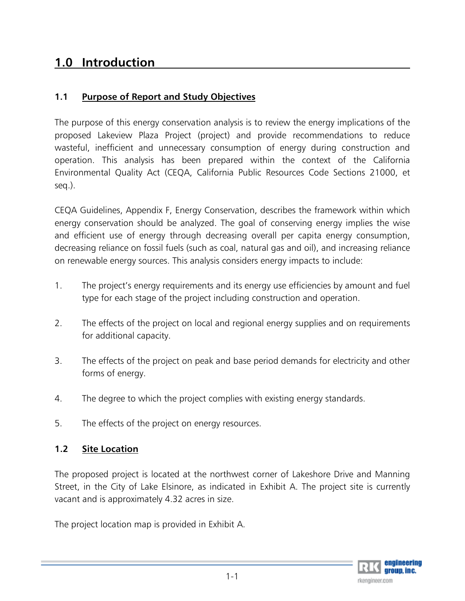# **1.0 Introduction**

# **1.1 Purpose of Report and Study Objectives**

The purpose of this energy conservation analysis is to review the energy implications of the proposed Lakeview Plaza Project (project) and provide recommendations to reduce wasteful, inefficient and unnecessary consumption of energy during construction and operation. This analysis has been prepared within the context of the California Environmental Quality Act (CEQA, California Public Resources Code Sections 21000, et seq.).

CEQA Guidelines, Appendix F, Energy Conservation, describes the framework within which energy conservation should be analyzed. The goal of conserving energy implies the wise and efficient use of energy through decreasing overall per capita energy consumption, decreasing reliance on fossil fuels (such as coal, natural gas and oil), and increasing reliance on renewable energy sources. This analysis considers energy impacts to include:

- 1. The project's energy requirements and its energy use efficiencies by amount and fuel type for each stage of the project including construction and operation.
- 2. The effects of the project on local and regional energy supplies and on requirements for additional capacity.
- 3. The effects of the project on peak and base period demands for electricity and other forms of energy.
- 4. The degree to which the project complies with existing energy standards.
- 5. The effects of the project on energy resources.

# **1.2 Site Location**

The proposed project is located at the northwest corner of Lakeshore Drive and Manning Street, in the City of Lake Elsinore, as indicated in Exhibit A. The project site is currently vacant and is approximately 4.32 acres in size.

The project location map is provided in Exhibit A.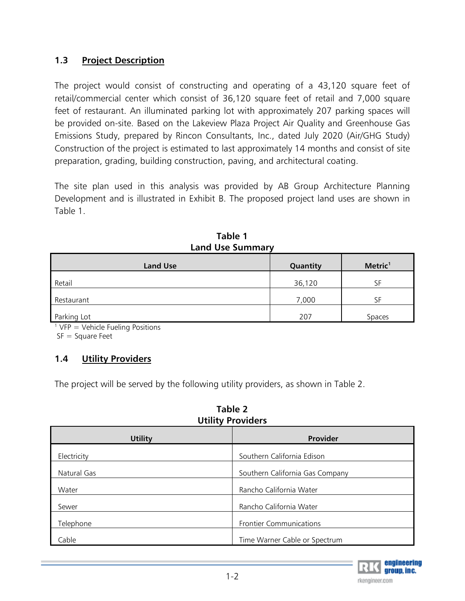# **1.3 Project Description**

The project would consist of constructing and operating of a 43,120 square feet of retail/commercial center which consist of 36,120 square feet of retail and 7,000 square feet of restaurant. An illuminated parking lot with approximately 207 parking spaces will be provided on-site. Based on the Lakeview Plaza Project Air Quality and Greenhouse Gas Emissions Study, prepared by Rincon Consultants, Inc., dated July 2020 (Air/GHG Study) Construction of the project is estimated to last approximately 14 months and consist of site preparation, grading, building construction, paving, and architectural coating.

The site plan used in this analysis was provided by AB Group Architecture Planning Development and is illustrated in Exhibit B. The proposed project land uses are shown in Table 1.

| <b>Land Use</b> | Quantity | Metric <sup>1</sup> |
|-----------------|----------|---------------------|
| Retail          | 36,120   | SF                  |
| Restaurant      | 7,000    | SF                  |
| Parking Lot     | 207      | Spaces              |

**Table 1 Land Use Summary** 

 $1$  VFP = Vehicle Fueling Positions

 $SF = Square$  Feet

# **1.4 Utility Providers**

The project will be served by the following utility providers, as shown in Table 2.

| Table 2                  |  |  |  |
|--------------------------|--|--|--|
| <b>Utility Providers</b> |  |  |  |

| <b>Utility</b> | Provider                        |
|----------------|---------------------------------|
| Electricity    | Southern California Edison      |
| Natural Gas    | Southern California Gas Company |
| Water          | Rancho California Water         |
| Sewer          | Rancho California Water         |
| Telephone      | <b>Frontier Communications</b>  |
| Cable          | Time Warner Cable or Spectrum   |

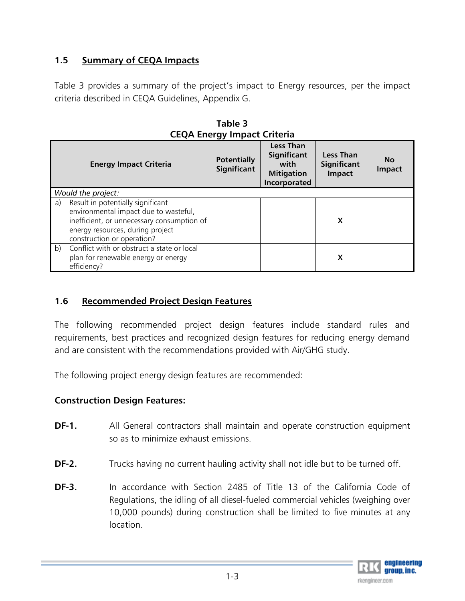# **1.5 Summary of CEQA Impacts**

Table 3 provides a summary of the project's impact to Energy resources, per the impact criteria described in CEQA Guidelines, Appendix G.

|                               | CLQA LIICIYY IIIIpact Chichia                                                                                                                                                              |                                          |                                                                                     |                                                  |                            |  |
|-------------------------------|--------------------------------------------------------------------------------------------------------------------------------------------------------------------------------------------|------------------------------------------|-------------------------------------------------------------------------------------|--------------------------------------------------|----------------------------|--|
| <b>Energy Impact Criteria</b> |                                                                                                                                                                                            | <b>Potentially</b><br><b>Significant</b> | <b>Less Than</b><br><b>Significant</b><br>with<br><b>Mitigation</b><br>Incorporated | <b>Less Than</b><br><b>Significant</b><br>Impact | <b>No</b><br><b>Impact</b> |  |
|                               | Would the project:                                                                                                                                                                         |                                          |                                                                                     |                                                  |                            |  |
| a)                            | Result in potentially significant<br>environmental impact due to wasteful,<br>inefficient, or unnecessary consumption of<br>energy resources, during project<br>construction or operation? |                                          |                                                                                     | X                                                |                            |  |
| b)                            | Conflict with or obstruct a state or local<br>plan for renewable energy or energy<br>efficiency?                                                                                           |                                          |                                                                                     | X                                                |                            |  |

**Table 3 CEQA Energy Impact Criteria**

# **1.6 Recommended Project Design Features**

The following recommended project design features include standard rules and requirements, best practices and recognized design features for reducing energy demand and are consistent with the recommendations provided with Air/GHG study.

The following project energy design features are recommended:

# **Construction Design Features:**

- **DF-1.** All General contractors shall maintain and operate construction equipment so as to minimize exhaust emissions.
- **DF-2.** Trucks having no current hauling activity shall not idle but to be turned off.
- **DF-3.** In accordance with Section 2485 of Title 13 of the California Code of Regulations, the idling of all diesel-fueled commercial vehicles (weighing over 10,000 pounds) during construction shall be limited to five minutes at any location.

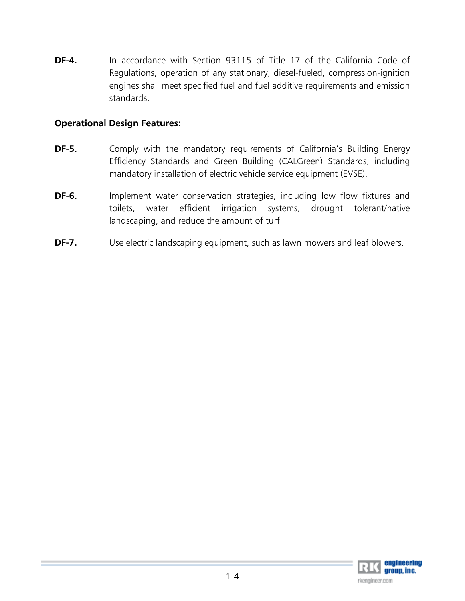**DF-4.** In accordance with Section 93115 of Title 17 of the California Code of Regulations, operation of any stationary, diesel-fueled, compression-ignition engines shall meet specified fuel and fuel additive requirements and emission standards.

# **Operational Design Features:**

- **DF-5.** Comply with the mandatory requirements of California's Building Energy Efficiency Standards and Green Building (CALGreen) Standards, including mandatory installation of electric vehicle service equipment (EVSE).
- **DF-6.** Implement water conservation strategies, including low flow fixtures and toilets, water efficient irrigation systems, drought tolerant/native landscaping, and reduce the amount of turf.
- **DF-7.** Use electric landscaping equipment, such as lawn mowers and leaf blowers.

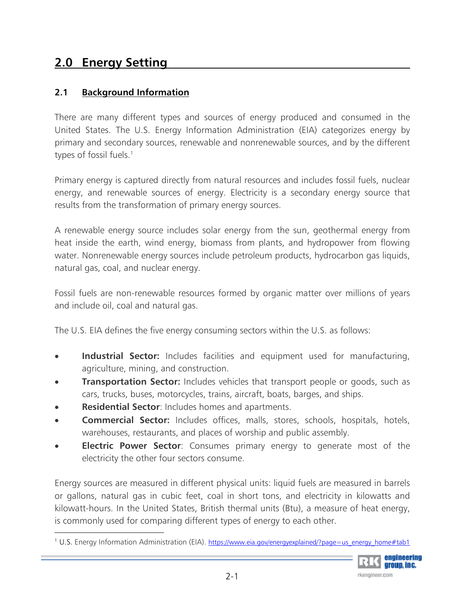# **2.0 Energy Setting**

# **2.1 Background Information**

There are many different types and sources of energy produced and consumed in the United States. The U.S. Energy Information Administration (EIA) categorizes energy by primary and secondary sources, renewable and nonrenewable sources, and by the different types of fossil fuels.<sup>1</sup>

Primary energy is captured directly from natural resources and includes fossil fuels, nuclear energy, and renewable sources of energy. Electricity is a secondary energy source that results from the transformation of primary energy sources.

A renewable energy source includes solar energy from the sun, geothermal energy from heat inside the earth, wind energy, biomass from plants, and hydropower from flowing water. Nonrenewable energy sources include petroleum products, hydrocarbon gas liquids, natural gas, coal, and nuclear energy.

Fossil fuels are non-renewable resources formed by organic matter over millions of years and include oil, coal and natural gas.

The U.S. EIA defines the five energy consuming sectors within the U.S. as follows:

- **Industrial Sector:** Includes facilities and equipment used for manufacturing, agriculture, mining, and construction.
- **Transportation Sector:** Includes vehicles that transport people or goods, such as cars, trucks, buses, motorcycles, trains, aircraft, boats, barges, and ships.
- **Residential Sector**: Includes homes and apartments.
- **Commercial Sector:** Includes offices, malls, stores, schools, hospitals, hotels, warehouses, restaurants, and places of worship and public assembly.
- **Electric Power Sector**: Consumes primary energy to generate most of the electricity the other four sectors consume.

Energy sources are measured in different physical units: liquid fuels are measured in barrels or gallons, natural gas in cubic feet, coal in short tons, and electricity in kilowatts and kilowatt-hours. In the United States, British thermal units (Btu), a measure of heat energy, is commonly used for comparing different types of energy to each other.

<sup>&</sup>lt;sup>1</sup> U.S. Energy Information Administration (EIA). https://www.eia.gov/energyexplained/?page=us\_energy\_home#tab1

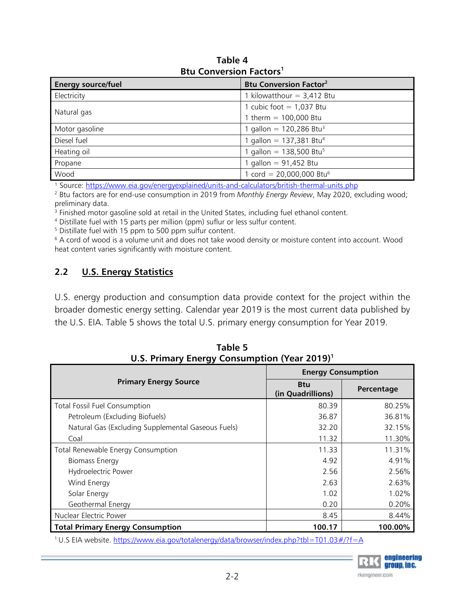| <b>Energy source/fuel</b> | <b>Btu Conversion Factor<sup>2</sup></b> |  |  |
|---------------------------|------------------------------------------|--|--|
| Electricity               | kilowatthour $=$ 3,412 Btu               |  |  |
| Natural gas               | 1 cubic foot $= 1,037$ Btu               |  |  |
|                           | I therm = $100,000$ Btu                  |  |  |
| Motor gasoline            | 1 gallon = 120,286 Btu <sup>3</sup>      |  |  |
| Diesel fuel               | gallon = $137,381$ Btu <sup>4</sup>      |  |  |
| Heating oil               | gallon = $138,500$ Btu <sup>5</sup>      |  |  |
| Propane                   | gallon = $91,452$ Btu                    |  |  |
| Wood                      | cord = $20,000,000$ Btu <sup>6</sup>     |  |  |

**Table 4 Btu Conversion Factors1**

<sup>1</sup> Source: https://www.eia.gov/energyexplained/units-and-calculators/british-thermal-units.php

 Btu factors are for end-use consumption in 2019 from *Monthly Energy Review*, May 2020, excluding wood; preliminary data.

 $^3$  Finished motor gasoline sold at retail in the United States, including fuel ethanol content.<br>4 Distillate fuel with 15 parts per million (ppm) suflur or less sulfur content.

Distillate fuel with 15 parts per million (ppm) suflur or less sulfur content.

<sup>5</sup> Distillate fuel with 15 ppm to 500 ppm sulfur content.

6 A cord of wood is a volume unit and does not take wood density or moisture content into account. Wood heat content varies significantly with moisture content.

# **2.2 U.S. Energy Statistics**

U.S. energy production and consumption data provide context for the project within the broader domestic energy setting. Calendar year 2019 is the most current data published by the U.S. EIA. Table 5 shows the total U.S. primary energy consumption for Year 2019.

|                                                              | <b>Energy Consumption</b>       |            |  |  |
|--------------------------------------------------------------|---------------------------------|------------|--|--|
| <b>Primary Energy Source</b>                                 | <b>Btu</b><br>(in Quadrillions) | Percentage |  |  |
| <b>Total Fossil Fuel Consumption</b>                         | 80.39                           | 80.25%     |  |  |
| Petroleum (Excluding Biofuels)                               | 36.87                           | 36.81%     |  |  |
| Natural Gas (Excluding Supplemental Gaseous Fuels)           | 32.20                           | 32.15%     |  |  |
| Coal                                                         | 11.32                           | 11.30%     |  |  |
| Total Renewable Energy Consumption                           | 11.33                           | 11.31%     |  |  |
| <b>Biomass Energy</b>                                        | 4.92                            | 4.91%      |  |  |
| Hydroelectric Power                                          | 2.56                            | 2.56%      |  |  |
| Wind Energy                                                  | 2.63                            | 2.63%      |  |  |
| Solar Energy                                                 | 1.02                            | 1.02%      |  |  |
| Geothermal Energy                                            | 0.20                            | 0.20%      |  |  |
| Nuclear Electric Power                                       | 8.45                            | 8.44%      |  |  |
| 100.17<br><b>Total Primary Energy Consumption</b><br>100.00% |                                 |            |  |  |

**Table 5 U.S. Primary Energy Consumption (Year 2019)1**

<sup>1</sup> U.S EIA website. https://www.eia.gov/totalenergy/data/browser/index.php?tbl=T01.03#/?f=A

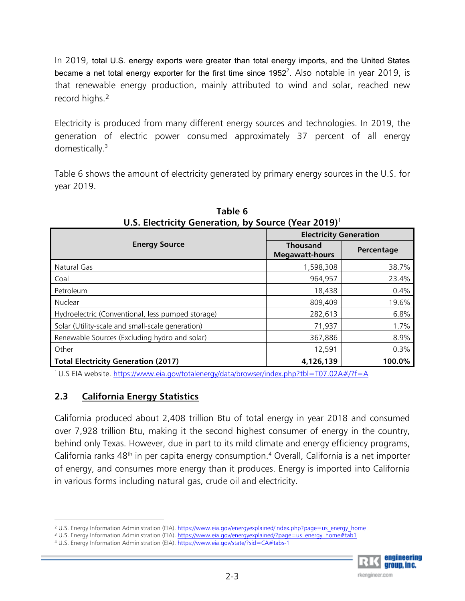In 2019, total U.S. energy exports were greater than total energy imports, and the United States became a net total energy exporter for the first time since 1952 $^2$ . Also notable in year 2019, is that renewable energy production, mainly attributed to wind and solar, reached new record highs.<sup>2</sup>

Electricity is produced from many different energy sources and technologies. In 2019, the generation of electric power consumed approximately 37 percent of all energy domestically.3

Table 6 shows the amount of electricity generated by primary energy sources in the U.S. for year 2019.

|                                                   | <b>Electricity Generation</b>            |            |  |
|---------------------------------------------------|------------------------------------------|------------|--|
| <b>Energy Source</b>                              | <b>Thousand</b><br><b>Megawatt-hours</b> | Percentage |  |
| Natural Gas                                       | 1,598,308                                | 38.7%      |  |
| Coal                                              | 964,957                                  | 23.4%      |  |
| Petroleum                                         | 18,438                                   | 0.4%       |  |
| Nuclear                                           | 809,409                                  | 19.6%      |  |
| Hydroelectric (Conventional, less pumped storage) | 282,613                                  | 6.8%       |  |
| Solar (Utility-scale and small-scale generation)  | 71,937                                   | 1.7%       |  |
| Renewable Sources (Excluding hydro and solar)     | 367,886                                  | 8.9%       |  |
| Other                                             | 12,591                                   | 0.3%       |  |
| Total Electricity Generation (2017)               | 4,126,139                                | 100.0%     |  |

**Table 6 U.S. Electricity Generation, by Source (Year 2019)**<sup>1</sup>

1 U.S EIA website. https://www.eia.gov/totalenergy/data/browser/index.php?tbl=T07.02A#/?f=A

# **2.3 California Energy Statistics**

California produced about 2,408 trillion Btu of total energy in year 2018 and consumed over 7,928 trillion Btu, making it the second highest consumer of energy in the country, behind only Texas. However, due in part to its mild climate and energy efficiency programs, California ranks  $48<sup>th</sup>$  in per capita energy consumption.<sup>4</sup> Overall, California is a net importer of energy, and consumes more energy than it produces. Energy is imported into California in various forms including natural gas, crude oil and electricity.



<sup>&</sup>lt;sup>2</sup> U.S. Energy Information Administration (EIA). https://www.eia.gov/energyexplained/index.php?page=us\_energy\_home

<sup>3</sup> U.S. Energy Information Administration (EIA). https://www.eia.gov/energyexplained/?page=us\_energy\_home#tab1

<sup>&</sup>lt;sup>4</sup> U.S. Energy Information Administration (EIA). https://www.eia.gov/state/?sid=CA#tabs-1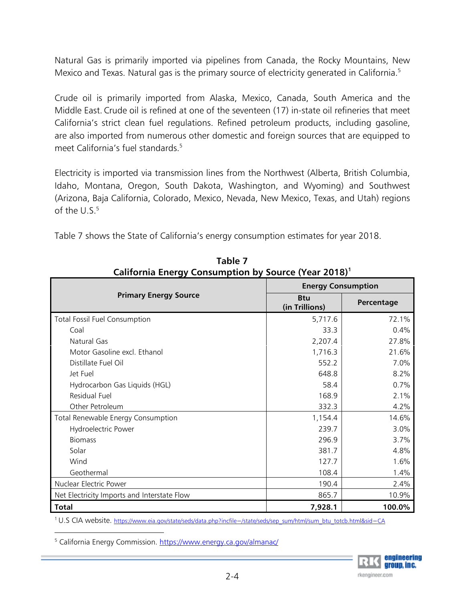Natural Gas is primarily imported via pipelines from Canada, the Rocky Mountains, New Mexico and Texas. Natural gas is the primary source of electricity generated in California.<sup>5</sup>

Crude oil is primarily imported from Alaska, Mexico, Canada, South America and the Middle East. Crude oil is refined at one of the seventeen (17) in-state oil refineries that meet California's strict clean fuel regulations. Refined petroleum products, including gasoline, are also imported from numerous other domestic and foreign sources that are equipped to meet California's fuel standards.<sup>5</sup>

Electricity is imported via transmission lines from the Northwest (Alberta, British Columbia, Idaho, Montana, Oregon, South Dakota, Washington, and Wyoming) and Southwest (Arizona, Baja California, Colorado, Mexico, Nevada, New Mexico, Texas, and Utah) regions of the  $U.S.<sup>5</sup>$ 

> **Table 7 California Energy Consumption by Source (Year 2018)1**

| California Lifergy Consumption by Source (Tear 2010) |                              |            |  |  |
|------------------------------------------------------|------------------------------|------------|--|--|
|                                                      | <b>Energy Consumption</b>    |            |  |  |
| <b>Primary Energy Source</b>                         | <b>Btu</b><br>(in Trillions) | Percentage |  |  |
| Total Fossil Fuel Consumption                        | 5,717.6                      | 72.1%      |  |  |
| Coal                                                 | 33.3                         | 0.4%       |  |  |
| Natural Gas                                          | 2,207.4                      | 27.8%      |  |  |
| Motor Gasoline excl. Ethanol                         | 1,716.3                      | 21.6%      |  |  |
| Distillate Fuel Oil                                  | 552.2                        | 7.0%       |  |  |
| Jet Fuel                                             | 648.8                        | 8.2%       |  |  |
| Hydrocarbon Gas Liquids (HGL)                        | 58.4                         | 0.7%       |  |  |
| Residual Fuel                                        | 168.9                        | 2.1%       |  |  |
| Other Petroleum                                      | 332.3                        | 4.2%       |  |  |
| Total Renewable Energy Consumption                   | 1,154.4                      | 14.6%      |  |  |
| Hydroelectric Power                                  | 239.7                        | 3.0%       |  |  |
| <b>Biomass</b>                                       | 296.9                        | 3.7%       |  |  |
| Solar                                                | 381.7                        | 4.8%       |  |  |
| Wind                                                 | 127.7                        | 1.6%       |  |  |
| Geothermal                                           | 108.4                        | 1.4%       |  |  |
| Nuclear Electric Power                               | 190.4                        | 2.4%       |  |  |
| Net Electricity Imports and Interstate Flow          | 865.7                        | 10.9%      |  |  |
| <b>Total</b>                                         | 7,928.1                      | 100.0%     |  |  |

Table 7 shows the State of California's energy consumption estimates for year 2018.

1 U.S CIA website. https://www.eia.gov/state/seds/data.php?incfile=/state/seds/sep\_sum/html/sum\_btu\_totcb.html&sid=CA

<sup>5</sup> California Energy Commission. <u>https://www.energy.ca.gov/almanac/</u>

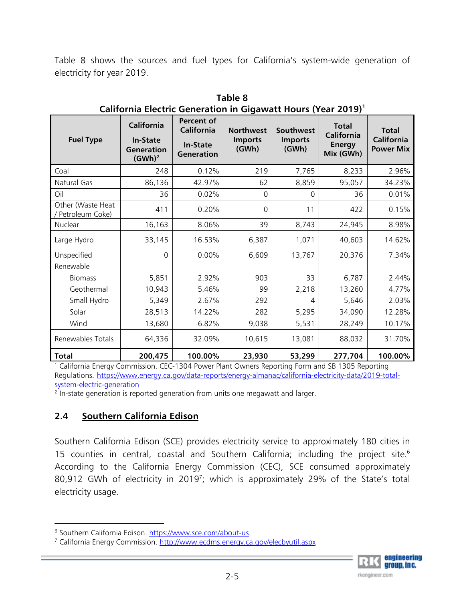Table 8 shows the sources and fuel types for California's system-wide generation of electricity for year 2019.

| <b>Fuel Type</b>                       | <b>California</b><br><b>In-State</b><br>Generation<br>(GWh) <sup>2</sup> | Percent of<br>California<br><b>In-State</b><br>Generation | <b>Northwest</b><br><b>Imports</b><br>(GWh) | Southwest<br><b>Imports</b><br>(GWh) | <b>Total</b><br><b>California</b><br><b>Energy</b><br>Mix (GWh) | <b>Total</b><br><b>California</b><br><b>Power Mix</b> |
|----------------------------------------|--------------------------------------------------------------------------|-----------------------------------------------------------|---------------------------------------------|--------------------------------------|-----------------------------------------------------------------|-------------------------------------------------------|
| Coal                                   | 248                                                                      | 0.12%                                                     | 219                                         | 7,765                                | 8,233                                                           | 2.96%                                                 |
| Natural Gas                            | 86,136                                                                   | 42.97%                                                    | 62                                          | 8,859                                | 95,057                                                          | 34.23%                                                |
| Oil                                    | 36                                                                       | 0.02%                                                     | 0                                           | $\mathbf{0}$                         | 36                                                              | 0.01%                                                 |
| Other (Waste Heat<br>/ Petroleum Coke) | 411                                                                      | 0.20%                                                     | 0                                           | 11                                   | 422                                                             | 0.15%                                                 |
| Nuclear                                | 16,163                                                                   | 8.06%                                                     | 39                                          | 8,743                                | 24,945                                                          | 8.98%                                                 |
| Large Hydro                            | 33,145                                                                   | 16.53%                                                    | 6,387                                       | 1,071                                | 40,603                                                          | 14.62%                                                |
| Unspecified<br>Renewable               | $\Omega$                                                                 | 0.00%                                                     | 6,609                                       | 13,767                               | 20,376                                                          | 7.34%                                                 |
| <b>Biomass</b>                         | 5,851                                                                    | 2.92%                                                     | 903                                         | 33                                   | 6,787                                                           | 2.44%                                                 |
| Geothermal                             | 10,943                                                                   | 5.46%                                                     | 99                                          | 2,218                                | 13,260                                                          | 4.77%                                                 |
| Small Hydro                            | 5,349                                                                    | 2.67%                                                     | 292                                         | 4                                    | 5,646                                                           | 2.03%                                                 |
| Solar                                  | 28,513                                                                   | 14.22%                                                    | 282                                         | 5,295                                | 34,090                                                          | 12.28%                                                |
| Wind                                   | 13,680                                                                   | 6.82%                                                     | 9,038                                       | 5,531                                | 28,249                                                          | 10.17%                                                |
| Renewables Totals                      | 64,336                                                                   | 32.09%                                                    | 10,615                                      | 13,081                               | 88,032                                                          | 31.70%                                                |
| <b>Total</b>                           | 200,475                                                                  | 100.00%                                                   | 23,930                                      | 53,299                               | 277,704                                                         | 100.00%                                               |

**Table 8 California Electric Generation in Gigawatt Hours (Year 2019)1**

1 California Energy Commission. CEC-1304 Power Plant Owners Reporting Form and SB 1305 Reporting Regulations. https://www.energy.ca.gov/data-reports/energy-almanac/california-electricity-data/2019-totalsystem-electric-generation

 $2$  In-state generation is reported generation from units one megawatt and larger.

# **2.4 Southern California Edison**

Southern California Edison (SCE) provides electricity service to approximately 180 cities in 15 counties in central, coastal and Southern California; including the project site.<sup>6</sup> According to the California Energy Commission (CEC), SCE consumed approximately 80,912 GWh of electricity in 2019<sup>7</sup>; which is approximately 29% of the State's total electricity usage.



<sup>&</sup>lt;sup>6</sup> Southern California Edison. <u>https://www.sce.com/about-us</u>

<sup>&</sup>lt;sup>7</sup> California Energy Commission. <u>http://www.ecdms.energy.ca.gov/elecbyutil.aspx</u>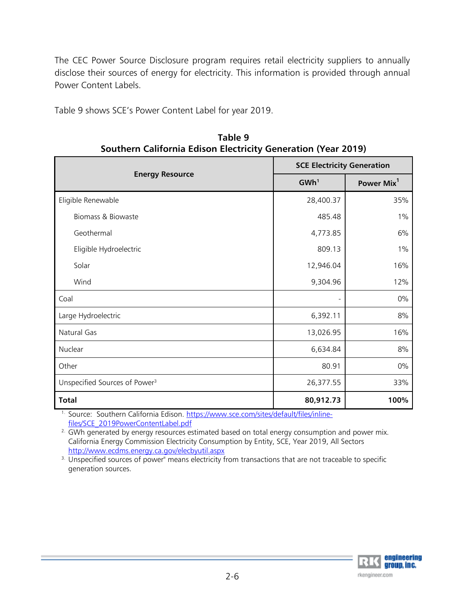The CEC Power Source Disclosure program requires retail electricity suppliers to annually disclose their sources of energy for electricity. This information is provided through annual Power Content Labels.

Table 9 shows SCE's Power Content Label for year 2019.

|                                           |                  | <b>SCE Electricity Generation</b> |  |  |  |  |
|-------------------------------------------|------------------|-----------------------------------|--|--|--|--|
| <b>Energy Resource</b>                    | GWh <sup>1</sup> | Power Mix <sup>1</sup>            |  |  |  |  |
| Eligible Renewable                        | 28,400.37        | 35%                               |  |  |  |  |
| Biomass & Biowaste                        | 485.48           | $1\%$                             |  |  |  |  |
| Geothermal                                | 4,773.85         | 6%                                |  |  |  |  |
| Eligible Hydroelectric                    | 809.13           | $1\%$                             |  |  |  |  |
| Solar                                     | 12,946.04        | 16%                               |  |  |  |  |
| Wind                                      | 9,304.96         | 12%                               |  |  |  |  |
| Coal                                      |                  | 0%                                |  |  |  |  |
| Large Hydroelectric                       | 6,392.11         | $8%$                              |  |  |  |  |
| Natural Gas                               | 13,026.95        | 16%                               |  |  |  |  |
| Nuclear                                   | 6,634.84         | 8%                                |  |  |  |  |
| Other                                     | 80.91            | 0%                                |  |  |  |  |
| Unspecified Sources of Power <sup>3</sup> | 26,377.55        | 33%                               |  |  |  |  |
| <b>Total</b>                              | 80,912.73        | 100%                              |  |  |  |  |

**Table 9 Southern California Edison Electricity Generation (Year 2019)** 

<sup>1.</sup> Source: Southern California Edison. https://www.sce.com/sites/default/files/inlinefiles/SCE\_2019PowerContentLabel.pdf

<sup>2.</sup> GWh generated by energy resources estimated based on total energy consumption and power mix. California Energy Commission Electricity Consumption by Entity, SCE, Year 2019, All Sectors http://www.ecdms.energy.ca.gov/elecbyutil.aspx<br>
<sup>3.</sup> Unspecified sources of power" means electricity from transactions that are not traceable to specific

generation sources.

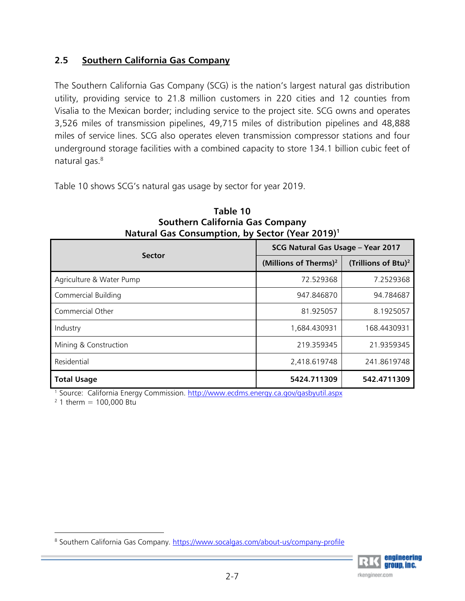# **2.5 Southern California Gas Company**

The Southern California Gas Company (SCG) is the nation's largest natural gas distribution utility, providing service to 21.8 million customers in 220 cities and 12 counties from Visalia to the Mexican border; including service to the project site. SCG owns and operates 3,526 miles of transmission pipelines, 49,715 miles of distribution pipelines and 48,888 miles of service lines. SCG also operates eleven transmission compressor stations and four underground storage facilities with a combined capacity to store 134.1 billion cubic feet of natural gas.<sup>8</sup>

Table 10 shows SCG's natural gas usage by sector for year 2019.

| <b>Sector</b>            | SCG Natural Gas Usage - Year 2017 |                                 |  |  |
|--------------------------|-----------------------------------|---------------------------------|--|--|
|                          | (Millions of Therms) <sup>2</sup> | (Trillions of Btu) <sup>2</sup> |  |  |
| Agriculture & Water Pump | 72.529368                         | 7.2529368                       |  |  |
| Commercial Building      | 947.846870                        | 94.784687                       |  |  |
| Commercial Other         | 81.925057                         | 8.1925057                       |  |  |
| Industry                 | 1,684.430931                      | 168.4430931                     |  |  |
| Mining & Construction    | 219.359345                        | 21.9359345                      |  |  |
| Residential              | 2,418.619748                      | 241.8619748                     |  |  |
| <b>Total Usage</b>       | 5424.711309                       | 542.4711309                     |  |  |

**Table 10 Southern California Gas Company Natural Gas Consumption, by Sector (Year 2019)1**

<sup>1</sup> Source: California Energy Commission. http://www.ecdms.energy.ca.gov/gasbyutil.aspx

 $2$  1 therm = 100,000 Btu

<sup>&</sup>lt;sup>8</sup> Southern California Gas Company. <u>https://www.socalgas.com/about-us/company-profile</u>

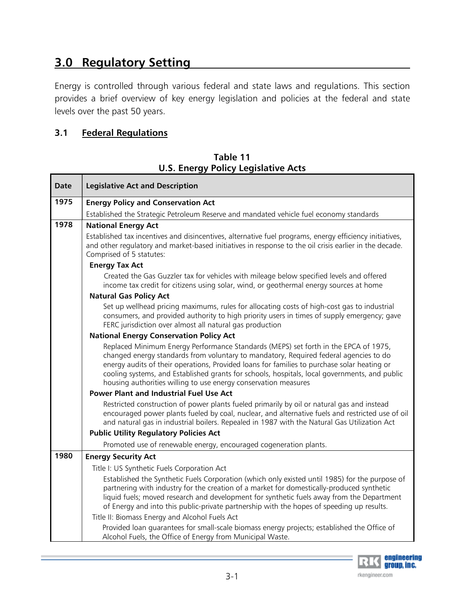# **3.0 Regulatory Setting**

Energy is controlled through various federal and state laws and regulations. This section provides a brief overview of key energy legislation and policies at the federal and state levels over the past 50 years.

# **3.1 Federal Regulations**

| Table 11 |  |                                            |  |  |  |  |  |  |
|----------|--|--------------------------------------------|--|--|--|--|--|--|
|          |  | <b>U.S. Energy Policy Legislative Acts</b> |  |  |  |  |  |  |

| Date | <b>Legislative Act and Description</b>                                                                                                                                                                                                                                                                                                                                                                                                          |  |  |  |  |  |  |  |  |
|------|-------------------------------------------------------------------------------------------------------------------------------------------------------------------------------------------------------------------------------------------------------------------------------------------------------------------------------------------------------------------------------------------------------------------------------------------------|--|--|--|--|--|--|--|--|
| 1975 | <b>Energy Policy and Conservation Act</b>                                                                                                                                                                                                                                                                                                                                                                                                       |  |  |  |  |  |  |  |  |
|      | Established the Strategic Petroleum Reserve and mandated vehicle fuel economy standards                                                                                                                                                                                                                                                                                                                                                         |  |  |  |  |  |  |  |  |
| 1978 | <b>National Energy Act</b>                                                                                                                                                                                                                                                                                                                                                                                                                      |  |  |  |  |  |  |  |  |
|      | Established tax incentives and disincentives, alternative fuel programs, energy efficiency initiatives,<br>and other regulatory and market-based initiatives in response to the oil crisis earlier in the decade.<br>Comprised of 5 statutes:                                                                                                                                                                                                   |  |  |  |  |  |  |  |  |
|      | <b>Energy Tax Act</b>                                                                                                                                                                                                                                                                                                                                                                                                                           |  |  |  |  |  |  |  |  |
|      | Created the Gas Guzzler tax for vehicles with mileage below specified levels and offered<br>income tax credit for citizens using solar, wind, or geothermal energy sources at home                                                                                                                                                                                                                                                              |  |  |  |  |  |  |  |  |
|      | <b>Natural Gas Policy Act</b>                                                                                                                                                                                                                                                                                                                                                                                                                   |  |  |  |  |  |  |  |  |
|      | Set up wellhead pricing maximums, rules for allocating costs of high-cost gas to industrial<br>consumers, and provided authority to high priority users in times of supply emergency; gave<br>FERC jurisdiction over almost all natural gas production                                                                                                                                                                                          |  |  |  |  |  |  |  |  |
|      | <b>National Energy Conservation Policy Act</b>                                                                                                                                                                                                                                                                                                                                                                                                  |  |  |  |  |  |  |  |  |
|      | Replaced Minimum Energy Performance Standards (MEPS) set forth in the EPCA of 1975,<br>changed energy standards from voluntary to mandatory, Required federal agencies to do<br>energy audits of their operations, Provided loans for families to purchase solar heating or<br>cooling systems, and Established grants for schools, hospitals, local governments, and public<br>housing authorities willing to use energy conservation measures |  |  |  |  |  |  |  |  |
|      | <b>Power Plant and Industrial Fuel Use Act</b>                                                                                                                                                                                                                                                                                                                                                                                                  |  |  |  |  |  |  |  |  |
|      | Restricted construction of power plants fueled primarily by oil or natural gas and instead<br>encouraged power plants fueled by coal, nuclear, and alternative fuels and restricted use of oil<br>and natural gas in industrial boilers. Repealed in 1987 with the Natural Gas Utilization Act                                                                                                                                                  |  |  |  |  |  |  |  |  |
|      | <b>Public Utility Regulatory Policies Act</b>                                                                                                                                                                                                                                                                                                                                                                                                   |  |  |  |  |  |  |  |  |
|      | Promoted use of renewable energy, encouraged cogeneration plants.                                                                                                                                                                                                                                                                                                                                                                               |  |  |  |  |  |  |  |  |
| 1980 | <b>Energy Security Act</b>                                                                                                                                                                                                                                                                                                                                                                                                                      |  |  |  |  |  |  |  |  |
|      | Title I: US Synthetic Fuels Corporation Act                                                                                                                                                                                                                                                                                                                                                                                                     |  |  |  |  |  |  |  |  |
|      | Established the Synthetic Fuels Corporation (which only existed until 1985) for the purpose of<br>partnering with industry for the creation of a market for domestically-produced synthetic<br>liquid fuels; moved research and development for synthetic fuels away from the Department<br>of Energy and into this public-private partnership with the hopes of speeding up results.                                                           |  |  |  |  |  |  |  |  |
|      | Title II: Biomass Energy and Alcohol Fuels Act                                                                                                                                                                                                                                                                                                                                                                                                  |  |  |  |  |  |  |  |  |
|      | Provided loan quarantees for small-scale biomass energy projects; established the Office of<br>Alcohol Fuels, the Office of Energy from Municipal Waste.                                                                                                                                                                                                                                                                                        |  |  |  |  |  |  |  |  |

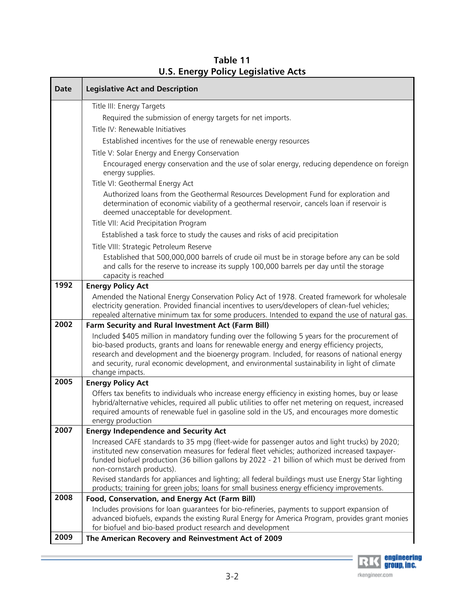| <b>Date</b> | <b>Legislative Act and Description</b>                                                                                                                                                                                                                                                                                                                                                                          |
|-------------|-----------------------------------------------------------------------------------------------------------------------------------------------------------------------------------------------------------------------------------------------------------------------------------------------------------------------------------------------------------------------------------------------------------------|
|             | Title III: Energy Targets                                                                                                                                                                                                                                                                                                                                                                                       |
|             | Required the submission of energy targets for net imports.                                                                                                                                                                                                                                                                                                                                                      |
|             | Title IV: Renewable Initiatives                                                                                                                                                                                                                                                                                                                                                                                 |
|             | Established incentives for the use of renewable energy resources                                                                                                                                                                                                                                                                                                                                                |
|             | Title V: Solar Energy and Energy Conservation                                                                                                                                                                                                                                                                                                                                                                   |
|             | Encouraged energy conservation and the use of solar energy, reducing dependence on foreign<br>energy supplies.                                                                                                                                                                                                                                                                                                  |
|             | Title VI: Geothermal Energy Act                                                                                                                                                                                                                                                                                                                                                                                 |
|             | Authorized loans from the Geothermal Resources Development Fund for exploration and<br>determination of economic viability of a geothermal reservoir, cancels loan if reservoir is<br>deemed unacceptable for development.                                                                                                                                                                                      |
|             | Title VII: Acid Precipitation Program                                                                                                                                                                                                                                                                                                                                                                           |
|             | Established a task force to study the causes and risks of acid precipitation                                                                                                                                                                                                                                                                                                                                    |
|             | Title VIII: Strategic Petroleum Reserve                                                                                                                                                                                                                                                                                                                                                                         |
|             | Established that 500,000,000 barrels of crude oil must be in storage before any can be sold<br>and calls for the reserve to increase its supply 100,000 barrels per day until the storage<br>capacity is reached                                                                                                                                                                                                |
| 1992        | <b>Energy Policy Act</b>                                                                                                                                                                                                                                                                                                                                                                                        |
|             | Amended the National Energy Conservation Policy Act of 1978. Created framework for wholesale<br>electricity generation. Provided financial incentives to users/developers of clean-fuel vehicles;<br>repealed alternative minimum tax for some producers. Intended to expand the use of natural gas.                                                                                                            |
| 2002        | Farm Security and Rural Investment Act (Farm Bill)                                                                                                                                                                                                                                                                                                                                                              |
|             | Included \$405 million in mandatory funding over the following 5 years for the procurement of<br>bio-based products, grants and loans for renewable energy and energy efficiency projects,<br>research and development and the bioenergy program. Included, for reasons of national energy<br>and security, rural economic development, and environmental sustainability in light of climate<br>change impacts. |
| 2005        | <b>Energy Policy Act</b>                                                                                                                                                                                                                                                                                                                                                                                        |
|             | Offers tax benefits to individuals who increase energy efficiency in existing homes, buy or lease<br>hybrid/alternative vehicles, required all public utilities to offer net metering on request, increased<br>required amounts of renewable fuel in gasoline sold in the US, and encourages more domestic<br>energy production                                                                                 |
| 2007        | <b>Energy Independence and Security Act</b>                                                                                                                                                                                                                                                                                                                                                                     |
|             | Increased CAFE standards to 35 mpg (fleet-wide for passenger autos and light trucks) by 2020;<br>instituted new conservation measures for federal fleet vehicles; authorized increased taxpayer-<br>funded biofuel production (36 billion gallons by 2022 - 21 billion of which must be derived from<br>non-cornstarch products).                                                                               |
|             | Revised standards for appliances and lighting; all federal buildings must use Energy Star lighting<br>products; training for green jobs; loans for small business energy efficiency improvements.                                                                                                                                                                                                               |
| 2008        | Food, Conservation, and Energy Act (Farm Bill)                                                                                                                                                                                                                                                                                                                                                                  |
|             | Includes provisions for loan guarantees for bio-refineries, payments to support expansion of<br>advanced biofuels, expands the existing Rural Energy for America Program, provides grant monies<br>for biofuel and bio-based product research and development                                                                                                                                                   |
| 2009        | The American Recovery and Reinvestment Act of 2009                                                                                                                                                                                                                                                                                                                                                              |

**Table 11 U.S. Energy Policy Legislative Acts**

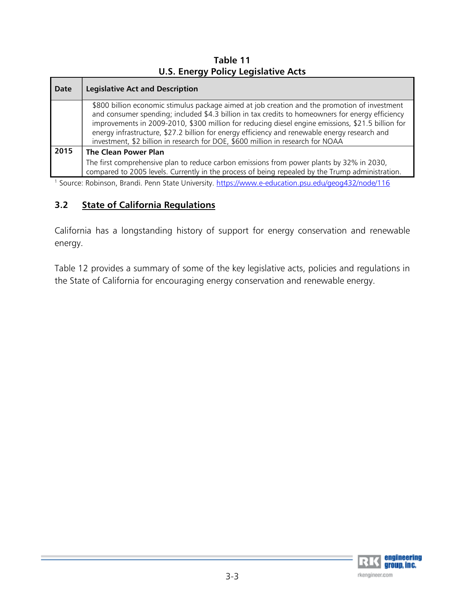**Table 11 U.S. Energy Policy Legislative Acts**

| Date | <b>Legislative Act and Description</b>                                                                                                                                                                                                                                                                                                                                                                                                                                                     |
|------|--------------------------------------------------------------------------------------------------------------------------------------------------------------------------------------------------------------------------------------------------------------------------------------------------------------------------------------------------------------------------------------------------------------------------------------------------------------------------------------------|
|      | \$800 billion economic stimulus package aimed at job creation and the promotion of investment<br>and consumer spending; included \$4.3 billion in tax credits to homeowners for energy efficiency<br>improvements in 2009-2010, \$300 million for reducing diesel engine emissions, \$21.5 billion for<br>energy infrastructure, \$27.2 billion for energy efficiency and renewable energy research and<br>investment, \$2 billion in research for DOE, \$600 million in research for NOAA |
| 2015 | <b>The Clean Power Plan</b>                                                                                                                                                                                                                                                                                                                                                                                                                                                                |
|      | The first comprehensive plan to reduce carbon emissions from power plants by 32% in 2030,<br>compared to 2005 levels. Currently in the process of being repealed by the Trump administration.                                                                                                                                                                                                                                                                                              |

<sup>1</sup> Source: Robinson, Brandi. Penn State University. https://www.e-education.psu.edu/geog432/node/116

# **3.2 State of California Regulations**

California has a longstanding history of support for energy conservation and renewable energy.

Table 12 provides a summary of some of the key legislative acts, policies and regulations in the State of California for encouraging energy conservation and renewable energy.

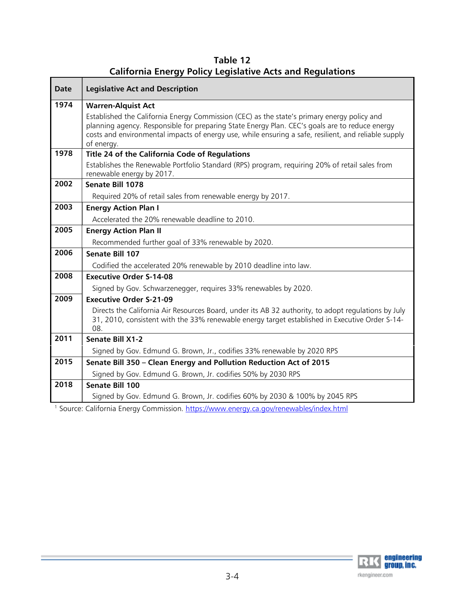| <b>Legislative Act and Description</b>                                                                                                                                                                                                                                                                              |
|---------------------------------------------------------------------------------------------------------------------------------------------------------------------------------------------------------------------------------------------------------------------------------------------------------------------|
| <b>Warren-Alquist Act</b>                                                                                                                                                                                                                                                                                           |
| Established the California Energy Commission (CEC) as the state's primary energy policy and<br>planning agency. Responsible for preparing State Energy Plan. CEC's goals are to reduce energy<br>costs and environmental impacts of energy use, while ensuring a safe, resilient, and reliable supply<br>of energy. |
| Title 24 of the California Code of Regulations                                                                                                                                                                                                                                                                      |
| Establishes the Renewable Portfolio Standard (RPS) program, requiring 20% of retail sales from<br>renewable energy by 2017.                                                                                                                                                                                         |
| Senate Bill 1078                                                                                                                                                                                                                                                                                                    |
| Required 20% of retail sales from renewable energy by 2017.                                                                                                                                                                                                                                                         |
| <b>Energy Action Plan I</b>                                                                                                                                                                                                                                                                                         |
| Accelerated the 20% renewable deadline to 2010.                                                                                                                                                                                                                                                                     |
| <b>Energy Action Plan II</b>                                                                                                                                                                                                                                                                                        |
| Recommended further goal of 33% renewable by 2020.                                                                                                                                                                                                                                                                  |
| Senate Bill 107                                                                                                                                                                                                                                                                                                     |
| Codified the accelerated 20% renewable by 2010 deadline into law.                                                                                                                                                                                                                                                   |
| <b>Executive Order S-14-08</b>                                                                                                                                                                                                                                                                                      |
| Signed by Gov. Schwarzenegger, requires 33% renewables by 2020.                                                                                                                                                                                                                                                     |
| <b>Executive Order S-21-09</b>                                                                                                                                                                                                                                                                                      |
| Directs the California Air Resources Board, under its AB 32 authority, to adopt regulations by July<br>31, 2010, consistent with the 33% renewable energy target established in Executive Order S-14-<br>08.                                                                                                        |
| <b>Senate Bill X1-2</b>                                                                                                                                                                                                                                                                                             |
| Signed by Gov. Edmund G. Brown, Jr., codifies 33% renewable by 2020 RPS                                                                                                                                                                                                                                             |
| Senate Bill 350 - Clean Energy and Pollution Reduction Act of 2015                                                                                                                                                                                                                                                  |
| Signed by Gov. Edmund G. Brown, Jr. codifies 50% by 2030 RPS                                                                                                                                                                                                                                                        |
| Senate Bill 100                                                                                                                                                                                                                                                                                                     |
| Signed by Gov. Edmund G. Brown, Jr. codifies 60% by 2030 & 100% by 2045 RPS                                                                                                                                                                                                                                         |
| California France: Conservatoria e lettros (frances originas de província quellela frances letral                                                                                                                                                                                                                   |

**Table 12 California Energy Policy Legislative Acts and Regulations**

1 Source: California Energy Commission. https://www.energy.ca.gov/renewables/index.html

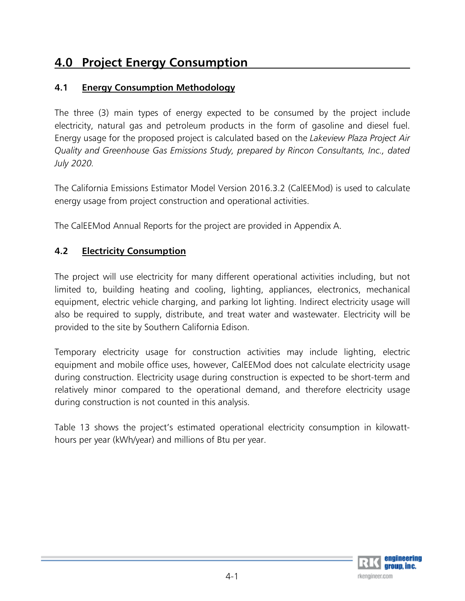# **4.0 Project Energy Consumption**

# **4.1 Energy Consumption Methodology**

The three (3) main types of energy expected to be consumed by the project include electricity, natural gas and petroleum products in the form of gasoline and diesel fuel. Energy usage for the proposed project is calculated based on the *Lakeview Plaza Project Air Quality and Greenhouse Gas Emissions Study, prepared by Rincon Consultants, Inc., dated July 2020.*

The California Emissions Estimator Model Version 2016.3.2 (CalEEMod) is used to calculate energy usage from project construction and operational activities.

The CalEEMod Annual Reports for the project are provided in Appendix A.

# **4.2 Electricity Consumption**

The project will use electricity for many different operational activities including, but not limited to, building heating and cooling, lighting, appliances, electronics, mechanical equipment, electric vehicle charging, and parking lot lighting. Indirect electricity usage will also be required to supply, distribute, and treat water and wastewater. Electricity will be provided to the site by Southern California Edison.

Temporary electricity usage for construction activities may include lighting, electric equipment and mobile office uses, however, CalEEMod does not calculate electricity usage during construction. Electricity usage during construction is expected to be short-term and relatively minor compared to the operational demand, and therefore electricity usage during construction is not counted in this analysis.

Table 13 shows the project's estimated operational electricity consumption in kilowatthours per year (kWh/year) and millions of Btu per year.

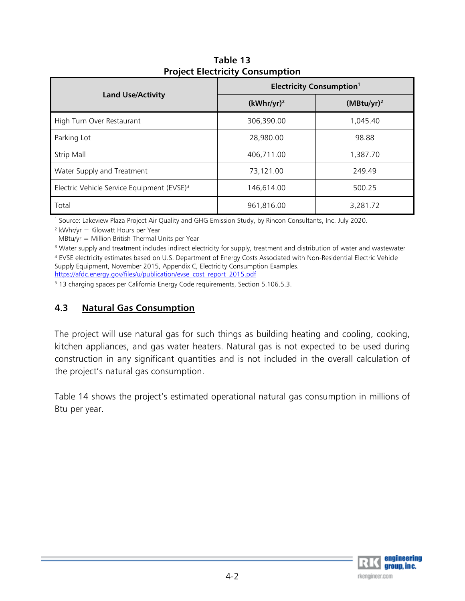|                                                        | <b>Electricity Consumption<sup>1</sup></b> |               |  |  |  |  |
|--------------------------------------------------------|--------------------------------------------|---------------|--|--|--|--|
| <b>Land Use/Activity</b>                               | $(kWhr/yr)^2$                              | $(MBtu/yr)^2$ |  |  |  |  |
| High Turn Over Restaurant                              | 306,390.00                                 | 1,045.40      |  |  |  |  |
| Parking Lot                                            | 28,980.00                                  | 98.88         |  |  |  |  |
| Strip Mall                                             | 406,711.00                                 | 1,387.70      |  |  |  |  |
| Water Supply and Treatment                             | 73,121.00                                  | 249.49        |  |  |  |  |
| Electric Vehicle Service Equipment (EVSE) <sup>3</sup> | 146,614.00                                 | 500.25        |  |  |  |  |
| Total                                                  | 961,816.00                                 | 3,281.72      |  |  |  |  |

**Table 13 Project Electricity Consumption** 

1 Source: Lakeview Plaza Project Air Quality and GHG Emission Study, by Rincon Consultants, Inc. July 2020.

 $2$  kWhr/yr = Kilowatt Hours per Year

MBtu/yr = Million British Thermal Units per Year

3 Water supply and treatment includes indirect electricity for supply, treatment and distribution of water and wastewater 4 EVSE electricity estimates based on U.S. Department of Energy Costs Associated with Non-Residential Electric Vehicle Supply Equipment, November 2015, Appendix C, Electricity Consumption Examples. https://afdc.energy.gov/files/u/publication/evse\_cost\_report\_2015.pdf

5 13 charging spaces per California Energy Code requirements, Section 5.106.5.3.

# **4.3 Natural Gas Consumption**

The project will use natural gas for such things as building heating and cooling, cooking, kitchen appliances, and gas water heaters. Natural gas is not expected to be used during construction in any significant quantities and is not included in the overall calculation of the project's natural gas consumption.

Table 14 shows the project's estimated operational natural gas consumption in millions of Btu per year.

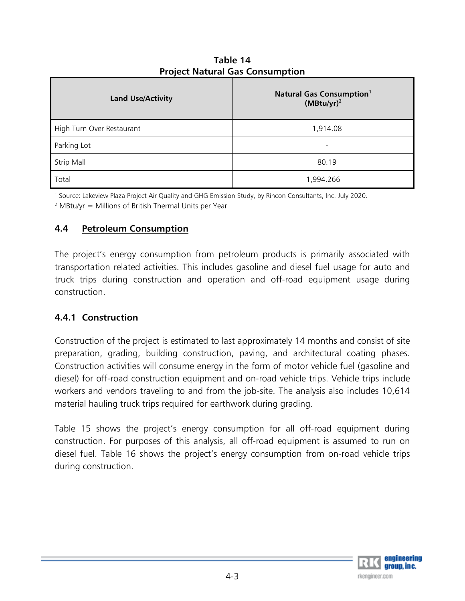| <b>Land Use/Activity</b>  | <b>Natural Gas Consumption<sup>1</sup></b><br>$(MBtu/yr)^2$ |
|---------------------------|-------------------------------------------------------------|
| High Turn Over Restaurant | 1,914.08                                                    |
| Parking Lot               | $\overline{\phantom{0}}$                                    |
| <b>Strip Mall</b>         | 80.19                                                       |
| Total                     | 1,994.266                                                   |

**Table 14 Project Natural Gas Consumption** 

1 Source: Lakeview Plaza Project Air Quality and GHG Emission Study, by Rincon Consultants, Inc. July 2020.

<sup>2</sup> MBtu/yr = Millions of British Thermal Units per Year

# **4.4 Petroleum Consumption**

The project's energy consumption from petroleum products is primarily associated with transportation related activities. This includes gasoline and diesel fuel usage for auto and truck trips during construction and operation and off-road equipment usage during construction.

# **4.4.1 Construction**

Construction of the project is estimated to last approximately 14 months and consist of site preparation, grading, building construction, paving, and architectural coating phases. Construction activities will consume energy in the form of motor vehicle fuel (gasoline and diesel) for off-road construction equipment and on-road vehicle trips. Vehicle trips include workers and vendors traveling to and from the job-site. The analysis also includes 10,614 material hauling truck trips required for earthwork during grading.

Table 15 shows the project's energy consumption for all off-road equipment during construction. For purposes of this analysis, all off-road equipment is assumed to run on diesel fuel. Table 16 shows the project's energy consumption from on-road vehicle trips during construction.

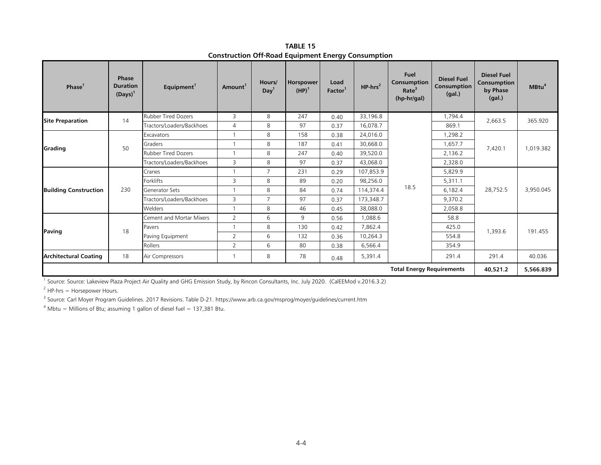| Phase <sup>1</sup>           | <b>Phase</b><br><b>Duration</b><br>$(Days)^1$ | Equipment <sup>1</sup>     | Amount <sup>1</sup> | Hours/<br>Day <sup>1</sup> | Horspower<br>$(HP)^1$ | Load<br>Factor <sup>1</sup> | $HP-hrs^2$ | Fuel<br>Consumption<br>Rate <sup>3</sup><br>(hp-hr/gal) | <b>Diesel Fuel</b><br>Consumption<br>(gal.) | <b>Diesel Fuel</b><br>Consumption<br>by Phase<br>(gal.) | MBtu <sup>4</sup> |
|------------------------------|-----------------------------------------------|----------------------------|---------------------|----------------------------|-----------------------|-----------------------------|------------|---------------------------------------------------------|---------------------------------------------|---------------------------------------------------------|-------------------|
|                              | 14                                            | <b>Rubber Tired Dozers</b> | 3                   | 8                          | 247                   | 0.40                        | 33,196.8   |                                                         | 1,794.4                                     | 2,663.5                                                 | 365.920           |
| <b>Site Preparation</b>      |                                               | Tractors/Loaders/Backhoes  | $\overline{4}$      | 8                          | 97                    | 0.37                        | 16,078.7   |                                                         | 869.1                                       |                                                         |                   |
| Grading                      |                                               | Excavators                 |                     | 8                          | 158                   | 0.38                        | 24,016.0   |                                                         | 1,298.2                                     | 7,420.1                                                 | 1,019.382         |
|                              | 50                                            | Graders                    |                     | 8                          | 187                   | 0.41                        | 30,668.0   |                                                         | 1,657.7                                     |                                                         |                   |
|                              |                                               | <b>Rubber Tired Dozers</b> |                     | 8                          | 247                   | 0.40                        | 39,520.0   |                                                         | 2,136.2                                     |                                                         |                   |
|                              |                                               | Tractors/Loaders/Backhoes  | 3                   | 8                          | 97                    | 0.37                        | 43,068.0   |                                                         | 2,328.0                                     |                                                         |                   |
|                              | 230                                           | Cranes                     |                     | $\overline{7}$             | 231                   | 0.29                        | 107,853.9  |                                                         | 5,829.9                                     | 28,752.5                                                | 3,950.045         |
|                              |                                               | Forklifts                  | 3                   | 8                          | 89                    | 0.20                        | 98,256.0   |                                                         | 5,311.1<br>6,182.4<br>9,370.2               |                                                         |                   |
| <b>Building Construction</b> |                                               | <b>Generator Sets</b>      |                     | 8                          | 84                    | 0.74                        | 114,374.4  | 18.5                                                    |                                             |                                                         |                   |
|                              |                                               | Tractors/Loaders/Backhoes  | 3                   | $\overline{7}$             | 97                    | 0.37                        | 173,348.7  |                                                         |                                             |                                                         |                   |
|                              |                                               | Welders                    |                     | 8                          | 46                    | 0.45                        | 38,088.0   |                                                         | 2,058.8                                     |                                                         |                   |
|                              |                                               | Cement and Mortar Mixers   | 2                   | 6                          | 9                     | 0.56                        | 1,088.6    |                                                         | 58.8                                        |                                                         |                   |
| Paving                       | 18                                            | Pavers                     |                     | 8                          | 130                   | 0.42                        | 7,862.4    |                                                         | 425.0                                       |                                                         |                   |
|                              |                                               | Paving Equipment           | $\overline{2}$      | 6                          | 132                   | 0.36                        | 10,264.3   |                                                         | 554.8                                       | 1,393.6                                                 | 191.455           |
|                              |                                               | Rollers                    | $\overline{2}$      | 6                          | 80                    | 0.38                        | 6,566.4    |                                                         | 354.9                                       |                                                         |                   |
| <b>Architectural Coating</b> | 18                                            | Air Compressors            |                     | 8                          | 78                    | 0.48                        | 5,391.4    |                                                         | 291.4                                       | 291.4                                                   | 40.036            |
|                              |                                               |                            |                     |                            |                       |                             |            | <b>Total Energy Requirements</b>                        |                                             | 40,521.2                                                | 5,566,839         |

**TABLE 15Construction Off-Road Equipment Energy Consumption**

1 Source: Source: Lakeview Plaza Project Air Quality and GHG Emission Study, by Rincon Consultants, Inc. July 2020. (CalEEMod v.2016.3.2)

 $<sup>2</sup>$  HP-hrs = Horsepower Hours.</sup>

<sup>3</sup> Source: Carl Moyer Program Guidelines. 2017 Revisions. Table D-21. https://www.arb.ca.gov/msprog/moyer/guidelines/current.htm

 $4$  Mbtu = Millions of Btu; assuming 1 gallon of diesel fuel = 137,381 Btu.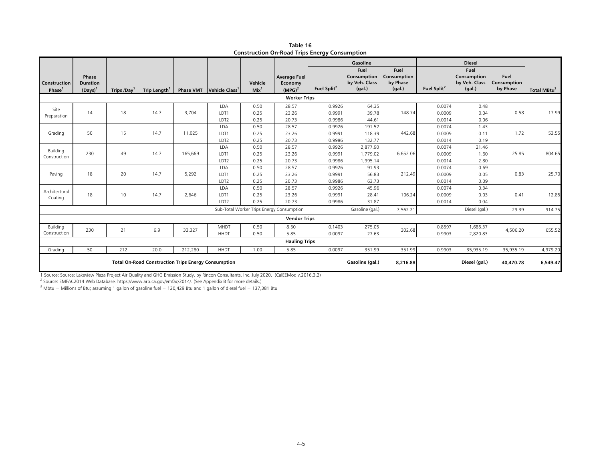|                                                            |                                        |            |                          |         |                                             |                             |                                                      | --                         |                                                |                                           |                            |                                                |                                 |                         |
|------------------------------------------------------------|----------------------------------------|------------|--------------------------|---------|---------------------------------------------|-----------------------------|------------------------------------------------------|----------------------------|------------------------------------------------|-------------------------------------------|----------------------------|------------------------------------------------|---------------------------------|-------------------------|
|                                                            |                                        |            |                          |         |                                             |                             |                                                      |                            | Gasoline                                       |                                           |                            | <b>Diesel</b>                                  |                                 |                         |
| Construction<br>Phase <sup>1</sup>                         | Phase<br><b>Duration</b><br>$(Days)^1$ | Trips /Day | Trip Length <sup>1</sup> |         | <b>Phase VMT</b> Vehicle Class <sup>1</sup> | Vehicle<br>Mix <sup>1</sup> | <b>Average Fuel</b><br>Economy<br>(MPG) <sup>2</sup> | Fuel Split <sup>2</sup>    | Fuel<br>Consumption<br>by Veh. Class<br>(gal.) | Fuel<br>Consumption<br>by Phase<br>(gal.) | Fuel Split <sup>2</sup>    | Fuel<br>Consumption<br>by Veh. Class<br>(gal.) | Fuel<br>Consumption<br>by Phase | Total MBtu <sup>3</sup> |
|                                                            |                                        |            |                          |         |                                             |                             | <b>Worker Trips</b>                                  |                            |                                                |                                           |                            |                                                |                                 |                         |
| Site<br>Preparation                                        | 14                                     | 18         | 14.7                     | 3,704   | <b>LDA</b><br>LDT1<br>LDT2                  | 0.50<br>0.25<br>0.25        | 28.57<br>23.26<br>20.73                              | 0.9926<br>0.9991<br>0.9986 | 64.35<br>39.78<br>44.61                        | 148.74                                    | 0.0074<br>0.0009<br>0.0014 | 0.48<br>0.04<br>0.06                           | 0.58                            | 17.99                   |
| Grading                                                    | 50                                     | 15         | 14.7                     | 11,025  | LDA<br>LDT1<br>LDT2                         | 0.50<br>0.25<br>0.25        | 28.57<br>23.26<br>20.73                              | 0.9926<br>0.9991<br>0.9986 | 191.52<br>118.39<br>132.77                     | 442.68                                    | 0.0074<br>0.0009<br>0.0014 | 1.43<br>0.11<br>0.19                           | 1.72                            | 53.55                   |
| Building<br>Construction                                   | 230                                    | 49         | 14.7                     | 165,669 | LDA<br>LDT1<br>LDT2                         | 0.50<br>0.25<br>0.25        | 28.57<br>23.26<br>20.73                              | 0.9926<br>0.9991<br>0.9986 | 2.877.90<br>1,779.02<br>1,995.14               | 6,652.06                                  | 0.0074<br>0.0009<br>0.0014 | 21.46<br>1.60<br>2.80                          | 25.85                           | 804.65                  |
| Paving                                                     | 18                                     | 20         | 14.7                     | 5,292   | LDA<br>LDT1<br>LDT2                         | 0.50<br>0.25<br>0.25        | 28.57<br>23.26<br>20.73                              | 0.9926<br>0.9991<br>0.9986 | 91.93<br>56.83<br>63.73                        | 212.49                                    | 0.0074<br>0.0009<br>0.0014 | 0.69<br>0.05<br>0.09                           | 0.83                            | 25.70                   |
| Architectural<br>Coating                                   | 18                                     | 10         | 14.7                     | 2,646   | LDA<br>LDT1<br>LDT2                         | 0.50<br>0.25<br>0.25        | 28.57<br>23.26<br>20.73                              | 0.9926<br>0.9991<br>0.9986 | 45.96<br>28.41<br>31.87                        | 106.24                                    | 0.0074<br>0.0009<br>0.0014 | 0.34<br>0.03<br>0.04                           | 0.41                            | 12.85                   |
|                                                            |                                        |            |                          |         |                                             |                             | Sub-Total Worker Trips Energy Consumption            |                            | Gasoline (gal.)                                | 7,562.21                                  |                            | Diesel (gal.)                                  | 29.39                           | 914.75                  |
|                                                            |                                        |            |                          |         |                                             |                             | <b>Vendor Trips</b>                                  |                            |                                                |                                           |                            |                                                |                                 |                         |
| Building<br>Construction                                   | 230                                    | 21         | 6.9                      | 33,327  | <b>MHDT</b><br><b>HHDT</b>                  | 0.50<br>0.50                | 8.50<br>5.85                                         | 0.1403<br>0.0097           | 275.05<br>27.63                                | 302.68                                    | 0.8597<br>0.9903           | 1,685.37<br>2,820.83                           | 4,506.20                        | 655.52                  |
|                                                            |                                        |            |                          |         |                                             |                             | <b>Hauling Trips</b>                                 |                            |                                                |                                           |                            |                                                |                                 |                         |
| Grading                                                    | 50                                     | 212        | 20.0                     | 212,280 | <b>HHDT</b>                                 | 1.00                        | 5.85                                                 | 0.0097                     | 351.99                                         | 351.99                                    | 0.9903                     | 35,935.19                                      | 35,935.19                       | 4,979.20                |
| <b>Total On-Road Construction Trips Energy Consumption</b> |                                        |            |                          |         |                                             |                             |                                                      | Gasoline (gal.)            | 8,216.88                                       |                                           | Diesel (gal.)              | 40,470.78                                      | 6,549.47                        |                         |

**Table 16Construction On-Road Trips Energy Consumption**

1 Source: Source: Lakeview Plaza Project Air Quality and GHG Emission Study, by Rincon Consultants, Inc. July 2020. (CalEEMod v.2016.3.2)<br><sup>2</sup> Source: EMFAC2014 Web Database. https://www.arb.ca.gov/emfac/2014/. (See Append

<sup>3</sup> Mbtu = Millions of Btu; assuming 1 gallon of gasoline fuel = 120,429 Btu and 1 gallon of diesel fuel = 137,381 Btu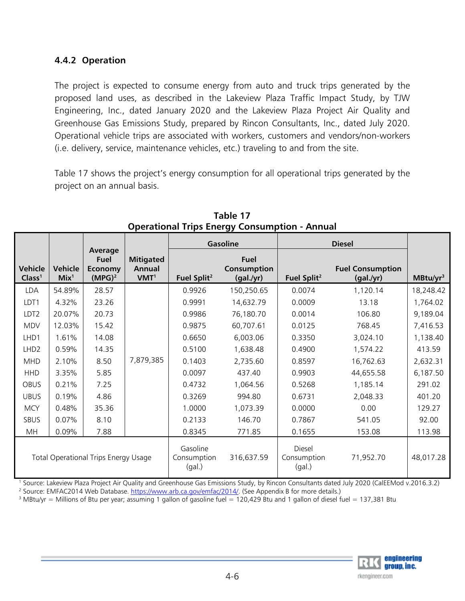# **4.4.2 Operation**

The project is expected to consume energy from auto and truck trips generated by the proposed land uses, as described in the Lakeview Plaza Traffic Impact Study, by TJW Engineering, Inc., dated January 2020 and the Lakeview Plaza Project Air Quality and Greenhouse Gas Emissions Study, prepared by Rincon Consultants, Inc., dated July 2020. Operational vehicle trips are associated with workers, customers and vendors/non-workers (i.e. delivery, service, maintenance vehicles, etc.) traveling to and from the site.

Table 17 shows the project's energy consumption for all operational trips generated by the project on an annual basis.

|                                             |                             |                                                         |                                                       |                                 | <b>Gasoline</b>                         |                         | <b>Diesel</b>                        |                      |
|---------------------------------------------|-----------------------------|---------------------------------------------------------|-------------------------------------------------------|---------------------------------|-----------------------------------------|-------------------------|--------------------------------------|----------------------|
| Vehicle<br>Class <sup>1</sup>               | Vehicle<br>Mix <sup>1</sup> | Average<br>Fuel<br><b>Economy</b><br>(MPG) <sup>2</sup> | <b>Mitigated</b><br><b>Annual</b><br>VMT <sup>1</sup> | Fuel Split <sup>2</sup>         | <b>Fuel</b><br>Consumption<br>(gal./yr) | Fuel Split <sup>2</sup> | <b>Fuel Consumption</b><br>(gal./yr) | MBtu/yr <sup>3</sup> |
| <b>LDA</b>                                  | 54.89%                      | 28.57                                                   |                                                       | 0.9926                          | 150,250.65                              | 0.0074                  | 1,120.14                             | 18,248.42            |
| LDT <sub>1</sub>                            | 4.32%                       | 23.26                                                   |                                                       | 0.9991                          | 14,632.79                               | 0.0009                  | 13.18                                | 1,764.02             |
| LDT2                                        | 20.07%                      | 20.73                                                   |                                                       | 0.9986                          | 76,180.70                               | 0.0014                  | 106.80                               | 9,189.04             |
| <b>MDV</b>                                  | 12.03%                      | 15.42                                                   |                                                       | 0.9875                          | 60,707.61                               | 0.0125                  | 768.45                               | 7,416.53             |
| LHD1                                        | 1.61%                       | 14.08                                                   |                                                       | 0.6650                          | 6,003.06                                | 0.3350                  | 3,024.10                             | 1,138.40             |
| LHD <sub>2</sub>                            | 0.59%                       | 14.35                                                   |                                                       | 0.5100                          | 1,638.48                                | 0.4900                  | 1,574.22                             | 413.59               |
| <b>MHD</b>                                  | 2.10%                       | 8.50                                                    | 7,879,385                                             | 0.1403                          | 2,735.60                                | 0.8597                  | 16,762.63                            | 2,632.31             |
| <b>HHD</b>                                  | 3.35%                       | 5.85                                                    |                                                       | 0.0097                          | 437.40                                  | 0.9903                  | 44,655.58                            | 6,187.50             |
| <b>OBUS</b>                                 | 0.21%                       | 7.25                                                    |                                                       | 0.4732                          | 1,064.56                                | 0.5268                  | 1,185.14                             | 291.02               |
| <b>UBUS</b>                                 | 0.19%                       | 4.86                                                    |                                                       | 0.3269                          | 994.80                                  | 0.6731                  | 2,048.33                             | 401.20               |
| <b>MCY</b>                                  | 0.48%                       | 35.36                                                   |                                                       | 1.0000                          | 1,073.39                                | 0.0000                  | 0.00                                 | 129.27               |
| SBUS                                        | 0.07%                       | 8.10                                                    |                                                       | 0.2133                          | 146.70                                  | 0.7867                  | 541.05                               | 92.00                |
| <b>MH</b>                                   | 0.09%                       | 7.88                                                    |                                                       | 0.8345                          | 771.85                                  | 0.1655                  | 153.08                               | 113.98               |
| <b>Total Operational Trips Energy Usage</b> |                             | Gasoline<br>Consumption<br>(gal.)                       | 316,637.59                                            | Diesel<br>Consumption<br>(gal.) | 71,952.70                               | 48,017.28               |                                      |                      |

**Table 17 Operational Trips Energy Consumption - Annual** 

<sup>1</sup> Source: Lakeview Plaza Project Air Quality and Greenhouse Gas Emissions Study, by Rincon Consultants dated July 2020 (CalEEMod v.2016.3.2)<br><sup>2</sup> Source: EMFAC2014 Web Database. https://www.arb.ca.gov/emfac/2014/. (See A

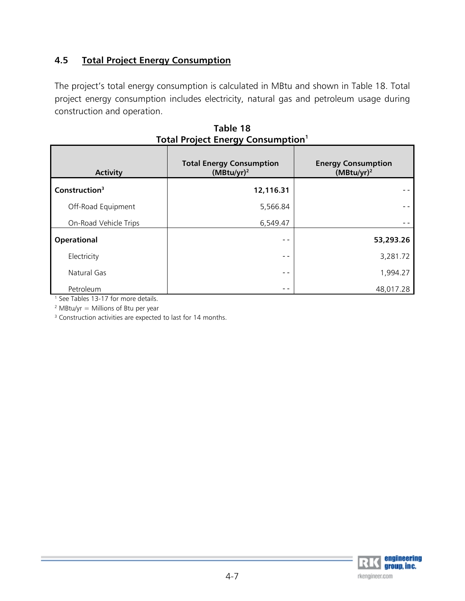# **4.5 Total Project Energy Consumption**

The project's total energy consumption is calculated in MBtu and shown in Table 18. Total project energy consumption includes electricity, natural gas and petroleum usage during construction and operation.

| <b>Activity</b>           | <b>Total Energy Consumption</b><br>$(MBtu/yr)^2$ | <b>Energy Consumption</b><br>$(MBtu/yr)^2$ |
|---------------------------|--------------------------------------------------|--------------------------------------------|
| Construction <sup>3</sup> | 12,116.31                                        |                                            |
| Off-Road Equipment        | 5,566.84                                         |                                            |
| On-Road Vehicle Trips     | 6,549.47                                         |                                            |
| <b>Operational</b>        | - -                                              | 53,293.26                                  |
| Electricity               | - -                                              | 3,281.72                                   |
| Natural Gas               | - -                                              | 1,994.27                                   |
| Petroleum                 | - -                                              | 48,017.28                                  |

| Table 18                                    |  |
|---------------------------------------------|--|
| Total Project Energy Consumption $^{\rm 1}$ |  |

<sup>1</sup> See Tables 13-17 for more details.

<sup>2</sup> MBtu/yr = Millions of Btu per year

<sup>3</sup> Construction activities are expected to last for 14 months.

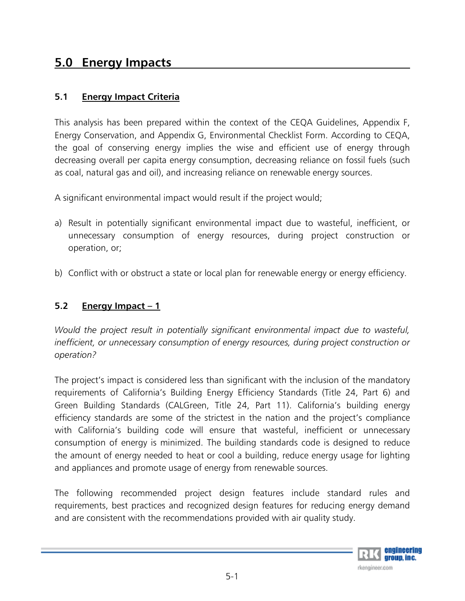# **5.0 Energy Impacts**

# **5.1 Energy Impact Criteria**

This analysis has been prepared within the context of the CEQA Guidelines, Appendix F, Energy Conservation, and Appendix G, Environmental Checklist Form. According to CEQA, the goal of conserving energy implies the wise and efficient use of energy through decreasing overall per capita energy consumption, decreasing reliance on fossil fuels (such as coal, natural gas and oil), and increasing reliance on renewable energy sources.

A significant environmental impact would result if the project would;

- a) Result in potentially significant environmental impact due to wasteful, inefficient, or unnecessary consumption of energy resources, during project construction or operation, or;
- b) Conflict with or obstruct a state or local plan for renewable energy or energy efficiency.

# **5.2 Energy Impact – 1**

*Would the project result in potentially significant environmental impact due to wasteful, inefficient, or unnecessary consumption of energy resources, during project construction or operation?* 

The project's impact is considered less than significant with the inclusion of the mandatory requirements of California's Building Energy Efficiency Standards (Title 24, Part 6) and Green Building Standards (CALGreen, Title 24, Part 11). California's building energy efficiency standards are some of the strictest in the nation and the project's compliance with California's building code will ensure that wasteful, inefficient or unnecessary consumption of energy is minimized. The building standards code is designed to reduce the amount of energy needed to heat or cool a building, reduce energy usage for lighting and appliances and promote usage of energy from renewable sources.

The following recommended project design features include standard rules and requirements, best practices and recognized design features for reducing energy demand and are consistent with the recommendations provided with air quality study.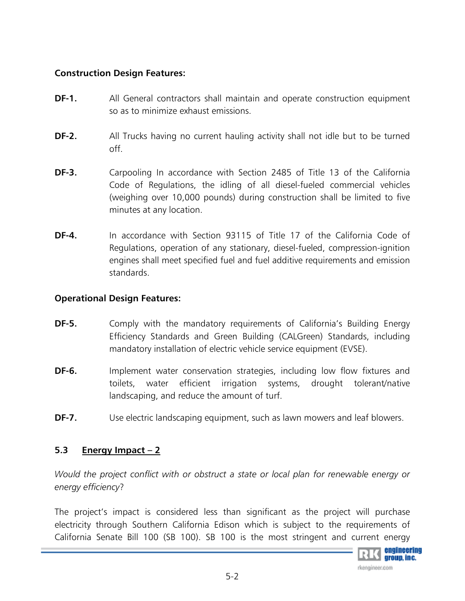# **Construction Design Features:**

- **DF-1.** All General contractors shall maintain and operate construction equipment so as to minimize exhaust emissions.
- **DF-2.** All Trucks having no current hauling activity shall not idle but to be turned off.
- **DF-3.** Carpooling In accordance with Section 2485 of Title 13 of the California Code of Regulations, the idling of all diesel-fueled commercial vehicles (weighing over 10,000 pounds) during construction shall be limited to five minutes at any location.
- **DF-4.** In accordance with Section 93115 of Title 17 of the California Code of Regulations, operation of any stationary, diesel-fueled, compression-ignition engines shall meet specified fuel and fuel additive requirements and emission standards.

# **Operational Design Features:**

- **DF-5.** Comply with the mandatory requirements of California's Building Energy Efficiency Standards and Green Building (CALGreen) Standards, including mandatory installation of electric vehicle service equipment (EVSE).
- **DF-6.** Implement water conservation strategies, including low flow fixtures and toilets, water efficient irrigation systems, drought tolerant/native landscaping, and reduce the amount of turf.
- **DF-7.** Use electric landscaping equipment, such as lawn mowers and leaf blowers.

# **5.3 Energy Impact – 2**

*Would the project conflict with or obstruct a state or local plan for renewable energy or energy efficiency*?

The project's impact is considered less than significant as the project will purchase electricity through Southern California Edison which is subject to the requirements of California Senate Bill 100 (SB 100). SB 100 is the most stringent and current energy

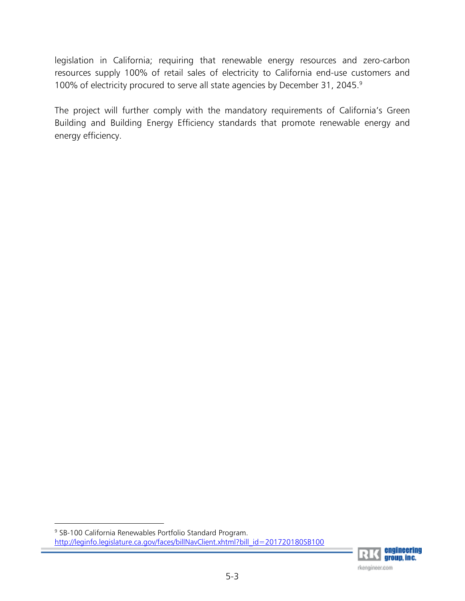legislation in California; requiring that renewable energy resources and zero-carbon resources supply 100% of retail sales of electricity to California end-use customers and 100% of electricity procured to serve all state agencies by December 31, 2045.<sup>9</sup>

The project will further comply with the mandatory requirements of California's Green Building and Building Energy Efficiency standards that promote renewable energy and energy efficiency.

<sup>9</sup> SB-100 California Renewables Portfolio Standard Program. http://leginfo.legislature.ca.gov/faces/billNavClient.xhtml?bill\_id=201720180SB100

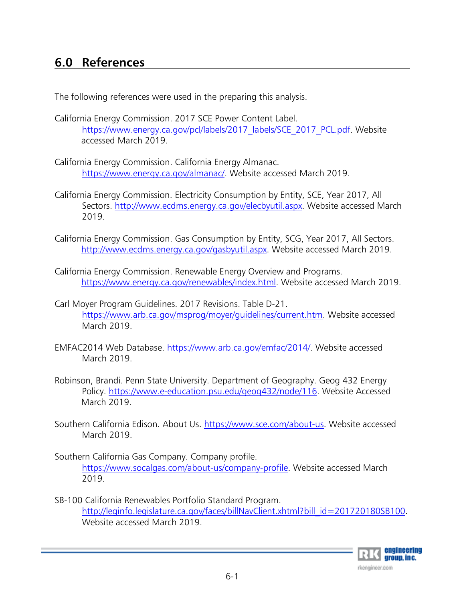# **6.0 References**

The following references were used in the preparing this analysis.

- California Energy Commission. 2017 SCE Power Content Label. https://www.energy.ca.gov/pcl/labels/2017 labels/SCE\_2017\_PCL.pdf. Website accessed March 2019.
- California Energy Commission. California Energy Almanac. https://www.energy.ca.gov/almanac/. Website accessed March 2019.
- California Energy Commission. Electricity Consumption by Entity, SCE, Year 2017, All Sectors. http://www.ecdms.energy.ca.gov/elecbyutil.aspx. Website accessed March 2019.
- California Energy Commission. Gas Consumption by Entity, SCG, Year 2017, All Sectors. http://www.ecdms.energy.ca.gov/gasbyutil.aspx. Website accessed March 2019.
- California Energy Commission. Renewable Energy Overview and Programs. https://www.energy.ca.gov/renewables/index.html. Website accessed March 2019.
- Carl Moyer Program Guidelines. 2017 Revisions. Table D-21. https://www.arb.ca.gov/msprog/moyer/guidelines/current.htm. Website accessed March 2019.
- EMFAC2014 Web Database. https://www.arb.ca.gov/emfac/2014/. Website accessed March 2019.
- Robinson, Brandi. Penn State University. Department of Geography. Geog 432 Energy Policy. https://www.e-education.psu.edu/geog432/node/116. Website Accessed March 2019.
- Southern California Edison. About Us. https://www.sce.com/about-us. Website accessed March 2019.
- Southern California Gas Company. Company profile. https://www.socalgas.com/about-us/company-profile. Website accessed March 2019.
- SB-100 California Renewables Portfolio Standard Program. http://leginfo.legislature.ca.gov/faces/billNavClient.xhtml?bill\_id=201720180SB100. Website accessed March 2019.

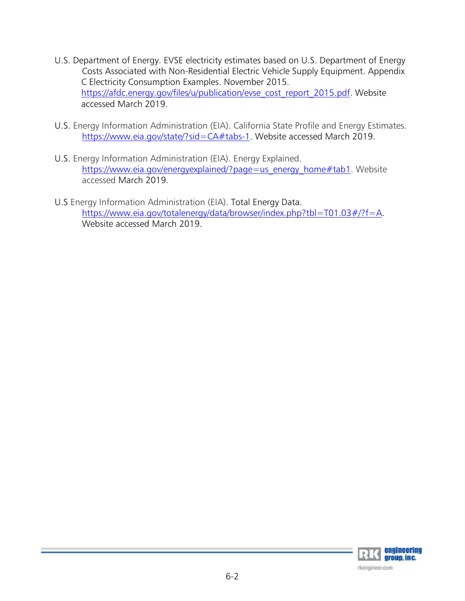- U.S. Department of Energy. EVSE electricity estimates based on U.S. Department of Energy Costs Associated with Non-Residential Electric Vehicle Supply Equipment. Appendix C Electricity Consumption Examples. November 2015. https://afdc.energy.gov/files/u/publication/evse\_cost\_report\_2015.pdf. Website accessed March 2019.
- U.S. Energy Information Administration (EIA). California State Profile and Energy Estimates. https://www.eia.gov/state/?sid=CA#tabs-1. Website accessed March 2019.
- U.S. Energy Information Administration (EIA). Energy Explained. https://www.eia.gov/energyexplained/?page=us\_energy\_home#tab1. Website accessed March 2019.
- U.S Energy Information Administration (EIA). Total Energy Data. https://www.eia.gov/totalenergy/data/browser/index.php?tbl=T01.03#/?f=A. Website accessed March 2019.

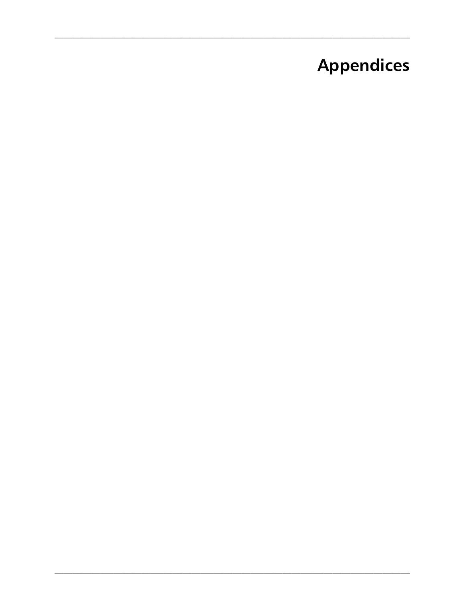# **Appendices**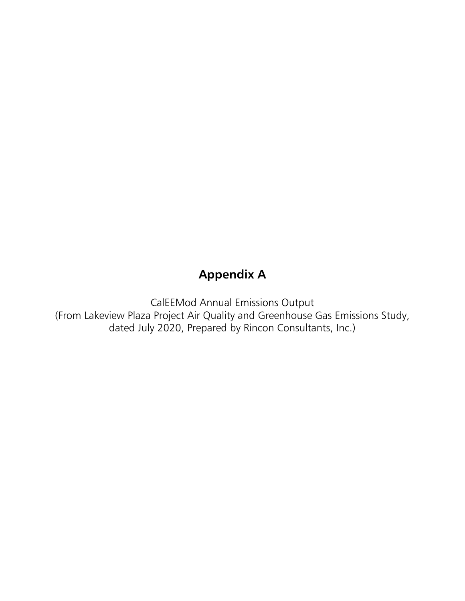# **Appendix A**

CalEEMod Annual Emissions Output (From Lakeview Plaza Project Air Quality and Greenhouse Gas Emissions Study, dated July 2020, Prepared by Rincon Consultants, Inc.)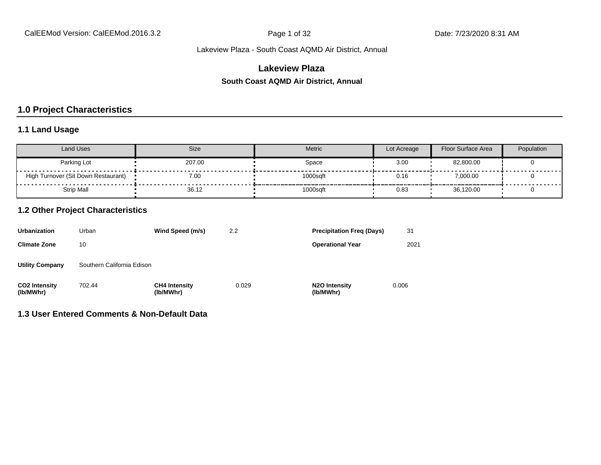# **Lakeview Plaza**

#### **South Coast AQMD Air District, Annual**

# **1.0 Project Characteristics**

# **1.1 Land Usage**

| Land Uses                           | Size   | Metric   | Lot Acreage | Floor Surface Area | Population |
|-------------------------------------|--------|----------|-------------|--------------------|------------|
| Parking Lot                         | 207.00 | Space    | 3.00        | 82.800.00          |            |
| High Turnover (Sit Down Restaurant) | 7.00   | 1000sqft | 0.16        | 7,000.00           |            |
| <b>Strip Mall</b>                   | 36.12  | 1000sqft | 0.83        | 36,120.00          |            |

# **1.2 Other Project Characteristics**

| <b>Urbanization</b>               | Urban                      | Wind Speed (m/s)                  | 2.2   | <b>Precipitation Freg (Days)</b>        | 31    |
|-----------------------------------|----------------------------|-----------------------------------|-------|-----------------------------------------|-------|
| <b>Climate Zone</b>               | 10                         |                                   |       | <b>Operational Year</b>                 | 2021  |
| <b>Utility Company</b>            | Southern California Edison |                                   |       |                                         |       |
| <b>CO2 Intensity</b><br>(lb/MWhr) | 702.44                     | <b>CH4 Intensity</b><br>(lb/MWhr) | 0.029 | N <sub>2</sub> O Intensity<br>(lb/MWhr) | 0.006 |

**1.3 User Entered Comments & Non-Default Data**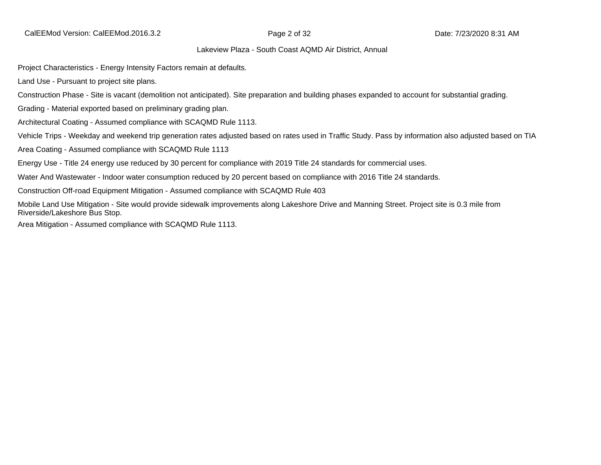Project Characteristics - Energy Intensity Factors remain at defaults.

Land Use - Pursuant to project site plans.

Construction Phase - Site is vacant (demolition not anticipated). Site preparation and building phases expanded to account for substantial grading.

Grading - Material exported based on preliminary grading plan.

Architectural Coating - Assumed compliance with SCAQMD Rule 1113.

Vehicle Trips - Weekday and weekend trip generation rates adjusted based on rates used in Traffic Study. Pass by information also adjusted based on TIA

Area Coating - Assumed compliance with SCAQMD Rule 1113

Energy Use - Title 24 energy use reduced by 30 percent for compliance with 2019 Title 24 standards for commercial uses.

Water And Wastewater - Indoor water consumption reduced by 20 percent based on compliance with 2016 Title 24 standards.

Construction Off-road Equipment Mitigation - Assumed compliance with SCAQMD Rule 403

Mobile Land Use Mitigation - Site would provide sidewalk improvements along Lakeshore Drive and Manning Street. Project site is 0.3 mile from Riverside/Lakeshore Bus Stop.

Area Mitigation - Assumed compliance with SCAQMD Rule 1113.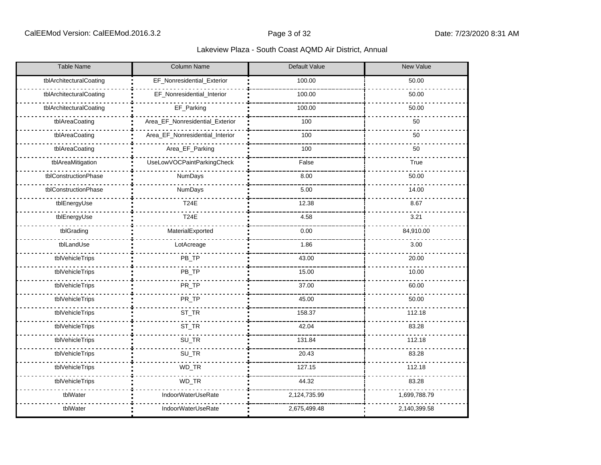| <b>Table Name</b>       | Column Name                     | Default Value | New Value    |
|-------------------------|---------------------------------|---------------|--------------|
| tblArchitecturalCoating | EF_Nonresidential_Exterior      | 100.00        | 50.00        |
| tblArchitecturalCoating | EF_Nonresidential_Interior      | 100.00        | 50.00        |
| tblArchitecturalCoating | EF_Parking                      | 100.00        | 50.00        |
| tblAreaCoating          | Area_EF_Nonresidential_Exterior | 100           | 50           |
| tblAreaCoating          | Area_EF_Nonresidential_Interior | 100           | 50           |
| tblAreaCoating          | Area_EF_Parking                 | 100           | 50           |
| tblAreaMitigation       | UseLowVOCPaintParkingCheck      | False         | True         |
| tblConstructionPhase    | NumDays                         | 8.00          | 50.00        |
| tblConstructionPhase    | NumDays                         | 5.00          | 14.00        |
| tblEnergyUse            | <b>T24E</b>                     | 12.38         | 8.67         |
| tblEnergyUse            | <b>T24E</b>                     | 4.58          | 3.21         |
| tblGrading              | MaterialExported                | 0.00          | 84,910.00    |
| tblLandUse              | LotAcreage                      | 1.86          | 3.00         |
| tblVehicleTrips         | PB_TP                           | 43.00         | 20.00        |
| tblVehicleTrips         | PB_TP                           | 15.00         | 10.00        |
| tblVehicleTrips         | PR_TP                           | 37.00         | 60.00        |
| tblVehicleTrips         | PR_TP                           | 45.00         | 50.00        |
| tblVehicleTrips         | ST_TR                           | 158.37        | 112.18       |
| tblVehicleTrips         | ST_TR                           | 42.04         | 83.28        |
| tblVehicleTrips         | SU_TR                           | 131.84        | 112.18       |
| tblVehicleTrips         | SU_TR                           | 20.43         | 83.28        |
| tblVehicleTrips         | WD_TR                           | 127.15        | 112.18       |
| tblVehicleTrips         | WD_TR                           | 44.32         | 83.28        |
| tblWater                | IndoorWaterUseRate              | 2,124,735.99  | 1,699,788.79 |
| tblWater                | IndoorWaterUseRate              | 2,675,499.48  | 2,140,399.58 |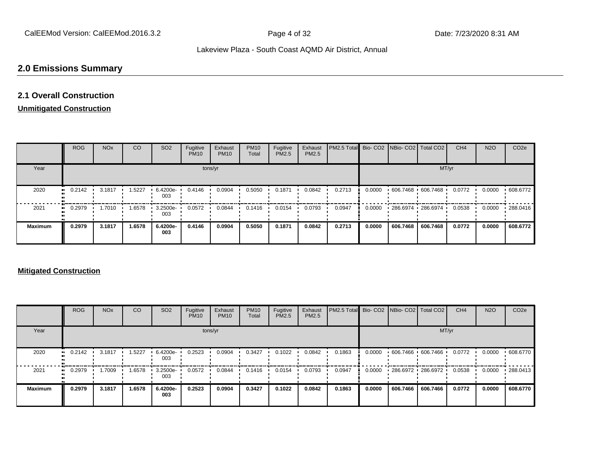# **2.0 Emissions Summary**

# **2.1 Overall Construction**

# **Unmitigated Construction**

|                | <b>ROG</b>                 | <b>NO<sub>x</sub></b> | CO     | SO <sub>2</sub> | Fugitive<br><b>PM10</b> | Exhaust<br><b>PM10</b> | <b>PM10</b><br>Total | Fugitive<br><b>PM2.5</b> | Exhaust<br>PM2.5 | PM2.5 Total Bio- CO2 NBio- CO2 Total CO2 |        |                   |                       | CH <sub>4</sub> | <b>N2O</b> | CO <sub>2e</sub> |
|----------------|----------------------------|-----------------------|--------|-----------------|-------------------------|------------------------|----------------------|--------------------------|------------------|------------------------------------------|--------|-------------------|-----------------------|-----------------|------------|------------------|
| Year           |                            |                       |        |                 |                         | tons/yr                |                      |                          |                  |                                          |        |                   | MT/yr                 |                 |            |                  |
| 2020           | 0.2142<br>$\bullet\bullet$ | 3.1817                | 1.5227 | 6.4200e-<br>003 | 0.4146                  | 0.0904                 | 0.5050               | 0.1871                   | 0.0842           | 0.2713                                   | 0.0000 | 606.7468 606.7468 |                       | 0.0772          | 0.0000     | .608.6772        |
| 2021           | 0.2979<br>$\bullet\bullet$ | 1.7010                | 1.6578 | 3.2500e-<br>003 | 0.0572                  | 0.0844                 | 0.1416               | 0.0154                   | 0.0793           | 0.0947                                   | 0.0000 |                   | 286.6974 1 286.6974 1 | 0.0538          | 0.0000     | 288.0416         |
| <b>Maximum</b> | 0.2979                     | 3.1817                | 1.6578 | 6.4200e-<br>003 | 0.4146                  | 0.0904                 | 0.5050               | 0.1871                   | 0.0842           | 0.2713                                   | 0.0000 | 606.7468          | 606.7468              | 0.0772          | 0.0000     | 608.6772         |

#### **Mitigated Construction**

|                | <b>ROG</b> | <b>NO<sub>x</sub></b> | CO     | SO <sub>2</sub> | Fugitive<br><b>PM10</b> | Exhaust<br><b>PM10</b> | <b>PM10</b><br>Total | Fugitive<br>PM2.5 | Exhaust<br>PM2.5 | <b>PM2.5 Total</b> Bio- CO2 NBio- CO2 Total CO2 |        |            |                   | CH <sub>4</sub> | <b>N2O</b> | CO <sub>2e</sub> |
|----------------|------------|-----------------------|--------|-----------------|-------------------------|------------------------|----------------------|-------------------|------------------|-------------------------------------------------|--------|------------|-------------------|-----------------|------------|------------------|
| Year           |            |                       |        |                 |                         | tons/yr                |                      |                   |                  |                                                 |        |            | MT/yr             |                 |            |                  |
| 2020           | 0.2142     | 3.1817                | 1.5227 | 6.4200e-<br>003 | 0.2523                  | 0.0904                 | 0.3427               | 0.1022            | 0.0842           | 0.1863                                          | 0.0000 |            | 606.7466 606.7466 | 0.0772          | 0.0000     | .608.6770        |
| 2021           | 0.2979     | .7009                 | 1.6578 | 3.2500e-<br>003 | 0.0572                  | 0.0844                 | 0.1416               | 0.0154            | 0.0793           | 0.0947                                          | 0.0000 | 286.6972 • | 286.6972          | 0.0538          | 0.0000     | ▪ 288.0413       |
| <b>Maximum</b> | 0.2979     | 3.1817                | 1.6578 | 6.4200e-<br>003 | 0.2523                  | 0.0904                 | 0.3427               | 0.1022            | 0.0842           | 0.1863                                          | 0.0000 | 606.7466   | 606.7466          | 0.0772          | 0.0000     | 608.6770         |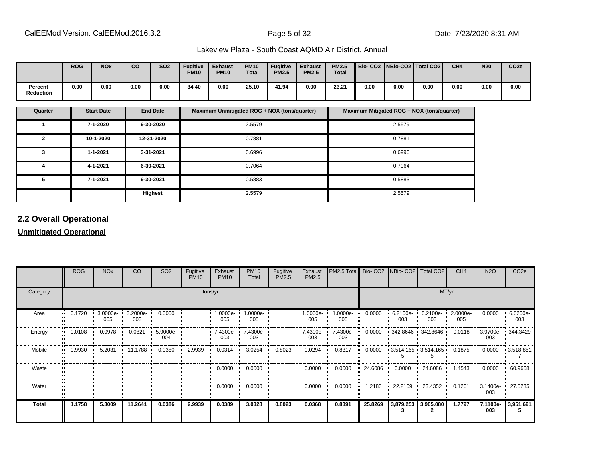|                      | <b>ROG</b> | <b>NO<sub>x</sub></b> | co   | <b>SO2</b> | <b>Fugitive</b><br><b>PM10</b> | <b>Exhaust</b><br><b>PM10</b> | <b>PM10</b><br><b>Total</b> | <b>Fugitive</b><br><b>PM2.5</b> | <b>Exhaust</b><br><b>PM2.5</b> | <b>PM2.5</b><br><b>Total</b> | Bio- CO2   NBio-CO2   Total CO2 |      |      | CH <sub>4</sub> | <b>N20</b> | CO <sub>2e</sub> |
|----------------------|------------|-----------------------|------|------------|--------------------------------|-------------------------------|-----------------------------|---------------------------------|--------------------------------|------------------------------|---------------------------------|------|------|-----------------|------------|------------------|
| Percent<br>Reduction | 0.00       | 0.00                  | 0.00 | 0.00       | 34.40                          | 0.00                          | 25.10                       | 41.94                           | 0.00                           | 23.21                        | 0.00                            | 0.00 | 0.00 | 0.00            | 0.00       | 0.00             |

| Quarter | <b>Start Date</b> | <b>End Date</b> | Maximum Unmitigated ROG + NOX (tons/quarter) | Maximum Mitigated ROG + NOX (tons/quarter) |
|---------|-------------------|-----------------|----------------------------------------------|--------------------------------------------|
|         | 7-1-2020          | 9-30-2020       | 2.5579                                       | 2.5579                                     |
| 2       | 10-1-2020         | 12-31-2020      | 0.7881                                       | 0.7881                                     |
| 3       | $1 - 1 - 2021$    | 3-31-2021       | 0.6996                                       | 0.6996                                     |
| д       | 4-1-2021          | 6-30-2021       | 0.7064                                       | 0.7064                                     |
| 5       | 7-1-2021          | 9-30-2021       | 0.5883                                       | 0.5883                                     |
|         |                   | Highest         | 2.5579                                       | 2.5579                                     |

# **2.2 Overall Operational**

# **Unmitigated Operational**

|          | <b>ROG</b> | <b>NO<sub>x</sub></b> | CO              | SO <sub>2</sub> | Fugitive<br><b>PM10</b> | Exhaust<br><b>PM10</b>          | <b>PM10</b><br>Total | Fugitive<br>PM2.5 | Exhaust<br>PM2.5 | PM2.5 Total Bio- CO2 NBio- CO2 Total CO2 |           |                      |                                           | CH <sub>4</sub> | <b>N2O</b>         | CO <sub>2e</sub>  |  |  |  |
|----------|------------|-----------------------|-----------------|-----------------|-------------------------|---------------------------------|----------------------|-------------------|------------------|------------------------------------------|-----------|----------------------|-------------------------------------------|-----------------|--------------------|-------------------|--|--|--|
| Category |            | tons/yr               |                 |                 |                         |                                 |                      |                   |                  |                                          |           |                      | MT/yr                                     |                 |                    |                   |  |  |  |
| Area     | 0.1720     | 3.0000e-<br>005       | 3.2000e-<br>003 | 0.0000          |                         | $1.0000e - 1$<br>005            | 1.0000e-<br>005      |                   | 1.0000e-<br>005  | 1.0000e-<br>005                          | 0.0000    | $6.2100e - 1$<br>003 | $6.2100e -$<br>003                        | 2.0000e-<br>005 | 0.0000             | 6.6200e-<br>003   |  |  |  |
| Energy   | 0.0108     | 0.0978                | 0.0821          | 5.9000e-<br>004 |                         | $\cdot$ 7.4300e- $\cdot$<br>003 | 7.4300e-<br>003      |                   | 7.4300e-<br>003  | 7.4300e-<br>003                          | 0.0000    |                      | $\cdot$ 342.8646 $\cdot$ 342.8646 $\cdot$ | 0.0118          | $3.9700e -$<br>003 | 344.3429          |  |  |  |
| Mobile   | 0.9930     | 5.2031                | 11.1788         | 0.0380          | 2.9939                  | 0.0314                          | 3.0254               | 0.8023            | 0.0294           | 0.8317                                   |           |                      | $0.0000$ $3,514.165$ $3,514.165$ $0.1875$ |                 | 0.0000             | $\cdot$ 3,518.851 |  |  |  |
| Waste    |            |                       |                 |                 |                         | 0.0000                          | 0.0000               |                   | 0.0000           | 0.0000                                   | 24.6086 · | 0.0000               | 24.6086                                   | 1.4543          | 0.0000             | .60.9668          |  |  |  |
| Water    |            |                       |                 |                 |                         | 0.0000                          | 0.0000               |                   | 0.0000           | 0.0000                                   | 1.2183    | 22.2169              | 23.4352                                   | 0.1261          | 3.1400e-<br>003    | 27.5235           |  |  |  |
| Total    | 1.1758     | 5.3009                | 11.2641         | 0.0386          | 2.9939                  | 0.0389                          | 3.0328               | 0.8023            | 0.0368           | 0.8391                                   | 25.8269   |                      | 3,879.253 3,905.080                       | 1.7797          | 7.1100e-<br>003    | 3,951.691         |  |  |  |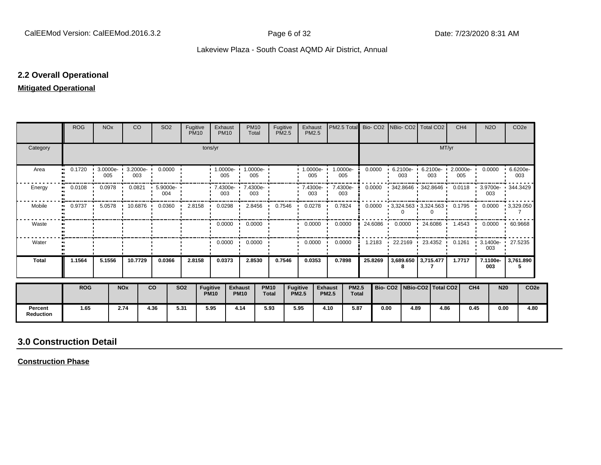# **2.2 Overall Operational**

# **Mitigated Operational**

|                             | <b>ROG</b>                                       | <b>NO<sub>x</sub></b> |                       | CO <sub>2</sub>                | SO <sub>2</sub>       | Fugitive   | <b>PM10</b>                    | Exhaust<br><b>PM10</b>                         | <b>PM10</b><br>Total          | Fugitive<br><b>PM2.5</b>    |                                 | Exhaust<br>PM2.5        | PM2.5 Total Bio- CO2 NBio- CO2 Total CO2 |                              |         |                                 |      |       | CH <sub>4</sub>                      |                 | <b>N2O</b>      | CO <sub>2e</sub>                                                    |
|-----------------------------|--------------------------------------------------|-----------------------|-----------------------|--------------------------------|-----------------------|------------|--------------------------------|------------------------------------------------|-------------------------------|-----------------------------|---------------------------------|-------------------------|------------------------------------------|------------------------------|---------|---------------------------------|------|-------|--------------------------------------|-----------------|-----------------|---------------------------------------------------------------------|
| Category                    |                                                  |                       |                       |                                |                       |            | tons/yr                        |                                                |                               |                             |                                 |                         |                                          |                              |         |                                 |      | MT/yr |                                      |                 |                 |                                                                     |
| Area                        | 0.1720 · 3.0000e · 3.2000e · 0.0000<br>$\bullet$ | 005                   |                       | 003                            |                       |            |                                | 1.0000e-1.0000e-1<br>005                       | 005                           |                             |                                 | $1.0000e - 1$<br>005    | 1.0000e-<br>005                          |                              | 0.0000  | 003                             |      | 003   | $6.2100e - 6.2100e - 2.0000e$<br>005 |                 |                 | $0.0000 + 6.6200e$<br>003                                           |
| Energy                      | 0.0108                                           | 0.0978<br>$\cdot$     | - 11                  | 0.0821                         | $.5.9000e - 1$<br>004 |            |                                | $\cdot$ 7.4300e $\cdot$ 7.4300e $\cdot$<br>003 | 003                           |                             |                                 | $-7.4300e-$<br>003      | 7.4300e-<br>-<br>003                     |                              | 0.0000  |                                 |      |       |                                      |                 | 003             | 342.8646 · 342.8646 · 0.0118 · 3.9700e · 344.3429                   |
| Mobile                      | $0.9737$ $\cdot$<br>$\bullet\bullet$             |                       |                       | 5.0578 10.6876 0.0360 2.8158 1 |                       |            |                                |                                                | 0.0298 1 2.8456 0.7546        |                             | $\mathbf{r}$                    | $0.0278$ $\blacksquare$ | 0.7824                                   |                              | 0.0000  |                                 |      |       |                                      |                 |                 | $\cdot$ 3,324.563 $\cdot$ 3,324.563 0.1795 0.0000 $\cdot$ 3,329.050 |
| Waste                       |                                                  |                       |                       |                                |                       |            |                                |                                                | $0.0000$ $\cdot$ 0.0000       |                             |                                 | $0.0000$ $\blacksquare$ | 0.0000                                   |                              | 24.6086 |                                 |      |       |                                      |                 |                 | $0.0000$ $1.4543$ $0.0000$ $60.9668$                                |
| Water                       |                                                  |                       |                       |                                |                       |            |                                | $0.0000$ $\cdot$                               | 0.0000                        |                             |                                 | 0.0000                  | 0.0000                                   |                              | 1.2183  |                                 |      |       | 22.2169 1 23.4352 0.1261             |                 | 003             | 3.1400e- 27.5235                                                    |
| <b>Total</b>                | 1.1564                                           | 5.1556                |                       | 10.7729                        | 0.0366                |            | 2.8158                         | 0.0373                                         | 2.8530                        | 0.7546                      |                                 | 0.0353                  | 0.7898                                   |                              | 25.8269 | 3,689.650 3,715.477             |      |       | 1.7717                               |                 | 7.1100e-<br>003 | 3,761.890<br>5                                                      |
|                             | <b>ROG</b>                                       |                       | <b>NO<sub>x</sub></b> |                                | <b>CO</b>             | <b>SO2</b> | <b>Fugitive</b><br><b>PM10</b> |                                                | <b>Exhaust</b><br><b>PM10</b> | <b>PM10</b><br><b>Total</b> | <b>Fugitive</b><br><b>PM2.5</b> |                         | <b>Exhaust</b><br><b>PM2.5</b>           | <b>PM2.5</b><br><b>Total</b> |         | Bio- CO2   NBio-CO2   Total CO2 |      |       |                                      | CH <sub>4</sub> | <b>N20</b>      | CO <sub>2e</sub>                                                    |
| Percent<br><b>Reduction</b> | 1.65                                             |                       | 2.74                  |                                | 4.36                  | 5.31       |                                | 5.95                                           | 4.14                          | 5.93                        | 5.95                            |                         | 4.10                                     | 5.87                         | 0.00    |                                 | 4.89 | 4.86  |                                      | 0.45            | 0.00            | 4.80                                                                |

# **3.0 Construction Detail**

**Construction Phase**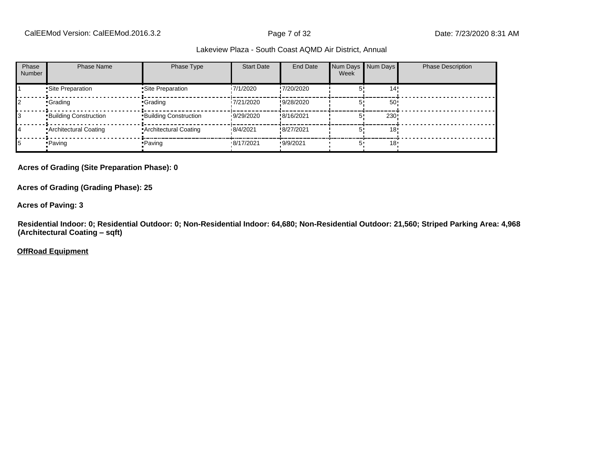| Phase<br>Number | <b>Phase Name</b>            | Phase Type                   | <b>Start Date</b> | End Date   | Num Days Num Days<br>Week |                 | <b>Phase Description</b> |
|-----------------|------------------------------|------------------------------|-------------------|------------|---------------------------|-----------------|--------------------------|
|                 | Site Preparation             | •Site Preparation            | 17/1/2020         | !7/20/2020 |                           | 14'             |                          |
|                 | •Grading                     | •Grading                     | 17/21/2020        | !9/28/2020 |                           | 50 <sub>1</sub> |                          |
|                 | <b>Building Construction</b> | <b>Building Construction</b> | 19/29/2020        | !8/16/2021 |                           | 230!            |                          |
| 14              | <b>Architectural Coating</b> | • Architectural Coating      | 18/4/2021         | !8/27/2021 |                           | 18'             |                          |
|                 | • Paving                     | •Paving                      | 8/17/2021         | .9/9/2021  |                           | 18 <sup>1</sup> |                          |

#### **Acres of Grading (Site Preparation Phase): 0**

**Acres of Grading (Grading Phase): 25**

#### **Acres of Paving: 3**

**Residential Indoor: 0; Residential Outdoor: 0; Non-Residential Indoor: 64,680; Non-Residential Outdoor: 21,560; Striped Parking Area: 4,968 (Architectural Coating ±sqft)**

#### **OffRoad Equipment**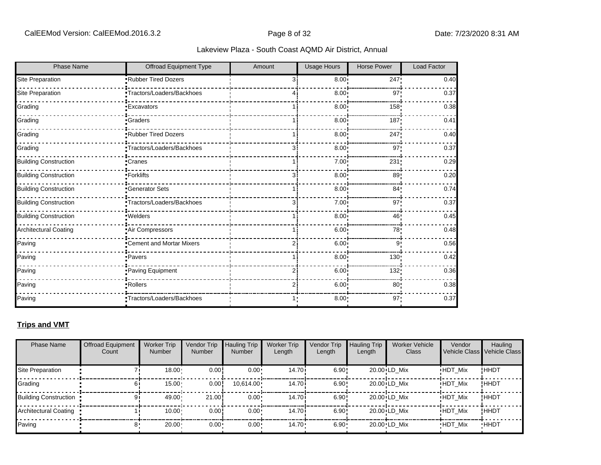| <b>Phase Name</b>            | Offroad Equipment Type     | Amount | <b>Usage Hours</b> | <b>Horse Power</b> | Load Factor |
|------------------------------|----------------------------|--------|--------------------|--------------------|-------------|
| Site Preparation             | Rubber Tired Dozers        | зi     | 8.00               | 247!               | 0.40        |
| Site Preparation             | •Tractors/Loaders/Backhoes |        | 8.00 <sub>1</sub>  | 97 <sub>1</sub>    | 0.37        |
| Grading                      | <b>Excavators</b>          |        | 8.00 <sub>1</sub>  | 158                | 0.38        |
| Grading                      | <b>Craders</b>             |        | 8.00 <sub>1</sub>  | 187                | 0.41        |
| Grading                      | Rubber Tired Dozers        |        | 8.00               | 247!               | 0.40        |
| Grading                      | Tractors/Loaders/Backhoes  | зi     | 8.00               | 97                 | 0.37        |
| <b>Building Construction</b> | Cranes                     |        | 7.00               | 231                | 0.29        |
| <b>Building Construction</b> | -Forklifts                 | 3      | 8.00               | 89                 | 0.20        |
| <b>Building Construction</b> | Generator Sets             |        | 8.00               | 84'                | 0.74        |
| <b>Building Construction</b> | Tractors/Loaders/Backhoes  | 3      | 7.00               | 97'                | 0.37        |
| <b>Building Construction</b> | · Welders                  |        | 8.00               | 46'                | 0.45        |
| Architectural Coating        | Air Compressors            |        | 6.00 <sub>1</sub>  | 78                 | 0.48        |
| Paving                       | "Cement and Mortar Mixers  |        | 6.00               | 9                  | 0.56        |
| Paving                       | ·Pavers                    |        | 8.00               | 130                | 0.42        |
| Paving                       | Paving Equipment           |        | 6.00               | 132                | 0.36        |
| Paving                       | ·Rollers                   |        | 6.00 <sub>1</sub>  | 80 <sub>1</sub>    | 0.38        |
| Paving                       | Tractors/Loaders/Backhoes  |        | 8.00:              | 97:                | 0.37        |

# **Trips and VMT**

| <b>Phase Name</b>              | <b>Offroad Equipment</b><br>Count | <b>Worker Trip</b><br><b>Number</b> | Vendor Trip<br><b>Number</b> | Hauling Trip<br><b>Number</b> | <b>Worker Trip</b><br>Length | <b>Vendor Trip</b><br>Length | <b>Hauling Trip</b><br>Length | <b>Worker Vehicle</b><br>Class | Vendor         | Hauling<br>Vehicle Class Vehicle Class |
|--------------------------------|-----------------------------------|-------------------------------------|------------------------------|-------------------------------|------------------------------|------------------------------|-------------------------------|--------------------------------|----------------|----------------------------------------|
| Site Preparation               |                                   | 18.00                               | 0.00                         | $0.00 \cdot$                  | 14.70 <sup>i</sup>           | 6.90!                        |                               | 20.00 LD Mix                   | <b>HDT Mix</b> | ! ННDТ                                 |
| Grading                        |                                   | 15.00                               | $0.00$ !                     | 10,614.00                     | 14.70 <sup>i</sup>           | 6.90!                        |                               | 20.00 LD Mix                   | <b>HDT Mix</b> | ! ННDТ                                 |
| <b>Building Construction</b> • |                                   | 49.00                               | 21.00                        | $0.00 \cdot$                  | 14.70i                       | 6.90!                        |                               | 20.00 LD Mix                   | <b>HDT Mix</b> | ! ННDТ                                 |
| Architectural Coating          |                                   | 10.00                               | 0.00!                        | $0.00 \cdot$                  | 14.70 <sup>i</sup>           | 6.90!                        |                               | 20.00 LD Mix                   | <b>HDT Mix</b> | ! ННDТ                                 |
| Paving                         |                                   | 20.00                               | $0.00 -$                     | $0.00 \cdot$                  | $14.70 \cdot$                | $6.90 \cdot$                 |                               | 20.00 LD Mix                   | <b>HDT Mix</b> | <b>HHDT</b>                            |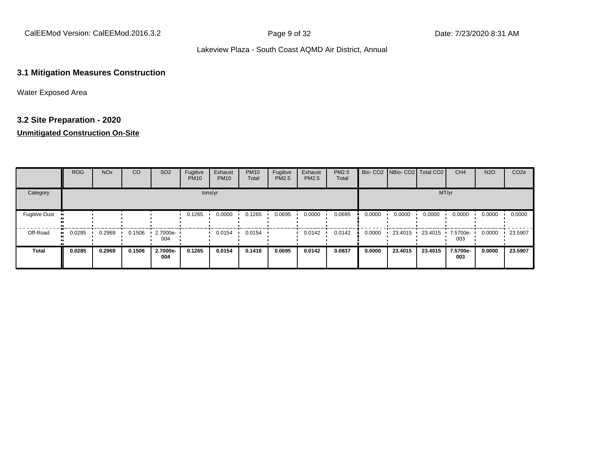CalEEMod Version: CalEEMod.2016.3.2 **Page 9 of 32** Page 9 of 32 Date: 7/23/2020 8:31 AM

#### Lakeview Plaza - South Coast AQMD Air District, Annual

# **3.1 Mitigation Measures Construction**

Water Exposed Area

# **3.2 Site Preparation - 2020**

# **Unmitigated Construction On-Site**

|                      | <b>ROG</b> | <b>NO<sub>x</sub></b> | CO     | SO <sub>2</sub> | Fugitive<br><b>PM10</b> | Exhaust<br><b>PM10</b> | <b>PM10</b><br>Total | Fugitive<br>PM2.5 | Exhaust<br><b>PM2.5</b> | PM2.5<br>Total |        | Bio- CO2   NBio- CO2   Total CO2 |         | CH <sub>4</sub> | <b>N2O</b> | CO <sub>2e</sub> |
|----------------------|------------|-----------------------|--------|-----------------|-------------------------|------------------------|----------------------|-------------------|-------------------------|----------------|--------|----------------------------------|---------|-----------------|------------|------------------|
| Category             |            |                       |        |                 |                         | tons/yr                |                      |                   |                         |                |        |                                  | MT/yr   |                 |            |                  |
| <b>Fugitive Dust</b> |            |                       |        |                 | 0.1265                  | 0.0000                 | 0.1265               | 0.0695            | 0.0000                  | 0.0695         | 0.0000 | 0.0000                           | 0.0000  | 0.0000          | 0.0000     | 0.0000           |
| Off-Road             | 0.0285     | 0.2969                | 0.1506 | 2.7000e-<br>004 |                         | 0.0154                 | 0.0154               |                   | 0.0142                  | 0.0142         | 0.0000 | 23.4015                          | 23.4015 | 7.5700e-<br>003 | 0.0000     | 23.5907          |
| <b>Total</b>         | 0.0285     | 0.2969                | 0.1506 | 2.7000e-<br>004 | 0.1265                  | 0.0154                 | 0.1418               | 0.0695            | 0.0142                  | 0.0837         | 0.0000 | 23.4015                          | 23,4015 | 7.5700e-<br>003 | 0.0000     | 23.5907          |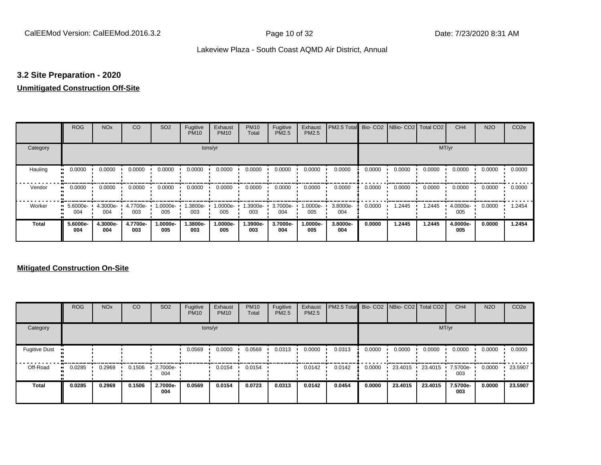# **3.2 Site Preparation - 2020**

# **Unmitigated Construction Off-Site**

|               | <b>ROG</b>                   | <b>NO<sub>x</sub></b> | CO              | SO <sub>2</sub> | Fugitive<br><b>PM10</b> | Exhaust<br><b>PM10</b> | <b>PM10</b><br>Total | Fugitive<br><b>PM2.5</b> | Exhaust<br>PM2.5 | PM2.5 Total Bio- CO2 NBio- CO2 Total CO2 |        |        |        | CH <sub>4</sub> | <b>N2O</b> | CO <sub>2e</sub> |
|---------------|------------------------------|-----------------------|-----------------|-----------------|-------------------------|------------------------|----------------------|--------------------------|------------------|------------------------------------------|--------|--------|--------|-----------------|------------|------------------|
| Category      |                              |                       |                 |                 | tons/yr                 |                        |                      |                          |                  |                                          |        |        | MT/yr  |                 |            |                  |
| Hauling<br>81 | 0.0000                       | 0.0000                | 0.0000          | 0.0000          | 0.0000                  | 0.0000                 | 0.0000               | 0.0000                   | 0.0000           | 0.0000                                   | 0.0000 | 0.0000 | 0.0000 | 0.0000          | 0.0000     | 0.0000           |
| Vendor        | 0.0000<br>$\bullet$          | 0.0000                | 0.0000          | 0.0000          | 0.0000                  | 0.0000                 | 0.0000               | 0.0000                   | 0.0000           | 0.0000                                   | 0.0000 | 0.0000 | 0.0000 | 0.0000          | 0.0000     | 0.0000           |
| Worker        | 5.6000e-<br>$\bullet$<br>004 | 4.3000e-<br>004       | 4.7700e-<br>003 | -:0000e<br>005  | 1.3800e-<br>003         | 1.0000e-<br>005        | 1.3900e-<br>003      | 3.7000e-<br>004          | 1.0000e-<br>005  | 3.8000e-<br>004                          | 0.0000 | .2445  | 1.2445 | 4.0000e-<br>005 | 0.0000     | 1.2454           |
| <b>Total</b>  | 5.6000e-<br>004              | 4.3000e-<br>004       | 4.7700e-<br>003 | 1.0000e-<br>005 | 1.3800e-<br>003         | 1.0000e-<br>005        | 1.3900e-<br>003      | 3.7000e-<br>004          | -.0000e<br>005   | 3.8000e-<br>004                          | 0.0000 | 1.2445 | 1.2445 | 4.0000e-<br>005 | 0.0000     | 1.2454           |

# **Mitigated Construction On-Site**

|                      | <b>ROG</b> | <b>NO<sub>x</sub></b> | CO     | SO <sub>2</sub> | Fugitive<br><b>PM10</b> | Exhaust<br><b>PM10</b> | <b>PM10</b><br>Total | Fugitive<br><b>PM2.5</b> | Exhaust<br><b>PM2.5</b> | PM2.5 Total Bio-CO2 NBio-CO2 Total CO2 |        |           |         | CH <sub>4</sub> | <b>N2O</b> | CO <sub>2e</sub> |
|----------------------|------------|-----------------------|--------|-----------------|-------------------------|------------------------|----------------------|--------------------------|-------------------------|----------------------------------------|--------|-----------|---------|-----------------|------------|------------------|
| Category             |            |                       |        |                 |                         | tons/yr                |                      |                          |                         |                                        |        |           | MT/yr   |                 |            |                  |
| <b>Fugitive Dust</b> |            |                       |        |                 | 0.0569                  | 0.0000                 | 0.0569               | 0.0313                   | 0.0000                  | 0.0313                                 | 0.0000 | 0.0000    | 0.0000  | 0.0000          | 0.0000     | 0.0000           |
| Off-Road             | 0.0285     | 0.2969                | 0.1506 | 2.7000e-<br>004 |                         | 0.0154                 | 0.0154               |                          | 0.0142                  | 0.0142                                 | 0.0000 | 23.4015 · | 23.4015 | 7.5700e-<br>003 | 0.0000     | 23.5907          |
| <b>Total</b>         | 0.0285     | 0.2969                | 0.1506 | 2.7000e-<br>004 | 0.0569                  | 0.0154                 | 0.0723               | 0.0313                   | 0.0142                  | 0.0454                                 | 0.0000 | 23.4015   | 23.4015 | 7.5700e-<br>003 | 0.0000     | 23.5907          |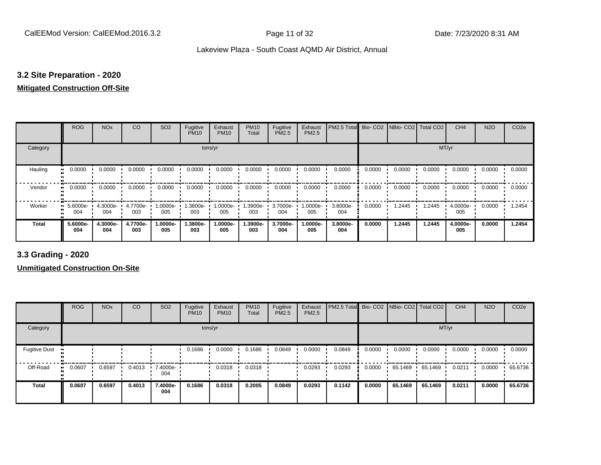# **3.2 Site Preparation - 2020**

# **Mitigated Construction Off-Site**

|                     | <b>ROG</b>        | <b>NO<sub>x</sub></b> | CO              | SO <sub>2</sub> | Fugitive<br><b>PM10</b> | Exhaust<br><b>PM10</b> | <b>PM10</b><br>Total | Fugitive<br><b>PM2.5</b> | Exhaust<br>PM2.5 | PM2.5 Total     |        | Bio- CO2 NBio- CO2 Total CO2 |        | CH <sub>4</sub> | <b>N2O</b> | CO <sub>2e</sub> |
|---------------------|-------------------|-----------------------|-----------------|-----------------|-------------------------|------------------------|----------------------|--------------------------|------------------|-----------------|--------|------------------------------|--------|-----------------|------------|------------------|
| Category            |                   |                       |                 |                 | tons/yr                 |                        |                      |                          |                  |                 |        |                              | MT/yr  |                 |            |                  |
| Hauling             | 0.0000<br>.,      | 0.0000                | 0.0000          | 0.0000          | 0.0000                  | 0.0000                 | 0.0000               | 0.0000                   | 0.0000           | 0.0000          | 0.0000 | 0.0000                       | 0.0000 | 0.0000          | 0.0000     | 0.0000           |
| Vendor<br>$\bullet$ | 0.0000            | 0.0000                | 0.0000          | 0.0000          | 0.0000                  | 0.0000                 | 0.0000               | 0.0000                   | 0.0000           | 0.0000          | 0.0000 | 0.0000                       | 0.0000 | 0.0000          | 0.0000     | 0.0000           |
| Worker              | $5.6000e-$<br>004 | 4.3000e-<br>004       | 4.7700e-<br>003 | 1.0000e-<br>005 | 1.3800e-<br>003         | 1.0000e-<br>005        | 1.3900e-<br>003      | 3.7000e-<br>004          | 1.0000e-<br>005  | 3.8000e-<br>004 | 0.0000 | 1.2445                       | 1.2445 | 4.0000e-<br>005 | 0.0000     | 1.2454           |
| <b>Total</b>        | 5.6000e-<br>004   | 4.3000e-<br>004       | 4.7700e-<br>003 | -.0000e<br>005  | 1.3800e-<br>003         | 1.0000e-<br>005        | 1.3900e-<br>003      | 3.7000e-<br>004          | -.0000e<br>005   | 3.8000e-<br>004 | 0.0000 | 1.2445                       | 1.2445 | 4.0000e-<br>005 | 0.0000     | 1.2454           |

**3.3 Grading - 2020**

**Unmitigated Construction On-Site**

|                      | <b>ROG</b>   | <b>NO<sub>x</sub></b> | CO     | SO <sub>2</sub> | Fugitive<br><b>PM10</b> | Exhaust<br><b>PM10</b> | <b>PM10</b><br>Total | Fugitive<br><b>PM2.5</b> | Exhaust<br><b>PM2.5</b> | PM2.5 Total Bio- CO2 NBio- CO2 Total CO2 |        |         |         | CH <sub>4</sub> | <b>N2O</b> | CO <sub>2e</sub> |
|----------------------|--------------|-----------------------|--------|-----------------|-------------------------|------------------------|----------------------|--------------------------|-------------------------|------------------------------------------|--------|---------|---------|-----------------|------------|------------------|
| Category             |              |                       |        |                 |                         | tons/yr                |                      |                          |                         |                                          |        |         | MT/yr   |                 |            |                  |
| <b>Fugitive Dust</b> |              |                       |        |                 | 0.1686                  | 0.0000                 | 0.1686               | 0.0849                   | 0.0000                  | 0.0849                                   | 0.0000 | 0.0000  | 0.0000  | 0.0000          | 0.0000     | 0.0000           |
| Off-Road             | 0.0607<br>ш. | 0.6597                | 0.4013 | 7.4000e-<br>004 |                         | 0.0318                 | 0.0318               |                          | 0.0293                  | 0.0293                                   | 0.0000 | 65.1469 | 65.1469 | 0.0211          | 0.0000     | 65.6736          |
| <b>Total</b>         | 0.0607       | 0.6597                | 0.4013 | 7.4000e-<br>004 | 0.1686                  | 0.0318                 | 0.2005               | 0.0849                   | 0.0293                  | 0.1142                                   | 0.0000 | 65.1469 | 65.1469 | 0.0211          | 0.0000     | 65.6736          |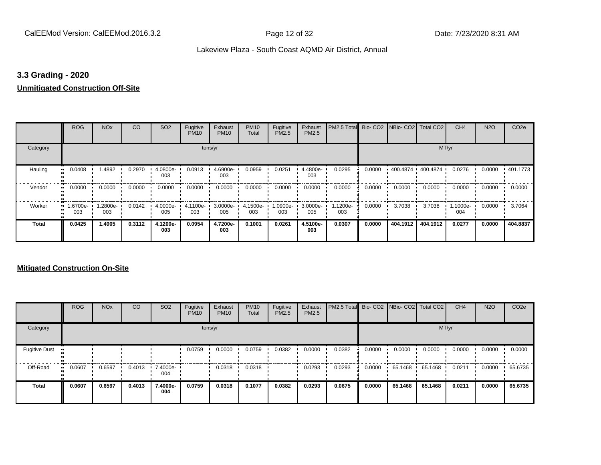# **3.3 Grading - 2020**

#### **Unmitigated Construction Off-Site**

|              | <b>ROG</b>     | <b>NO<sub>x</sub></b> | CO     | SO <sub>2</sub> | Fugitive<br><b>PM10</b> | Exhaust<br><b>PM10</b> | <b>PM10</b><br>Total | Fugitive<br>PM2.5 | Exhaust<br>PM2.5 | PM2.5 Total     | Bio-CO <sub>2</sub> | NBio- CO2   Total CO2 |          | CH <sub>4</sub> | <b>N2O</b> | CO <sub>2e</sub> |
|--------------|----------------|-----------------------|--------|-----------------|-------------------------|------------------------|----------------------|-------------------|------------------|-----------------|---------------------|-----------------------|----------|-----------------|------------|------------------|
| Category     |                |                       |        |                 | tons/yr                 |                        |                      |                   |                  |                 |                     |                       | MT/yr    |                 |            |                  |
| Hauling      | 0.0408         | 1.4892                | 0.2970 | 4.0800e-<br>003 | 0.0913                  | 4.6900e-<br>003        | 0.0959               | 0.0251            | 4.4800e-<br>003  | 0.0295          | 0.0000              | 400.4874 400.4874     |          | 0.0276          | 0.0000     | .401.1773        |
| Vendor       | 0.0000         | 0.0000                | 0.0000 | 0.0000          | 0.0000                  | 0.0000                 | 0.0000               | 0.0000            | 0.0000           | 0.0000          | 0.0000              | 0.0000                | 0.0000   | 0.0000          | 0.0000     | 0.0000           |
| Worker       | -6700e-<br>003 | 1.2800e-<br>003       | 0.0142 | 4.0000e-<br>005 | 4.1100e-<br>003         | 3.0000e-<br>005        | 4.1500e-<br>003      | 1.0900e-<br>003   | 3.0000e-<br>005  | 1.1200e-<br>003 | 0.0000              | 3.7038                | 3.7038   | 1.1000e-<br>004 | 0.0000     | 3.7064           |
| <b>Total</b> | 0.0425         | 1.4905                | 0.3112 | 4.1200e-<br>003 | 0.0954                  | 4.7200e-<br>003        | 0.1001               | 0.0261            | 4.5100e-<br>003  | 0.0307          | 0.0000              | 404.1912              | 404.1912 | 0.0277          | 0.0000     | 404.8837         |

# **Mitigated Construction On-Site**

|                      | <b>ROG</b>   | <b>NO<sub>x</sub></b> | CO     | SO <sub>2</sub> | Fugitive<br><b>PM10</b> | Exhaust<br><b>PM10</b> | <b>PM10</b><br>Total | Fugitive<br>PM2.5 | Exhaust<br><b>PM2.5</b> | <b>PM2.5 Total</b> Bio- CO2 NBio- CO2 Total CO2 |        |         |         | CH <sub>4</sub> | <b>N2O</b> | CO <sub>2e</sub> |
|----------------------|--------------|-----------------------|--------|-----------------|-------------------------|------------------------|----------------------|-------------------|-------------------------|-------------------------------------------------|--------|---------|---------|-----------------|------------|------------------|
| Category             |              |                       |        |                 |                         | tons/yr                |                      |                   |                         |                                                 |        |         | MT/yr   |                 |            |                  |
| <b>Fugitive Dust</b> |              |                       |        |                 | 0.0759                  | 0.0000                 | 0.0759               | 0.0382            | 0.0000                  | 0.0382                                          | 0.0000 | 0.0000  | 0.0000  | 0.0000          | 0.0000     | 0.0000           |
| Off-Road             | 0.0607<br>ш. | 0.6597                | 0.4013 | 7.4000e-<br>004 |                         | 0.0318                 | 0.0318               |                   | 0.0293                  | 0.0293                                          | 0.0000 | 65.1468 | 65.1468 | 0.0211          | 0.0000     | 65.6735          |
| <b>Total</b>         | 0.0607       | 0.6597                | 0.4013 | 7.4000e-<br>004 | 0.0759                  | 0.0318                 | 0.1077               | 0.0382            | 0.0293                  | 0.0675                                          | 0.0000 | 65.1468 | 65.1468 | 0.0211          | 0.0000     | 65.6735          |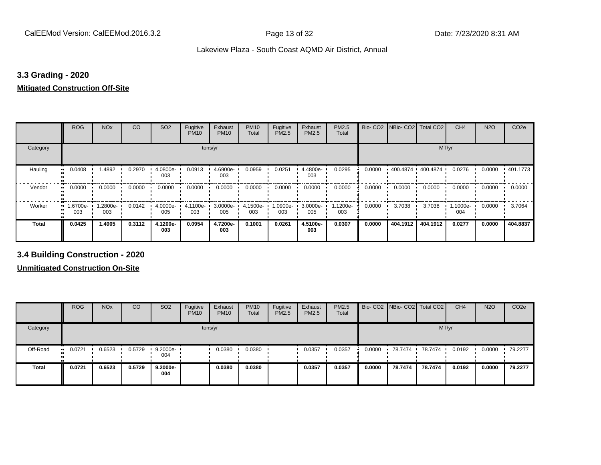# **3.3 Grading - 2020**

# **Mitigated Construction Off-Site**

|              | <b>ROG</b>     | <b>NO<sub>x</sub></b> | CO     | SO <sub>2</sub> | Fugitive<br><b>PM10</b> | Exhaust<br><b>PM10</b> | <b>PM10</b><br>Total | Fugitive<br>PM2.5 | Exhaust<br>PM2.5 | PM2.5<br>Total  | Bio-CO <sub>2</sub> | NBio- CO2   Total CO2 |          | CH <sub>4</sub> | <b>N2O</b> | CO <sub>2e</sub> |
|--------------|----------------|-----------------------|--------|-----------------|-------------------------|------------------------|----------------------|-------------------|------------------|-----------------|---------------------|-----------------------|----------|-----------------|------------|------------------|
| Category     |                |                       |        |                 |                         | tons/yr                |                      |                   |                  |                 |                     |                       | MT/yr    |                 |            |                  |
| Hauling      | 0.0408         | 1.4892                | 0.2970 | 4.0800e-<br>003 | 0.0913                  | 4.6900e-<br>003        | 0.0959               | 0.0251            | 4.4800e-<br>003  | 0.0295          | 0.0000              | 400.4874 400.4874     |          | 0.0276          | 0.0000     | $+401.1773$      |
| Vendor       | 0.0000         | 0.0000                | 0.0000 | 0.0000          | 0.0000                  | 0.0000                 | 0.0000               | 0.0000            | 0.0000           | 0.0000          | 0.0000              | 0.0000                | 0.0000   | 0.0000          | 0.0000     | 0.0000           |
| Worker       | -6700e.<br>003 | 1.2800e-<br>003       | 0.0142 | 4.0000e-<br>005 | 4.1100e-<br>003         | 3.0000e-<br>005        | 4.1500e-<br>003      | -0900e-<br>003    | 3.0000e-<br>005  | 1.1200e-<br>003 | 0.0000              | 3.7038                | 3.7038   | 1.1000e-<br>004 | 0.0000     | 3.7064           |
| <b>Total</b> | 0.0425         | 1.4905                | 0.3112 | 4.1200e-<br>003 | 0.0954                  | 4.7200e-<br>003        | 0.1001               | 0.0261            | 4.5100e-<br>003  | 0.0307          | 0.0000              | 404.1912              | 404.1912 | 0.0277          | 0.0000     | 404.8837         |

**3.4 Building Construction - 2020**

**Unmitigated Construction On-Site**

|              | <b>ROG</b>          | <b>NO<sub>x</sub></b> | CO     | SO <sub>2</sub>    | Fugitive<br><b>PM10</b> | Exhaust<br><b>PM10</b> | <b>PM10</b><br>Total | Fugitive<br><b>PM2.5</b> | Exhaust<br>PM2.5 | <b>PM2.5</b><br>Total |        | Bio- CO2   NBio- CO2   Total CO2 |         | CH <sub>4</sub> | <b>N2O</b> | CO <sub>2e</sub> |
|--------------|---------------------|-----------------------|--------|--------------------|-------------------------|------------------------|----------------------|--------------------------|------------------|-----------------------|--------|----------------------------------|---------|-----------------|------------|------------------|
| Category     |                     |                       |        |                    |                         | tons/yr                |                      |                          |                  |                       |        |                                  |         | MT/yr           |            |                  |
| Off-Road     | 0.0721<br>$\bullet$ | 0.6523                | 0.5729 | $9.2000e -$<br>004 |                         | 0.0380                 | 0.0380               |                          | 0.0357           | 0.0357                | 0.0000 | 78.7474                          | 78.7474 | 0.0192          | 0.0000     | 79.2277          |
| <b>Total</b> | 0.0721              | 0.6523                | 0.5729 | 9.2000e-<br>004    |                         | 0.0380                 | 0.0380               |                          | 0.0357           | 0.0357                | 0.0000 | 78.7474                          | 78.7474 | 0.0192          | 0.0000     | 79.2277          |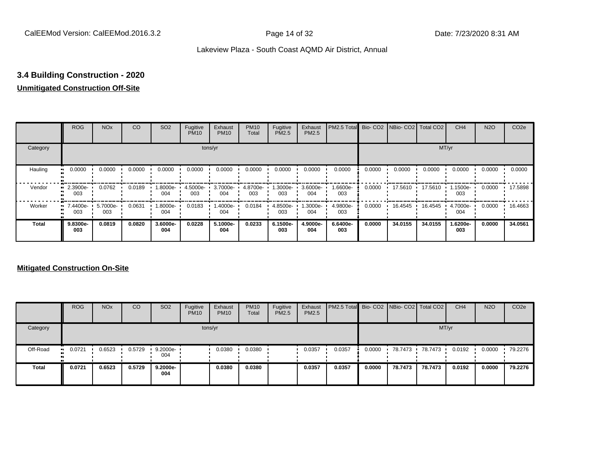# **3.4 Building Construction - 2020**

# **Unmitigated Construction Off-Site**

|              | <b>ROG</b>           | <b>NO<sub>x</sub></b> | CO     | SO <sub>2</sub> | Fugitive<br><b>PM10</b> | Exhaust<br><b>PM10</b> | <b>PM10</b><br>Total | Fugitive<br><b>PM2.5</b> | Exhaust<br>PM2.5 | PM2.5 Total Bio- CO2 NBio- CO2 Total CO2 |        |                   |         | CH <sub>4</sub> | <b>N2O</b> | CO <sub>2e</sub> |
|--------------|----------------------|-----------------------|--------|-----------------|-------------------------|------------------------|----------------------|--------------------------|------------------|------------------------------------------|--------|-------------------|---------|-----------------|------------|------------------|
| Category     |                      |                       |        |                 |                         | tons/yr                |                      |                          |                  |                                          |        |                   | MT/yr   |                 |            |                  |
| Hauling      | 0.0000<br>œ          | 0.0000                | 0.0000 | 0.0000          | 0.0000                  | 0.0000                 | 0.0000               | 0.0000                   | 0.0000           | 0.0000                                   | 0.0000 | 0.0000            | 0.0000  | 0.0000          | 0.0000     | 0.0000           |
| Vendor       | 2.3900e-<br>ш<br>003 | 0.0762                | 0.0189 | -8000e.<br>004  | 4.5000e-<br>003         | 3.7000e-<br>004        | 4.8700e-<br>003      | 1.3000e-<br>003          | 3.6000e-<br>004  | 1.6600e-<br>003                          | 0.0000 | $17.5610$ $\cdot$ | 17.5610 | .1500e-<br>003  | 0.0000     | 17.5898          |
| Worker       | $-7.4400e-$<br>003   | 5.7000e-<br>003       | 0.0631 | -8000e.<br>004  | 0.0183                  | -.4000e<br>004         | 0.0184               | 4.8500e-<br>003          | 1.3000e-<br>004  | 4.9800e-<br>003                          | 0.0000 | 16.4545           | 16.4545 | 4.7000e-<br>004 | 0.0000     | 16.4663          |
| <b>Total</b> | 9.8300e-<br>003      | 0.0819                | 0.0820 | 3.6000e-<br>004 | 0.0228                  | 5.1000e-<br>004        | 0.0233               | 6.1500e-<br>003          | 4.9000e-<br>004  | 6.6400e-<br>003                          | 0.0000 | 34.0155           | 34.0155 | 1.6200e-<br>003 | 0.0000     | 34.0561          |

# **Mitigated Construction On-Site**

|          | <b>ROG</b>           | <b>NO<sub>x</sub></b> | CO     | SO <sub>2</sub>    | Fugitive<br><b>PM10</b> | Exhaust<br><b>PM10</b> | <b>PM10</b><br>Total | Fugitive<br>PM2.5 | Exhaust<br><b>PM2.5</b> | <b>PM2.5 Total</b> Bio- CO2 NBio- CO2 Total CO2 |        |         |         | CH <sub>4</sub> | <b>N2O</b> | CO <sub>2e</sub> |
|----------|----------------------|-----------------------|--------|--------------------|-------------------------|------------------------|----------------------|-------------------|-------------------------|-------------------------------------------------|--------|---------|---------|-----------------|------------|------------------|
| Category |                      |                       |        |                    |                         | tons/yr                |                      |                   |                         |                                                 |        |         |         | MT/yr           |            |                  |
| Off-Road | 0.0721<br><b>ALC</b> | 0.6523                | 0.5729 | $9.2000e -$<br>004 |                         | 0.0380                 | 0.0380               |                   | 0.0357                  | 0.0357                                          | 0.0000 | 78.7473 | 78.7473 | 0.0192          | 0.0000     | 79.2276          |
| Total    | 0.0721               | 0.6523                | 0.5729 | 9.2000e-<br>004    |                         | 0.0380                 | 0.0380               |                   | 0.0357                  | 0.0357                                          | 0.0000 | 78.7473 | 78.7473 | 0.0192          | 0.0000     | 79.2276          |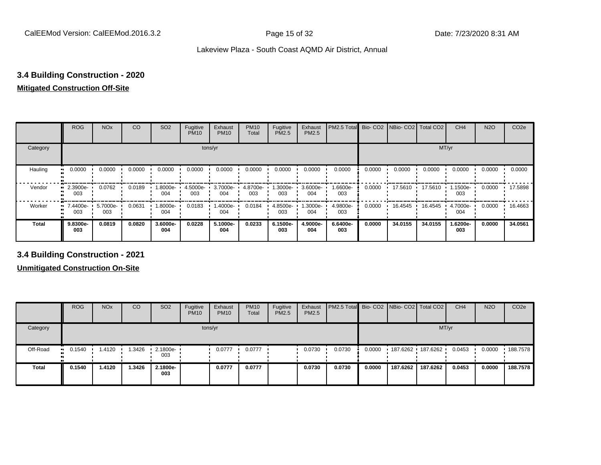# **3.4 Building Construction - 2020**

# **Mitigated Construction Off-Site**

|                     | <b>ROG</b>        | <b>NO<sub>x</sub></b> | CO     | SO <sub>2</sub> | Fugitive<br><b>PM10</b> | Exhaust<br><b>PM10</b> | <b>PM10</b><br>Total | Fugitive<br>PM2.5 | Exhaust<br><b>PM2.5</b> | PM2.5 Total     |        | Bio- CO2   NBio- CO2   Total CO2 |         | CH <sub>4</sub> | <b>N2O</b> | CO <sub>2e</sub> |
|---------------------|-------------------|-----------------------|--------|-----------------|-------------------------|------------------------|----------------------|-------------------|-------------------------|-----------------|--------|----------------------------------|---------|-----------------|------------|------------------|
| Category            |                   |                       |        |                 | tons/yr                 |                        |                      |                   |                         |                 |        |                                  | MT/yr   |                 |            |                  |
| Hauling             | 0.0000            | 0.0000                | 0.0000 | 0.0000          | 0.0000                  | 0.0000                 | 0.0000               | 0.0000            | 0.0000                  | 0.0000          | 0.0000 | 0.0000                           | 0.0000  | 0.0000          | 0.0000     | 0.0000           |
| Vendor              | 2.3900e-<br>003   | 0.0762                | 0.0189 | 1.8000e-<br>004 | 4.5000e-<br>003         | 3.7000e-<br>004        | 4.8700e-<br>003      | 1.3000e-<br>003   | 3.6000e-<br>004         | 1.6600e-<br>003 | 0.0000 | 17.5610                          | 17.5610 | .1500e-<br>003  | 0.0000     | 17.5898          |
| Worker<br>$\bullet$ | 7.4400e-<br>003   | 5.7000e-<br>003       | 0.0631 | 1.8000e-<br>004 | 0.0183                  | 1.4000e-<br>004        | 0.0184               | 4.8500e-<br>003   | -.3000e<br>004          | 4.9800e-<br>003 | 0.0000 | 16.4545                          | 16.4545 | 4.7000e-<br>004 | 0.0000     | 16.4663          |
| <b>Total</b>        | $9.8300e-$<br>003 | 0.0819                | 0.0820 | 3.6000e-<br>004 | 0.0228                  | 5.1000e-<br>004        | 0.0233               | 6.1500e-<br>003   | 4.9000e-<br>004         | 6.6400e-<br>003 | 0.0000 | 34.0155                          | 34.0155 | 1.6200e-<br>003 | 0.0000     | 34.0561          |

**3.4 Building Construction - 2021**

**Unmitigated Construction On-Site**

|              | <b>ROG</b>  | <b>NO<sub>x</sub></b> | CO     | SO <sub>2</sub>                 | Fugitive<br><b>PM10</b> | Exhaust<br><b>PM10</b> | <b>PM10</b><br>Total | Fugitive<br><b>PM2.5</b> | Exhaust<br><b>PM2.5</b> | <b>PM2.5 Total</b> Bio- CO2 NBio- CO2 Total CO2 |        |          |          | CH <sub>4</sub> | <b>N2O</b> | CO <sub>2e</sub> |
|--------------|-------------|-----------------------|--------|---------------------------------|-------------------------|------------------------|----------------------|--------------------------|-------------------------|-------------------------------------------------|--------|----------|----------|-----------------|------------|------------------|
| Category     |             |                       |        |                                 |                         | tons/yr                |                      |                          |                         |                                                 |        |          |          | MT/yr           |            |                  |
| Off-Road     | 0.1540<br>. | 1.4120                | 1.3426 | $\cdot$ 2.1800e- $\cdot$<br>003 |                         | 0.0777                 | 0.0777               |                          | 0.0730                  | 0.0730                                          | 0.0000 |          |          | 0.0453          | 0.0000     | 188.7578         |
| <b>Total</b> | 0.1540      | 1.4120                | 1.3426 | 2.1800e-<br>003                 |                         | 0.0777                 | 0.0777               |                          | 0.0730                  | 0.0730                                          | 0.0000 | 187.6262 | 187.6262 | 0.0453          | 0.0000     | 188.7578         |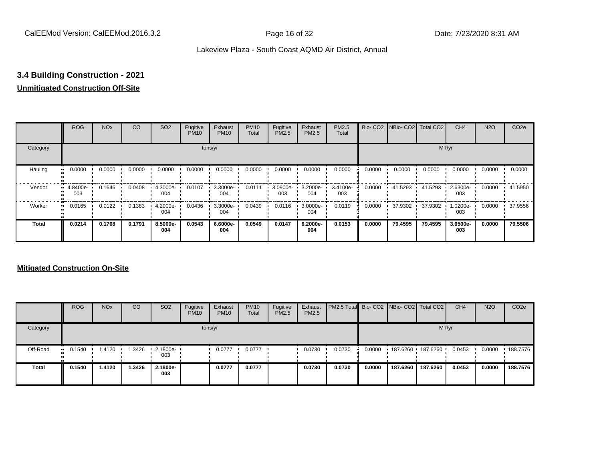# **3.4 Building Construction - 2021**

# **Unmitigated Construction Off-Site**

|              | <b>ROG</b>                        | <b>NO<sub>x</sub></b> | CO     | SO <sub>2</sub> | Fugitive<br><b>PM10</b> | Exhaust<br><b>PM10</b> | <b>PM10</b><br>Total | Fugitive<br><b>PM2.5</b> | Exhaust<br>PM2.5 | <b>PM2.5</b><br>Total |        | Bio- CO2   NBio- CO2   Total CO2 |         | CH <sub>4</sub> | <b>N2O</b> | CO <sub>2e</sub> |
|--------------|-----------------------------------|-----------------------|--------|-----------------|-------------------------|------------------------|----------------------|--------------------------|------------------|-----------------------|--------|----------------------------------|---------|-----------------|------------|------------------|
| Category     |                                   |                       |        |                 |                         | tons/yr                |                      |                          |                  |                       |        |                                  |         | MT/yr           |            |                  |
| Hauling      | 0.0000<br>œ                       | 0.0000                | 0.0000 | 0.0000          | 0.0000                  | 0.0000                 | 0.0000               | 0.0000                   | 0.0000           | 0.0000                | 0.0000 | 0.0000                           | 0.0000  | 0.0000          | 0.0000     | 0.0000           |
| Vendor       | 4.8400e-<br>$\blacksquare$<br>003 | 0.1646                | 0.0408 | 4.3000e-<br>004 | 0.0107                  | 3.3000e-<br>004        | 0.0111               | 3.0900e-<br>003          | 3.2000e-<br>004  | 3.4100e-<br>003       | 0.0000 | 41.5293                          | 41.5293 | 2.6300e-<br>003 | 0.0000     | 41.5950          |
| Worker       | 0.0165<br>$\mathbf{u}$            | 0.0122                | 0.1383 | 4.2000e-<br>004 | 0.0436                  | 3.3000e-<br>004        | 0.0439               | 0.0116                   | 3.0000e-<br>004  | 0.0119                | 0.0000 | 37.9302                          | 37.9302 | 1.0200e-<br>003 | 0.0000     | 37.9556          |
| <b>Total</b> | 0.0214                            | 0.1768                | 0.1791 | 8.5000e-<br>004 | 0.0543                  | 6.6000e-<br>004        | 0.0549               | 0.0147                   | 6.2000e-<br>004  | 0.0153                | 0.0000 | 79.4595                          | 79.4595 | 3.6500e-<br>003 | 0.0000     | 79.5506          |

# **Mitigated Construction On-Site**

|              | <b>ROG</b>            | <b>NO<sub>x</sub></b> | CO     | SO <sub>2</sub>                 | Fugitive<br><b>PM10</b> | Exhaust<br><b>PM10</b> | <b>PM10</b><br>Total | Fugitive<br><b>PM2.5</b> | Exhaust<br><b>PM2.5</b> | <b>PM2.5 Total</b> Bio- CO2 NBio- CO2 Total CO2 |        |          |                   | CH <sub>4</sub> | <b>N2O</b> | CO <sub>2e</sub> |
|--------------|-----------------------|-----------------------|--------|---------------------------------|-------------------------|------------------------|----------------------|--------------------------|-------------------------|-------------------------------------------------|--------|----------|-------------------|-----------------|------------|------------------|
| Category     |                       |                       |        |                                 |                         | tons/yr                |                      |                          |                         |                                                 |        |          |                   | MT/yr           |            |                  |
| Off-Road     | $\blacksquare$ 0.1540 | 1.4120                | 1.3426 | $\cdot$ 2.1800e- $\cdot$<br>003 |                         | 0.0777                 | 0.0777               |                          | 0.0730                  | 0.0730                                          | 0.0000 |          | 187.6260 187.6260 | 0.0453          | 0.0000     | .188.7576        |
| <b>Total</b> | 0.1540                | 1.4120                | .3426  | 2.1800e-<br>003                 |                         | 0.0777                 | 0.0777               |                          | 0.0730                  | 0.0730                                          | 0.0000 | 187.6260 | 187.6260          | 0.0453          | 0.0000     | 188.7576         |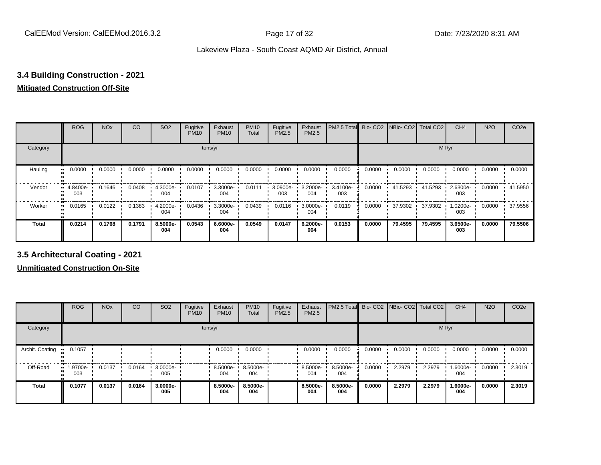# **3.4 Building Construction - 2021**

# **Mitigated Construction Off-Site**

|              | <b>ROG</b>      | <b>NO<sub>x</sub></b> | CO     | SO <sub>2</sub> | Fugitive<br><b>PM10</b> | Exhaust<br><b>PM10</b> | <b>PM10</b><br>Total | Fugitive<br>PM2.5 | Exhaust<br>PM2.5 | PM2.5 Total     | Bio-CO <sub>2</sub> | NBio- CO2   Total CO2 |         | CH <sub>4</sub> | <b>N2O</b> | CO <sub>2e</sub> |
|--------------|-----------------|-----------------------|--------|-----------------|-------------------------|------------------------|----------------------|-------------------|------------------|-----------------|---------------------|-----------------------|---------|-----------------|------------|------------------|
| Category     |                 |                       |        |                 |                         | tons/yr                |                      |                   |                  |                 |                     |                       | MT/yr   |                 |            |                  |
| Hauling      | 0.0000          | 0.0000                | 0.0000 | 0.0000          | 0.0000                  | 0.0000                 | 0.0000               | 0.0000            | 0.0000           | 0.0000          | 0.0000              | 0.0000                | 0.0000  | 0.0000          | 0.0000     | 0.0000           |
| Vendor       | 4.8400e-<br>003 | 0.1646                | 0.0408 | 4.3000e-<br>004 | 0.0107                  | 3.3000e-<br>004        | 0.0111               | 3.0900e-<br>003   | 3.2000e-<br>004  | 3.4100e-<br>003 | 0.0000              | 41.5293               | 41.5293 | 2.6300e-<br>003 | 0.0000     | 41.5950          |
| Worker       | 0.0165          | 0.0122                | 0.1383 | 4.2000e-<br>004 | 0.0436                  | 3.3000e-<br>004        | 0.0439               | 0.0116            | 3.0000e-<br>004  | 0.0119          | 0.0000              | 37.9302               | 37.9302 | 1.0200e-<br>003 | 0.0000     | 37.9556          |
| <b>Total</b> | 0.0214          | 0.1768                | 0.1791 | 8.5000e-<br>004 | 0.0543                  | 6.6000e-<br>004        | 0.0549               | 0.0147            | 6.2000e-<br>004  | 0.0153          | 0.0000              | 79.4595               | 79.4595 | 3.6500e-<br>003 | 0.0000     | 79.5506          |

**3.5 Architectural Coating - 2021**

**Unmitigated Construction On-Site**

|                         | <b>ROG</b>          | <b>NO<sub>x</sub></b> | CO     | SO <sub>2</sub> | Fugitive<br><b>PM10</b> | Exhaust<br><b>PM10</b> | <b>PM10</b><br>Total | Fugitive<br><b>PM2.5</b> | Exhaust<br><b>PM2.5</b> | PM2.5 Total Bio- CO2 NBio- CO2 |        |        | Total CO <sub>2</sub> | CH <sub>4</sub> | <b>N2O</b> | CO <sub>2e</sub> |
|-------------------------|---------------------|-----------------------|--------|-----------------|-------------------------|------------------------|----------------------|--------------------------|-------------------------|--------------------------------|--------|--------|-----------------------|-----------------|------------|------------------|
| Category                |                     |                       |        |                 |                         | tons/yr                |                      |                          |                         |                                |        |        | MT/yr                 |                 |            |                  |
| Archit. Coating<br>- 11 | 0.1057              |                       |        |                 |                         | 0.0000                 | 0.0000               |                          | 0.0000                  | 0.0000                         | 0.0000 | 0.0000 | 0.0000                | 0.0000          | 0.0000     | 0.0000           |
| Off-Road                | 1.9700e-<br><br>003 | 0.0137                | 0.0164 | 3.0000e-<br>005 |                         | 8.5000e-<br>004        | 8.5000e-<br>004      |                          | 8.5000e-<br>004         | 8.5000e-<br>004                | 0.0000 | 2.2979 | 2.2979                | 1.6000e-<br>004 | 0.0000     | 2.3019           |
| <b>Total</b>            | 0.1077              | 0.0137                | 0.0164 | 3.0000e-<br>005 |                         | 8.5000e-<br>004        | 8.5000e-<br>004      |                          | 8.5000e-<br>004         | 8.5000e-<br>004                | 0.0000 | 2.2979 | 2.2979                | 1.6000e-<br>004 | 0.0000     | 2.3019           |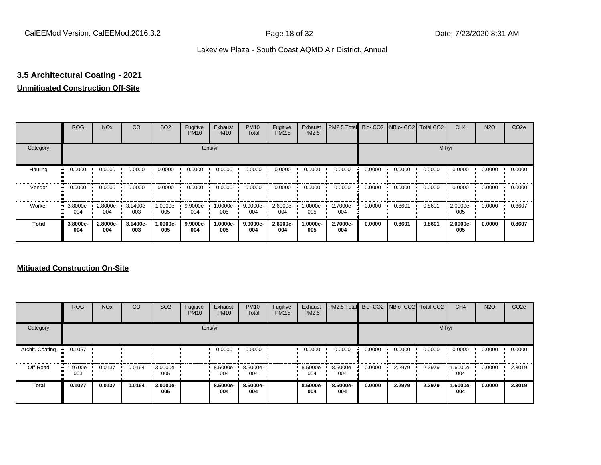# **3.5 Architectural Coating - 2021**

# **Unmitigated Construction Off-Site**

|              | <b>ROG</b>                   | <b>NO<sub>x</sub></b> | CO              | SO <sub>2</sub> | Fugitive<br><b>PM10</b> | Exhaust<br><b>PM10</b> | <b>PM10</b><br>Total | Fugitive<br><b>PM2.5</b> | Exhaust<br>PM2.5 | PM2.5 Total     |        | Bio- CO2   NBio- CO2   Total CO2 |        | CH <sub>4</sub> | <b>N2O</b> | CO <sub>2e</sub> |
|--------------|------------------------------|-----------------------|-----------------|-----------------|-------------------------|------------------------|----------------------|--------------------------|------------------|-----------------|--------|----------------------------------|--------|-----------------|------------|------------------|
| Category     |                              |                       |                 |                 |                         | tons/yr                |                      |                          |                  |                 |        |                                  |        | MT/yr           |            |                  |
| Hauling      | 0.0000                       | 0.0000                | 0.0000          | 0.0000          | 0.0000                  | 0.0000                 | 0.0000               | 0.0000                   | 0.0000           | 0.0000          | 0.0000 | 0.0000                           | 0.0000 | 0.0000          | 0.0000     | 0.0000           |
| Vendor       | 0.0000<br>$\bullet$          | 0.0000                | 0.0000          | 0.0000          | 0.0000                  | 0.0000                 | 0.0000               | 0.0000                   | 0.0000           | 0.0000          | 0.0000 | 0.0000                           | 0.0000 | 0.0000          | 0.0000     | 0.0000           |
| Worker       | 3.8000e-<br>$\bullet$<br>004 | 2.8000e-<br>004       | 3.1400e-<br>003 | -:0000e<br>005  | 9.9000e-<br>004         | 1.0000e-<br>005        | 9.9000e-<br>004      | 2.6000e-<br>004          | 1.0000e-<br>005  | 2.7000e-<br>004 | 0.0000 | 0.8601                           | 0.8601 | 2.0000e-<br>005 | 0.0000     | 0.8607           |
| <b>Total</b> | 3.8000e-<br>004              | 2.8000e-<br>004       | 3.1400e-<br>003 | -.0000e<br>005  | 9.9000e-<br>004         | 1.0000e-<br>005        | 9.9000e-<br>004      | 2.6000e-<br>004          | 1.0000e-<br>005  | 2.7000e-<br>004 | 0.0000 | 0.8601                           | 0.8601 | 2.0000e-<br>005 | 0.0000     | 0.8607           |

# **Mitigated Construction On-Site**

|                 | <b>ROG</b>         | <b>NO<sub>x</sub></b> | CO     | SO <sub>2</sub> | Fugitive<br><b>PM10</b> | Exhaust<br><b>PM10</b> | <b>PM10</b><br>Total | Fugitive<br><b>PM2.5</b> | Exhaust<br><b>PM2.5</b> | PM2.5 Total Bio- CO2 NBio- CO2 Total CO2 |        |        |        | CH <sub>4</sub> | <b>N2O</b> | CO <sub>2e</sub> |
|-----------------|--------------------|-----------------------|--------|-----------------|-------------------------|------------------------|----------------------|--------------------------|-------------------------|------------------------------------------|--------|--------|--------|-----------------|------------|------------------|
| Category        |                    |                       |        |                 |                         | tons/yr                |                      |                          |                         |                                          |        |        |        | MT/yr           |            |                  |
| Archit. Coating | 0.1057             |                       |        |                 |                         | 0.0000                 | 0.0000               |                          | 0.0000                  | 0.0000                                   | 0.0000 | 0.0000 | 0.0000 | 0.0000          | 0.0000     | 0.0000           |
| Off-Road        | $-1.9700e-$<br>003 | 0.0137                | 0.0164 | 3.0000e-<br>005 |                         | 8.5000e-<br>004        | 8.5000e-<br>004      |                          | 8.5000e-<br>004         | 8.5000e-<br>004                          | 0.0000 | 2.2979 | 2.2979 | 1.6000e-<br>004 | 0.0000     | 2.3019           |
| <b>Total</b>    | 0.1077             | 0.0137                | 0.0164 | 3.0000e-<br>005 |                         | 8.5000e-<br>004        | 8.5000e-<br>004      |                          | 8.5000e-<br>004         | 8.5000e-<br>004                          | 0.0000 | 2.2979 | 2.2979 | 1.6000e-<br>004 | 0.0000     | 2.3019           |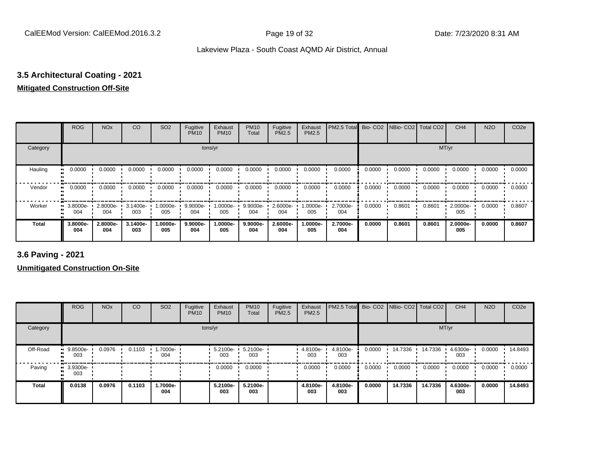# **3.5 Architectural Coating - 2021**

# **Mitigated Construction Off-Site**

|              | <b>ROG</b>      | <b>NO<sub>x</sub></b> | CO              | SO <sub>2</sub> | Fugitive<br><b>PM10</b> | Exhaust<br><b>PM10</b> | <b>PM10</b><br>Total | Fugitive<br><b>PM2.5</b> | Exhaust<br>PM2.5 | PM2.5 Total Bio- CO2 NBio- CO2 Total CO2 |        |        |        | CH <sub>4</sub> | <b>N2O</b> | CO <sub>2e</sub> |
|--------------|-----------------|-----------------------|-----------------|-----------------|-------------------------|------------------------|----------------------|--------------------------|------------------|------------------------------------------|--------|--------|--------|-----------------|------------|------------------|
| Category     |                 |                       |                 |                 |                         | tons/yr                |                      |                          |                  |                                          |        |        | MT/yr  |                 |            |                  |
| Hauling<br>œ | 0.0000          | 0.0000                | 0.0000          | 0.0000          | 0.0000                  | 0.0000                 | 0.0000               | 0.0000                   | 0.0000           | 0.0000                                   | 0.0000 | 0.0000 | 0.0000 | 0.0000          | 0.0000     | 0.0000           |
| Vendor<br>œ  | 0.0000          | 0.0000                | 0.0000          | 0.0000          | 0.0000                  | 0.0000                 | 0.0000               | 0.0000                   | 0.0000           | 0.0000                                   | 0.0000 | 0.0000 | 0.0000 | 0.0000          | 0.0000     | 0.0000           |
| Worker<br>ш  | 3.8000e-<br>004 | 2.8000e-<br>004       | 3.1400e-<br>003 | 1.0000e-<br>005 | 9.9000e-<br>004         | $1.0000e -$<br>005     | 9.9000e-<br>004      | 2.6000e-<br>004          | 1.0000e-<br>005  | 2.7000e-<br>004                          | 0.0000 | 0.8601 | 0.8601 | 2.0000e-<br>005 | 0.0000     | 0.8607           |
| <b>Total</b> | 3.8000e-<br>004 | 2.8000e-<br>004       | 3.1400e-<br>003 | -.0000e<br>005  | 9.9000e-<br>004         | 1.0000e-<br>005        | 9.9000e-<br>004      | 2.6000e-<br>004          | -.0000e<br>005   | 2.7000e-<br>004                          | 0.0000 | 0.8601 | 0.8601 | 2.0000e-<br>005 | 0.0000     | 0.8607           |

**3.6 Paving - 2021**

**Unmitigated Construction On-Site**

|          | <b>ROG</b>         | <b>NO<sub>x</sub></b> | CO     | SO <sub>2</sub>  | Fugitive<br><b>PM10</b> | Exhaust<br><b>PM10</b> | <b>PM10</b><br>Total | Fugitive<br>PM2.5 | Exhaust<br><b>PM2.5</b> | PM2.5 Total Bio- CO2 NBio- CO2 Total CO2 |        |         |         | CH <sub>4</sub> | <b>N2O</b> | CO <sub>2e</sub> |
|----------|--------------------|-----------------------|--------|------------------|-------------------------|------------------------|----------------------|-------------------|-------------------------|------------------------------------------|--------|---------|---------|-----------------|------------|------------------|
| Category |                    |                       |        |                  |                         | tons/yr                |                      |                   |                         |                                          |        |         | MT/yr   |                 |            |                  |
| Off-Road | $9.8500e-$<br>003  | 0.0976                | 0.1103 | --000e-1.<br>004 |                         | $5.2100e -$<br>003     | 5.2100e-<br>003      |                   | 4.8100e-<br>003         | 4.8100e-<br>003                          | 0.0000 | 14.7336 | 14.7336 | 4.6300e-<br>003 | 0.0000     | 14.8493          |
| Paving   | $-3.9300e-$<br>003 |                       |        |                  |                         | 0.0000                 | 0.0000               |                   | 0.0000                  | 0.0000                                   | 0.0000 | 0.0000  | 0.0000  | 0.0000          | 0.0000     | 0.0000           |
| Total    | 0.0138             | 0.0976                | 0.1103 | 1.7000e-<br>004  |                         | 5.2100e-<br>003        | 5.2100e-<br>003      |                   | 4.8100e-<br>003         | 4.8100e-<br>003                          | 0.0000 | 14.7336 | 14.7336 | 4.6300e-<br>003 | 0.0000     | 14.8493          |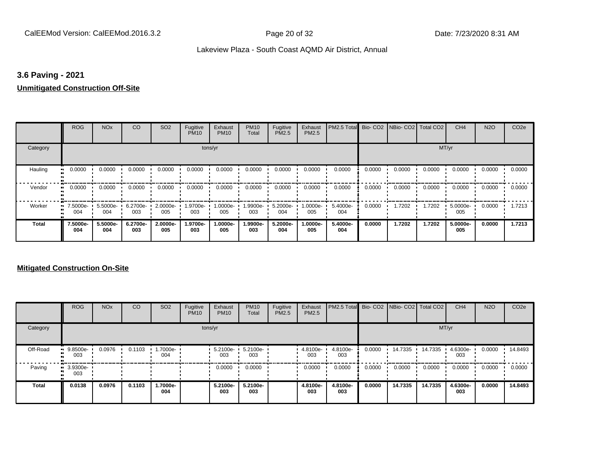# **3.6 Paving - 2021**

#### **Unmitigated Construction Off-Site**

|                     | <b>ROG</b>             | <b>NO<sub>x</sub></b> | CO              | SO <sub>2</sub> | Fugitive<br><b>PM10</b> | Exhaust<br><b>PM10</b> | <b>PM10</b><br>Total | Fugitive<br>PM2.5 | Exhaust<br>PM2.5 | PM2.5 Total Bio- CO2 NBio- CO2 Total CO2 |        |        |        | CH <sub>4</sub> | <b>N2O</b> | CO <sub>2e</sub> |
|---------------------|------------------------|-----------------------|-----------------|-----------------|-------------------------|------------------------|----------------------|-------------------|------------------|------------------------------------------|--------|--------|--------|-----------------|------------|------------------|
| Category            |                        |                       |                 |                 | tons/yr                 |                        |                      |                   |                  |                                          |        |        | MT/yr  |                 |            |                  |
| Hauling<br>81       | 0.0000                 | 0.0000                | 0.0000          | 0.0000          | 0.0000                  | 0.0000                 | 0.0000               | 0.0000            | 0.0000           | 0.0000                                   | 0.0000 | 0.0000 | 0.0000 | 0.0000          | 0.0000     | 0.0000           |
| Vendor<br>$\bullet$ | 0.0000                 | 0.0000                | 0.0000          | 0.0000          | 0.0000                  | 0.0000                 | 0.0000               | 0.0000            | 0.0000           | 0.0000                                   | 0.0000 | 0.0000 | 0.0000 | 0.0000          | 0.0000     | 0.0000           |
| Worker              | 7.5000e-<br>. .<br>004 | 5.5000e-<br>004       | 6.2700e-<br>003 | 2.0000e-<br>005 | 1.9700e-<br>003         | 1.0000e-<br>005        | 1.9900e-<br>003      | 5.2000e-<br>004   | $.0000e-$<br>005 | 5.4000e-<br>004                          | 0.0000 | 1.7202 | 1.7202 | 5.0000e-<br>005 | 0.0000     | 1.7213           |
| <b>Total</b>        | 7.5000e-<br>004        | 5.5000e-<br>004       | 6.2700e-<br>003 | 2.0000e-<br>005 | 1.9700e-<br>003         | 1.0000e-<br>005        | 1.9900e-<br>003      | 5.2000e-<br>004   | .0000e-<br>005   | 5.4000e-<br>004                          | 0.0000 | 1.7202 | 1.7202 | 5.0000e-<br>005 | 0.0000     | 1.7213           |

# **Mitigated Construction On-Site**

|              | <b>ROG</b>                     | <b>NO<sub>x</sub></b> | CO     | SO <sub>2</sub> | Fugitive<br><b>PM10</b> | Exhaust<br><b>PM10</b> | <b>PM10</b><br>Total | Fugitive<br>PM2.5 | Exhaust<br>PM2.5 | PM2.5 Total Bio- CO2 NBio- CO2 Total CO2 |        |         |         | CH <sub>4</sub> | <b>N2O</b> | CO <sub>2e</sub> |
|--------------|--------------------------------|-----------------------|--------|-----------------|-------------------------|------------------------|----------------------|-------------------|------------------|------------------------------------------|--------|---------|---------|-----------------|------------|------------------|
| Category     |                                |                       |        |                 | tons/yr                 |                        |                      |                   |                  |                                          |        |         |         | MT/yr           |            |                  |
| Off-Road     | $9.8500e-$<br>003              | 0.0976                | 0.1103 | --7000e<br>004  |                         | $5.2100e -$<br>003     | 5.2100e-<br>003      |                   | 4.8100e-<br>003  | 4.8100e-<br>003                          | 0.0000 | 14.7335 | 14.7335 | 4.6300e-<br>003 | 0.0000     | 14.8493          |
| Paving       | $\blacksquare$ 3.9300e-<br>003 |                       |        |                 |                         | 0.0000                 | 0.0000               |                   | 0.0000           | 0.0000                                   | 0.0000 | 0.0000  | 0.0000  | 0.0000          | 0.0000     | 0.0000           |
| <b>Total</b> | 0.0138                         | 0.0976                | 0.1103 | 1.7000e-<br>004 |                         | 5.2100e-<br>003        | 5.2100e-<br>003      |                   | 4.8100e-<br>003  | 4.8100e-<br>003                          | 0.0000 | 14.7335 | 14.7335 | 4.6300e-<br>003 | 0.0000     | 14.8493          |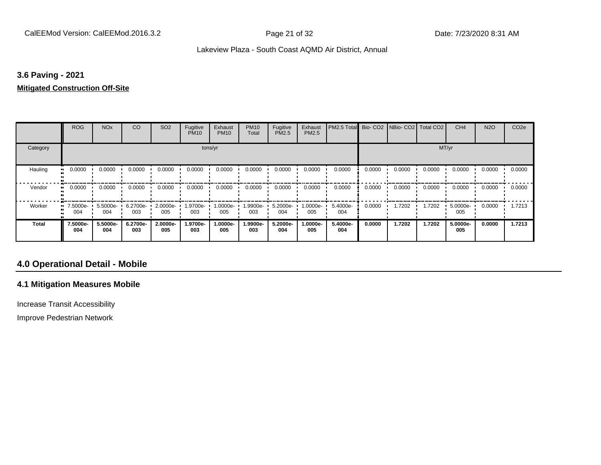# **3.6 Paving - 2021**

#### **Mitigated Construction Off-Site**

|              | <b>ROG</b>                   | <b>NO<sub>x</sub></b> | CO              | SO <sub>2</sub> | Fugitive<br><b>PM10</b> | Exhaust<br><b>PM10</b> | <b>PM10</b><br>Total | Fugitive<br>PM2.5 | Exhaust<br>PM2.5 | PM2.5 Total     |        | Bio- CO2   NBio- CO2   Total CO2 |        | CH <sub>4</sub> | <b>N2O</b> | CO <sub>2e</sub> |
|--------------|------------------------------|-----------------------|-----------------|-----------------|-------------------------|------------------------|----------------------|-------------------|------------------|-----------------|--------|----------------------------------|--------|-----------------|------------|------------------|
| Category     |                              |                       |                 |                 | tons/yr                 |                        |                      |                   |                  |                 |        |                                  | MT/yr  |                 |            |                  |
| Hauling<br>  | 0.0000                       | 0.0000                | 0.0000          | 0.0000          | 0.0000                  | 0.0000                 | 0.0000               | 0.0000            | 0.0000           | 0.0000          | 0.0000 | 0.0000                           | 0.0000 | 0.0000          | 0.0000     | 0.0000           |
| Vendor       | 0.0000<br>$\bullet\bullet$   | 0.0000                | 0.0000          | 0.0000          | 0.0000                  | 0.0000                 | 0.0000               | 0.0000            | 0.0000           | 0.0000          | 0.0000 | 0.0000                           | 0.0000 | 0.0000          | 0.0000     | 0.0000           |
| Worker       | 7.5000e-<br>$\bullet$<br>004 | 5.5000e-<br>004       | 6.2700e-<br>003 | 2.0000e-<br>005 | 1.9700e-<br>003         | 1.0000e-<br>005        | 1.9900e-<br>003      | 5.2000e-<br>004   | $.0000e-$<br>005 | 5.4000e-<br>004 | 0.0000 | 1.7202                           | 1.7202 | 5.0000e-<br>005 | 0.0000     | 1.7213           |
| <b>Total</b> | 7.5000e-<br>004              | 5.5000e-<br>004       | 6.2700e-<br>003 | 2.0000e-<br>005 | 1.9700e-<br>003         | 1.0000e-<br>005        | 1.9900e-<br>003      | 5.2000e-<br>004   | .0000e-<br>005   | 5.4000e-<br>004 | 0.0000 | 1.7202                           | 1.7202 | 5.0000e-<br>005 | 0.0000     | 1.7213           |

# **4.0 Operational Detail - Mobile**

# **4.1 Mitigation Measures Mobile**

Increase Transit Accessibility

Improve Pedestrian Network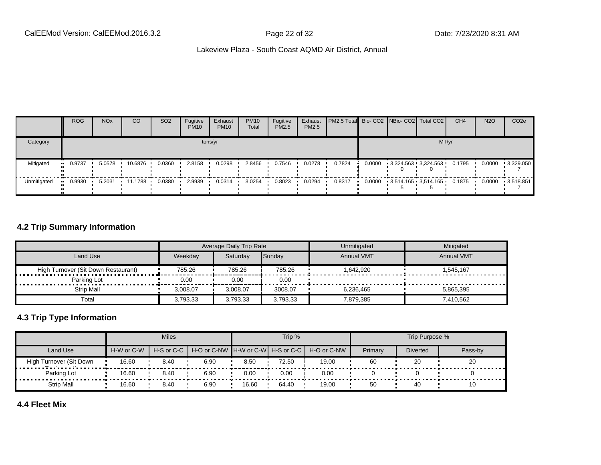|             | <b>ROG</b> | <b>NO<sub>x</sub></b> | CO      | SO <sub>2</sub> | Fugitive<br><b>PM10</b> | Exhaust<br><b>PM10</b> | <b>PM10</b><br>Total | Fugitive<br><b>PM2.5</b> | Exhaust<br>PM2.5 | PM2.5 Total Bio- CO2   NBio- CO2   Total CO2 |        |                                           | CH <sub>4</sub> | <b>N2O</b> | CO <sub>2e</sub> |
|-------------|------------|-----------------------|---------|-----------------|-------------------------|------------------------|----------------------|--------------------------|------------------|----------------------------------------------|--------|-------------------------------------------|-----------------|------------|------------------|
| Category    |            |                       |         |                 |                         | tons/yr                |                      |                          |                  |                                              |        | MT/yr                                     |                 |            |                  |
| Mitigated   | 0.9737     | 5.0578                | 10.6876 | 0.0360          | 2.8158                  | 0.0298                 | 2.8456               | 0.7546                   | 0.0278           | 0.7824                                       | 0.0000 | 3,324.563 3,324.563                       | 0.1795          | 0.0000     | $-3,329.050$     |
| Unmitigated | 0.9930     | 5.2031                | 11.1788 | 0.0380          | 2.9939                  | 0.0314                 | 3.0254               | 0.8023                   | 0.0294           | 0.8317                                       |        | $0.0000$ $3,514.165$ $3,514.165$ $0.1875$ |                 | 0.0000     | $-3.518.851$     |

# **4.2 Trip Summary Information**

|                                     |          | Average Daily Trip Rate |          | Unmitigated       | Mitigated         |
|-------------------------------------|----------|-------------------------|----------|-------------------|-------------------|
| Land Use                            | Weekdav  | Saturdav                | Sunday   | <b>Annual VMT</b> | <b>Annual VMT</b> |
| High Turnover (Sit Down Restaurant) | 785.26   | 785.26                  | 785.26   | 1.642.920         | 1.545.167         |
| Parking Lot                         | 0.00     | 0.00                    | 0.00     |                   |                   |
| Strip Mall                          | 3.008.07 | 3.008.07                | 3008.07  | 6.236.465         | 5.865.395         |
| Total                               | 3.793.33 | 3.793.33                | 3.793.33 | 7.879.385         | 7.410.562         |

# **4.3 Trip Type Information**

|                         |            | <b>Miles</b>             |      |       | Trip % |                                               |         | Trip Purpose %  |         |
|-------------------------|------------|--------------------------|------|-------|--------|-----------------------------------------------|---------|-----------------|---------|
| Land Use                | H-W or C-W | $H-S$ or C-C $\parallel$ |      |       |        | H-O or C-NW H-W or C-W H-S or C-C H-O or C-NW | Primary | <b>Diverted</b> | Pass-by |
| High Turnover (Sit Down | 16.60      | 8.40                     | 6.90 | 8.50  | 72.50  | 19.00                                         | 60      | 20              | 20      |
| Parking Lot             | 16.60      | 8.40                     | 6.90 | 0.00  | 0.00   | 0.00                                          |         |                 |         |
| Strip Mall              | 16.60      | 8.40                     | 6.90 | 16.60 | 64.40  | 19.00                                         | 50      | 40              | 10      |

# **4.4 Fleet Mix**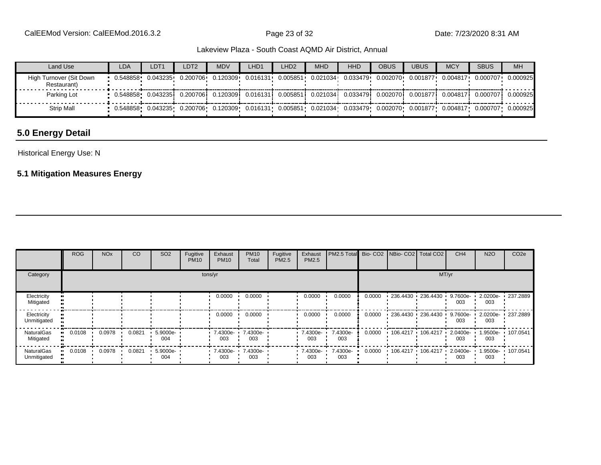| Land Use                               | <b>LDA</b>          | LDT <sub>1</sub>    | LDT <sub>2</sub> | <b>MDV</b> | LHD1      | LHD <sub>2</sub> | <b>MHD</b>                   | HHD      | OBUS      | <b>UBUS</b> | <b>MCY</b> | <b>SBUS</b> | <b>MH</b> |
|----------------------------------------|---------------------|---------------------|------------------|------------|-----------|------------------|------------------------------|----------|-----------|-------------|------------|-------------|-----------|
| High Turnover (Sit Down<br>Restaurant) | $0.548858$ 0.043235 |                     | 0.200706         | 0.120309   | 0.016131+ | 0.005851         | 0.021034                     | 0.033479 | 0.002070  | 0.001877    | 0.004817   | 0.000707    | 0.000925  |
| Parking Lot                            |                     |                     | 0.200706         | 0.1203091  |           |                  | 0.016131  0.005851  0.021034 | 0.033479 | 0.0020701 | 0.001877    | 0.004817   | 0.000707    | 0.000925  |
| <b>Strip Mall</b>                      |                     | 0.548858   0.043235 | 0.200706         | 0.120309   | 0.016131  |                  | 0.005851 0.021034            | 0.033479 | 0.002070  | 0.001877    | 0.004817   | 0.000707    | 0.000925  |

# **5.0 Energy Detail**

Historical Energy Use: N

# **5.1 Mitigation Measures Energy**

|                                  | <b>ROG</b> | <b>NO<sub>x</sub></b> | CO     | SO <sub>2</sub>    | Fugitive<br><b>PM10</b> | Exhaust<br><b>PM10</b>      | <b>PM10</b><br>Total | Fugitive<br>PM2.5 | Exhaust<br>PM2.5        | PM2.5 Total Bio- CO2 NBio- CO2 Total CO2 |        |                             | CH <sub>4</sub>    | <b>N2O</b>      | CO <sub>2e</sub>  |
|----------------------------------|------------|-----------------------|--------|--------------------|-------------------------|-----------------------------|----------------------|-------------------|-------------------------|------------------------------------------|--------|-----------------------------|--------------------|-----------------|-------------------|
| Category                         |            |                       |        |                    |                         | tons/yr                     |                      |                   |                         |                                          |        |                             | MT/yr              |                 |                   |
| Electricity<br>Mitigated         |            |                       |        |                    |                         | 0.0000                      | 0.0000               |                   | 0.0000                  | 0.0000                                   | 0.0000 | $-236.4430 - 236.4430$      | $9.7600e -$<br>003 | 003             | 2.0200e- 237.2889 |
| Electricity<br>Unmitigated       |            |                       |        |                    |                         | 0.0000                      | 0.0000               |                   | 0.0000                  | 0.0000                                   | 0.0000 | $-236.4430 + 236.4430 +$    | $9.7600e -$<br>003 | 003             | 2.0200e- 237.2889 |
| <b>NaturalGas</b><br>Mitigated   | 0.0108     | 0.0978                | 0.0821 | $5.9000e -$<br>004 |                         | $-7.4300e -$<br>003         | 7.4300e-<br>003      |                   | $\cdot$ 7.4300e-<br>003 | 7.4300e-<br>003                          | 0.0000 | $106.4217$ 106.4217 $\cdot$ | 2.0400e-<br>003    | 1.9500e-<br>003 | 107.0541          |
| <b>NaturalGas</b><br>Unmitigated | 0.0108     | 0.0978                | 0.0821 | $5.9000e -$<br>004 |                         | $-7.4300e - 7.4300e$<br>003 | 003                  |                   | $.7.4300e-$<br>003      | 7.4300e-<br>003                          | 0.0000 | $106.4217$ 106.4217         | $2.0400e -$<br>003 | 1.9500e-<br>003 | 107.0541          |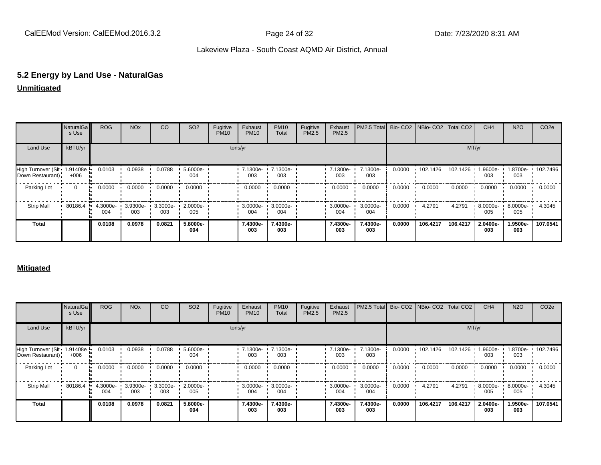# **5.2 Energy by Land Use - NaturalGas**

# **Unmitigated**

|                                                   | NaturalGa<br>s Use | <b>ROG</b>      | <b>NO<sub>x</sub></b> | CO              | SO <sub>2</sub> | Fugitive<br><b>PM10</b> | Exhaust<br><b>PM10</b> | <b>PM10</b><br>Total | Fugitive<br>PM2.5 | Exhaust<br>PM2.5 | PM2.5 Total Bio- CO2 NBio- CO2 Total CO2 |        |          |                     | CH <sub>4</sub> | <b>N2O</b>      | CO <sub>2e</sub>  |
|---------------------------------------------------|--------------------|-----------------|-----------------------|-----------------|-----------------|-------------------------|------------------------|----------------------|-------------------|------------------|------------------------------------------|--------|----------|---------------------|-----------------|-----------------|-------------------|
| <b>Land Use</b>                                   | kBTU/yr            |                 |                       |                 |                 |                         | tons/yr                |                      |                   |                  |                                          |        |          | MT/yr               |                 |                 |                   |
| High Turnover (Sit 1.91408e ·<br>Down Restaurant) | $+006$             | 0.0103          | 0.0938                | 0.0788          | 5.6000e-<br>004 |                         | 7.1300e-<br>003        | 7.1300e-<br>003      |                   | 7.1300e-<br>003  | 7.1300e-<br>003                          | 0.0000 |          | 102.1426 102.1426 1 | 1.9600e-<br>003 | 003             | 1.8700e- 102.7496 |
| Parking Lot                                       | $\Omega$           | 0.0000          | 0.0000                | 0.0000          | 0.0000          |                         | 0.0000                 | 0.0000               |                   | 0.0000           | 0.0000                                   | 0.0000 | 0.0000   | 0.0000              | 0.0000          | 0.0000          | 0.0000            |
| <b>Strip Mall</b>                                 | 80186.4            | 4.3000e-<br>004 | 3.9300e-<br>003       | 3.3000e-<br>003 | 2.0000e-<br>005 |                         | 3.0000e-<br>004        | 3.0000e-<br>004      |                   | 3.0000e-<br>004  | 3.0000e-<br>004                          | 0.0000 | 4.2791   | 4.2791              | 8.0000e-<br>005 | 8.0000e-<br>005 | 4.3045            |
| <b>Total</b>                                      |                    | 0.0108          | 0.0978                | 0.0821          | 5.8000e-<br>004 |                         | 7.4300e-<br>003        | 7.4300e-<br>003      |                   | 7.4300e-<br>003  | 7.4300e-<br>003                          | 0.0000 | 106.4217 | 106.4217            | 2.0400e-<br>003 | 1.9500e-<br>003 | 107.0541          |

#### **Mitigated**

|                                                   | NaturalGa<br>s Use | <b>ROG</b>      | <b>NO<sub>x</sub></b> | CO              | SO <sub>2</sub> | Fugitive<br><b>PM10</b> | Exhaust<br><b>PM10</b> | <b>PM10</b><br>Total | Fugitive<br><b>PM2.5</b> | Exhaust<br>PM2.5        | PM2.5 Total Bio- CO2 NBio- CO2 Total CO2 |        |                   |          | CH <sub>4</sub> | <b>N2O</b>      | CO <sub>2e</sub> |
|---------------------------------------------------|--------------------|-----------------|-----------------------|-----------------|-----------------|-------------------------|------------------------|----------------------|--------------------------|-------------------------|------------------------------------------|--------|-------------------|----------|-----------------|-----------------|------------------|
| Land Use                                          | kBTU/yr            |                 |                       |                 |                 |                         | tons/yr                |                      |                          |                         |                                          |        |                   | MT/yr    |                 |                 |                  |
| High Turnover (Sit 1.91408e ·<br>Down Restaurant) | $+006$             | 0.0103          | 0.0938                | 0.0788          | 5.6000e-<br>004 |                         | $-7.1300e-$<br>003     | 7.1300e-<br>003      |                          | $-7.1300e-$<br>003      | 7.1300e-<br>003                          | 0.0000 | 102.1426 102.1426 |          | .9600e-<br>003  | 1.8700e-<br>003 | 102.7496         |
| Parking Lot                                       | $\mathbf{0}$<br>   | 0.0000          | 0.0000                | 0.0000          | 0.0000          |                         | 0.0000                 | 0.0000               |                          | 0.0000                  | 0.0000                                   | 0.0000 | 0.0000            | 0.0000   | 0.0000          | 0.0000          | 0.0000           |
| <b>Strip Mall</b>                                 | 80186.4            | 4.3000e-<br>004 | 3.9300e-<br>003       | 3.3000e-<br>003 | 2.0000e-<br>005 |                         | $.30000e-$<br>004      | 3.0000e-<br>004      |                          | $\cdot$ 3.0000e-<br>004 | 3.0000e-<br>004                          | 0.0000 | 4.2791            | 4.2791   | 8.0000e-<br>005 | 8.0000e-<br>005 | 4.3045           |
| <b>Total</b>                                      |                    | 0.0108          | 0.0978                | 0.0821          | 5.8000e-<br>004 |                         | 7.4300e-<br>003        | 7.4300e-<br>003      |                          | 7.4300e-<br>003         | 7.4300e-<br>003                          | 0.0000 | 106.4217          | 106.4217 | 2.0400e-<br>003 | 1.9500e-<br>003 | 107.0541         |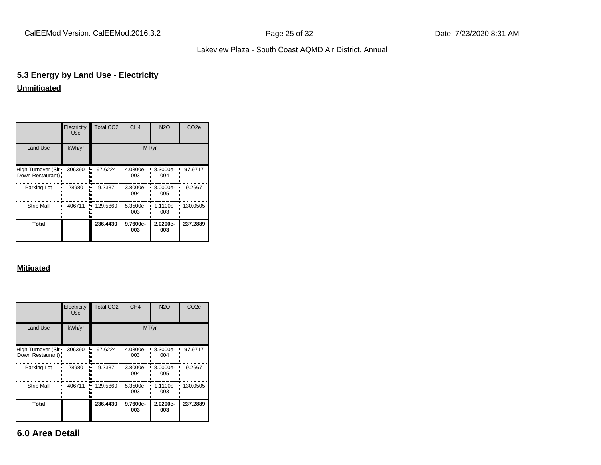# **5.3 Energy by Land Use - Electricity Unmitigated**

|                                          | Electricity<br><b>Use</b> | Total CO <sub>2</sub> | CH <sub>4</sub> | N2O             | CO <sub>2e</sub> |
|------------------------------------------|---------------------------|-----------------------|-----------------|-----------------|------------------|
| Land Use                                 | kWh/yr                    |                       | MT/yr           |                 |                  |
| High Turnover (Sit ·<br>Down Restaurant) | 306390                    | 97.6224               | 4.0300e-<br>003 | 8.3000e-<br>004 | 97.9717          |
| Parking Lot                              | 28980                     | 9.2337                | 3.8000e-<br>004 | 8.0000e-<br>005 | 9.2667           |
| <b>Strip Mall</b>                        | 406711                    | 129.5869              | 5.3500e-<br>003 | 1.1100e-<br>003 | 130.0505         |
| Total                                    |                           | 236.4430              | 9.7600e-<br>003 | 2.0200e-<br>003 | 237.2889         |

# **Mitigated**

|                                        | Electricity<br><b>Use</b> | Total CO <sub>2</sub> | CH <sub>4</sub> | <b>N2O</b>      | CO <sub>2e</sub> |
|----------------------------------------|---------------------------|-----------------------|-----------------|-----------------|------------------|
| <b>Land Use</b>                        | kWh/yr                    |                       |                 | MT/yr           |                  |
| High Turnover (Sit<br>Down Restaurant) | 306390                    | 97.6224               | 4.0300e-<br>003 | 8.3000e-<br>004 | 97.9717          |
| Parking Lot                            | 28980                     | 9.2337                | 3.8000e-<br>004 | 8.0000e-<br>005 | 9.2667           |
| <b>Strip Mall</b>                      | 406711                    | 129.5869              | 5.3500e-<br>003 | 1.1100e-<br>003 | 130.0505         |
| <b>Total</b>                           |                           | 236.4430              | 9.7600e-<br>003 | 2.0200e-<br>003 | 237.2889         |

**6.0 Area Detail**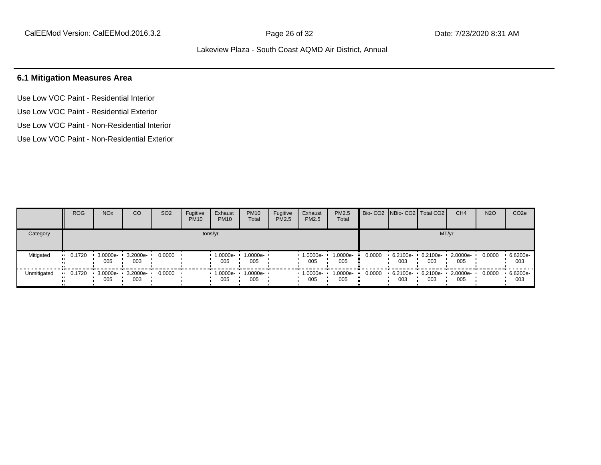# **6.1 Mitigation Measures Area**

Use Low VOC Paint - Residential Interior Use Low VOC Paint - Residential Exterior Use Low VOC Paint - Non-Residential Interior Use Low VOC Paint - Non-Residential Exterior

|             | <b>ROG</b>    | NO <sub>x</sub>          | CO              | SO <sub>2</sub> | Fugitive<br><b>PM10</b> | Exhaust<br><b>PM10</b> | <b>PM10</b><br>Total | Fugitive<br>PM2.5 | Exhaust<br>PM2.5 | <b>PM2.5</b><br>Total |        | Bio- CO2   NBio- CO2   Total CO2 |                 | CH <sub>4</sub> | <b>N2O</b> | CO <sub>2</sub> e |
|-------------|---------------|--------------------------|-----------------|-----------------|-------------------------|------------------------|----------------------|-------------------|------------------|-----------------------|--------|----------------------------------|-----------------|-----------------|------------|-------------------|
| Category    |               |                          |                 |                 | tons/yr                 |                        |                      |                   |                  |                       |        |                                  |                 | MT/yr           |            |                   |
| Mitigated   | 0.1720<br>. . | 3.0000e- 3.2000e-<br>005 | 003             | 0.0000          |                         | 1.0000e-<br>005        | 1.0000e-<br>005      |                   | 1.0000e-<br>005  | 1.0000e-<br>005       | 0.0000 | $6.2100e -$<br>003               | 6.2100e-<br>003 | 2.0000e-<br>005 | 0.0000     | 6.6200e-<br>003   |
| Unmitigated | 0.1720        | $.30000e-.$<br>005       | 3.2000e-<br>003 | 0.0000          |                         | 1.0000e-<br>005        | 1.0000e-<br>005      |                   | 1.0000e-<br>005  | 1.0000e-<br>005       | 0.0000 | 6.2100e-<br>003                  | 6.2100e-<br>003 | 2.0000e-<br>005 | 0.0000     | 6.6200e-<br>003   |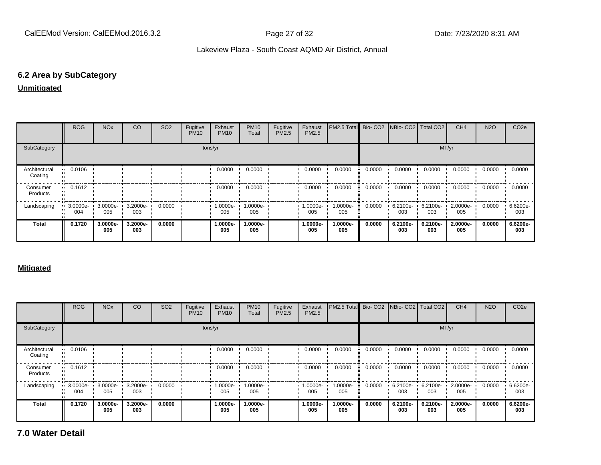# **6.2 Area by SubCategory**

#### **Unmitigated**

|                          | <b>ROG</b>            | <b>NO<sub>x</sub></b> | <sub>CO</sub>   | SO <sub>2</sub> | Fugitive<br><b>PM10</b> | Exhaust<br><b>PM10</b> | <b>PM10</b><br>Total | Fugitive<br>PM2.5 | Exhaust<br><b>PM2.5</b> | <b>PM2.5 Total</b> Bio- CO2 NBio- CO2 Total CO2 |        |                 |                 | CH <sub>4</sub> | <b>N2O</b> | CO <sub>2e</sub> |
|--------------------------|-----------------------|-----------------------|-----------------|-----------------|-------------------------|------------------------|----------------------|-------------------|-------------------------|-------------------------------------------------|--------|-----------------|-----------------|-----------------|------------|------------------|
| SubCategory              |                       |                       |                 |                 | tons/yr                 |                        |                      |                   |                         |                                                 |        |                 | MT/yr           |                 |            |                  |
| Architectural<br>Coating | $\blacksquare$ 0.0106 |                       |                 |                 |                         | 0.0000                 | 0.0000               |                   | 0.0000                  | 0.0000                                          | 0.0000 | 0.0000          | 0.0000          | 0.0000          | 0.0000     | 0.0000           |
| Consumer<br>Products     | $\blacksquare$ 0.1612 |                       |                 |                 |                         | 0.0000                 | 0.0000               |                   | 0.0000                  | 0.0000                                          | 0.0000 | 0.0000          | 0.0000          | 0.0000          | 0.0000     | 0.0000           |
| Landscaping              | 3.0000e-<br>004       | 3.0000e-<br>005       | 3.2000e-<br>003 | 0.0000          |                         | 1.0000e-<br>005        | 1.0000e-<br>005      |                   | 1.0000e-<br>005         | 1.0000e-<br>005                                 | 0.0000 | 6.2100e-<br>003 | 6.2100e-<br>003 | 2.0000e-<br>005 | 0.0000     | 6.6200e-<br>003  |
| <b>Total</b>             | 0.1720                | 3.0000e-<br>005       | 3.2000e-<br>003 | 0.0000          |                         | 1.0000e-<br>005        | 1.0000e-<br>005      |                   | 1.0000e-<br>005         | 1.0000e-<br>005                                 | 0.0000 | 6.2100e-<br>003 | 6.2100e-<br>003 | 2.0000e-<br>005 | 0.0000     | 6.6200e-<br>003  |

#### **Mitigated**

|                          | <b>ROG</b> | <b>NO<sub>x</sub></b>    | CO              | SO <sub>2</sub> | Fugitive<br><b>PM10</b> | Exhaust<br><b>PM10</b> | <b>PM10</b><br>Total | Fugitive<br><b>PM2.5</b> | Exhaust<br>PM2.5 | PM2.5 Total     |        |                    | Bio- CO2 NBio- CO2   Total CO2 | CH <sub>4</sub> | <b>N2O</b> | CO <sub>2e</sub> |
|--------------------------|------------|--------------------------|-----------------|-----------------|-------------------------|------------------------|----------------------|--------------------------|------------------|-----------------|--------|--------------------|--------------------------------|-----------------|------------|------------------|
| SubCategory              |            |                          |                 |                 |                         | tons/yr                |                      |                          |                  |                 |        |                    | MT/yr                          |                 |            |                  |
| Architectural<br>Coating | 0.0106     |                          |                 |                 |                         | 0.0000                 | 0.0000               |                          | 0.0000           | 0.0000          | 0.0000 | 0.0000             | 0.0000                         | 0.0000          | 0.0000     | 0.0000           |
| Consumer<br>Products     | 0.1612     |                          |                 |                 |                         | 0.0000                 | 0.0000               |                          | 0.0000           | 0.0000          | 0.0000 | 0.0000             | 0.0000                         | 0.0000          | 0.0000     | 0.0000           |
| Landscaping              | 004        | 3.0000e- 3.0000e-<br>005 | 3.2000e-<br>003 | 0.0000          |                         | 1.0000e-<br>005        | 1.0000e-<br>005      |                          | 1.0000e-<br>005  | 1.0000e-<br>005 | 0.0000 | $6.2100e -$<br>003 | 6.2100e-<br>003                | 2.0000e-<br>005 | 0.0000     | 6.6200e-<br>003  |
| <b>Total</b>             | 0.1720     | 3.0000e-<br>005          | 3.2000e-<br>003 | 0.0000          |                         | 1.0000e-<br>005        | 1.0000e-<br>005      |                          | 1.0000e-<br>005  | 1.0000e-<br>005 | 0.0000 | 6.2100e-<br>003    | 6.2100e-<br>003                | 2.0000e-<br>005 | 0.0000     | 6.6200e-<br>003  |

**7.0 Water Detail**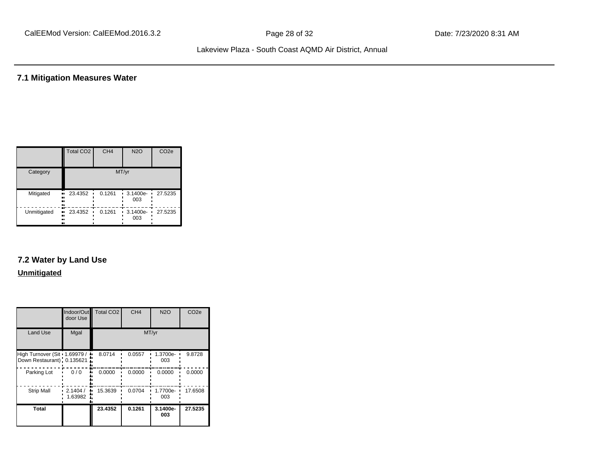# **7.1 Mitigation Measures Water**

|             | Total CO <sub>2</sub>  | CH <sub>4</sub> | <b>N2O</b>        | CO <sub>2e</sub> |
|-------------|------------------------|-----------------|-------------------|------------------|
| Category    |                        |                 | MT/yr             |                  |
| Mitigated   | 23.4352<br><br><br>    | 0.1261          | 3.1400e-<br>003   | 27.5235          |
| Unmitigated | 23.4352<br>ш,<br>ш<br> | 0.1261          | $3.1400e-$<br>003 | 27.5235          |

# **7.2 Water by Land Use**

#### **Unmitigated**

|                                                              | Indoor/Out<br>door Use | Total CO <sub>2</sub> | CH <sub>4</sub> | <b>N2O</b>      | CO <sub>2e</sub> |
|--------------------------------------------------------------|------------------------|-----------------------|-----------------|-----------------|------------------|
| <b>Land Use</b>                                              | Mgal                   |                       |                 | MT/yr           |                  |
| High Turnover (Sit · 1.69979 /<br>Down Restaurant): 0.135621 |                        | 8.0714                | 0.0557          | 1.3700e-<br>003 | 9.8728           |
| Parking Lot                                                  | 0/0                    | 0.0000                | 0.0000          | 0.0000          | 0.0000           |
| <b>Strip Mall</b>                                            | 2.1404/<br>1.63982     | 15.3639               | 0.0704          | 1.7700e-<br>003 | 17.6508          |
| Total                                                        |                        | 23.4352               | 0.1261          | 3.1400e-<br>003 | 27.5235          |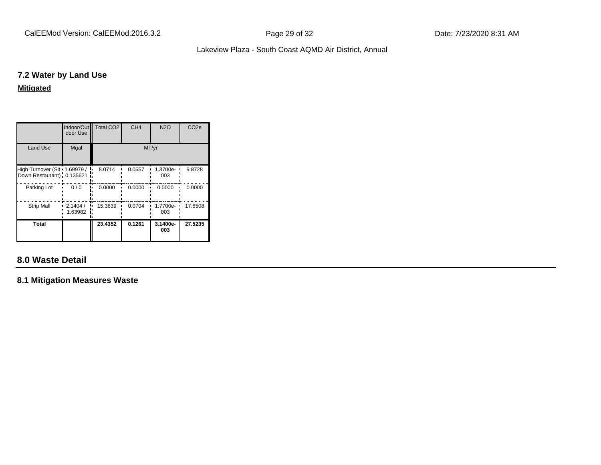CalEEMod Version: CalEEMod.2016.3.2 **Page 29 of 32** Page 29 of 32 Date: 7/23/2020 8:31 AM

# Lakeview Plaza - South Coast AQMD Air District, Annual

# **7.2 Water by Land Use**

#### **Mitigated**

|                                                              | door Use           | Indoor/Out <sup>1</sup> Total CO <sub>2</sub> | CH <sub>4</sub> | <b>N2O</b>      | CO <sub>2e</sub> |
|--------------------------------------------------------------|--------------------|-----------------------------------------------|-----------------|-----------------|------------------|
| <b>Land Use</b>                                              | Mgal               |                                               |                 | MT/yr           |                  |
| High Turnover (Sit · 1.69979 /<br>Down Restaurant): 0.135621 |                    | 8.0714                                        | 0.0557          | 1.3700e-<br>003 | 9.8728           |
| Parking Lot                                                  | 0/0                | 0.0000                                        | 0.0000          | 0.0000          | 0.0000           |
| <b>Strip Mall</b>                                            | 2.1404/<br>1.63982 | 15.3639                                       | 0.0704          | 1.7700e-<br>003 | 17.6508          |
| Total                                                        |                    | 23.4352                                       | 0.1261          | 3.1400e-<br>003 | 27.5235          |

# **8.0 Waste Detail**

**8.1 Mitigation Measures Waste**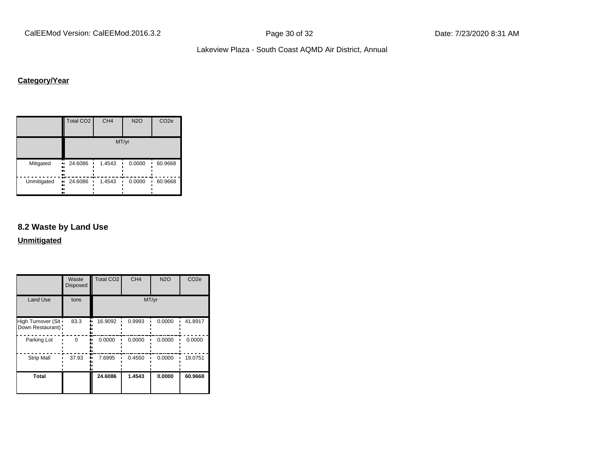CalEEMod Version: CalEEMod.2016.3.2 **Page 30 of 32** Page 30 of 32 Date: 7/23/2020 8:31 AM

Lakeview Plaza - South Coast AQMD Air District, Annual

# **Category/Year**

|                     | <b>Total CO2</b>           | CH <sub>4</sub> | <b>N2O</b> | CO <sub>2e</sub> |
|---------------------|----------------------------|-----------------|------------|------------------|
|                     |                            |                 | MT/yr      |                  |
| Mitigated<br><br>   | 24.6086<br>ш.<br>          | 1.4543          | 0.0000     | 60.9668          |
| Unmitigated<br><br> | 24.6086<br>$\bullet$<br>., | 1.4543          | 0.0000     | 60.9668          |

# **8.2 Waste by Land Use**

**Unmitigated**

|                                           | Waste<br><b>Disposed</b> | <b>Total CO2</b> | CH <sub>4</sub> | <b>N2O</b> | CO <sub>2e</sub> |
|-------------------------------------------|--------------------------|------------------|-----------------|------------|------------------|
| <b>Land Use</b>                           | tons                     |                  |                 | MT/yr      |                  |
| High Turnover (Sit .<br>Down Restaurant): | 83.3                     | 16.9092          | 0.9993          | 0.0000     | 41.8917          |
| Parking Lot                               | 0                        | 0.0000           | 0.0000          | 0.0000     | 0.0000           |
| <b>Strip Mall</b>                         | 37.93                    | 7.6995           | 0.4550          | 0.0000     | 19.0751          |
| <b>Total</b>                              |                          | 24.6086          | 1.4543          | 0.0000     | 60.9668          |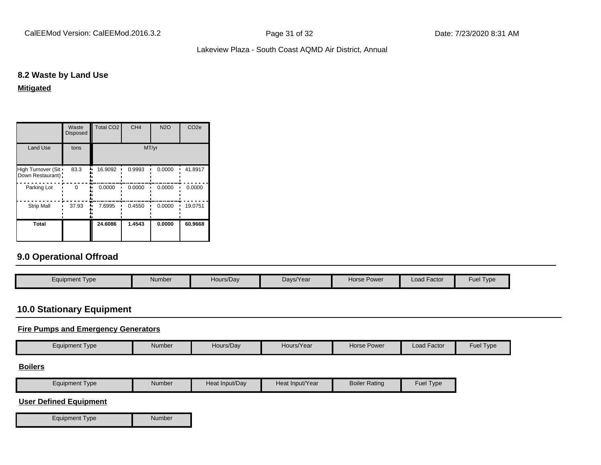CalEEMod Version: CalEEMod.2016.3.2 **Page 31 of 32** Page 31 of 32 Date: 7/23/2020 8:31 AM

#### Lakeview Plaza - South Coast AQMD Air District, Annual

# **8.2 Waste by Land Use**

#### **Mitigated**

|                                           | Waste<br><b>Disposed</b> | Total CO <sub>2</sub> | CH <sub>4</sub> | <b>N2O</b> | CO <sub>2e</sub> |
|-------------------------------------------|--------------------------|-----------------------|-----------------|------------|------------------|
| Land Use                                  | tons                     |                       | MT/yr           |            |                  |
| High Turnover (Sit .<br>Down Restaurant): | 83.3                     | 16.9092               | 0.9993          | 0.0000     | 41.8917          |
| Parking Lot                               | $\Omega$                 | 0.0000                | 0.0000          | 0.0000     | 0.0000           |
| <b>Strip Mall</b>                         | 37.93                    | 7.6995                | 0.4550          | 0.0000     | 19.0751          |
| <b>Total</b>                              |                          | 24.6086               | 1.4543          | 0.0000     | 60.9668          |

# **9.0 Operational Offroad**

| Equipment Type | Number | Hours/Day | Days/Year | Horse Power | <b>Load Factor</b> | Fuel Type |
|----------------|--------|-----------|-----------|-------------|--------------------|-----------|

# **10.0 Stationary Equipment**

#### **Fire Pumps and Emergency Generators**

| Equipment Type | Number | Hours/Day | Hours/Year | Horse Power | $\cdots$<br>Load Factor | $\sim$<br>Fuel Type |
|----------------|--------|-----------|------------|-------------|-------------------------|---------------------|
|----------------|--------|-----------|------------|-------------|-------------------------|---------------------|

#### **Boilers**

| Type<br>Equipment | Number | Heat Input/Dav | Heat Input/Year | <b>Boiler Rating</b> | Fuel $\tau$<br>I ype |
|-------------------|--------|----------------|-----------------|----------------------|----------------------|
|-------------------|--------|----------------|-----------------|----------------------|----------------------|

#### **User Defined Equipment**

Equipment Type Number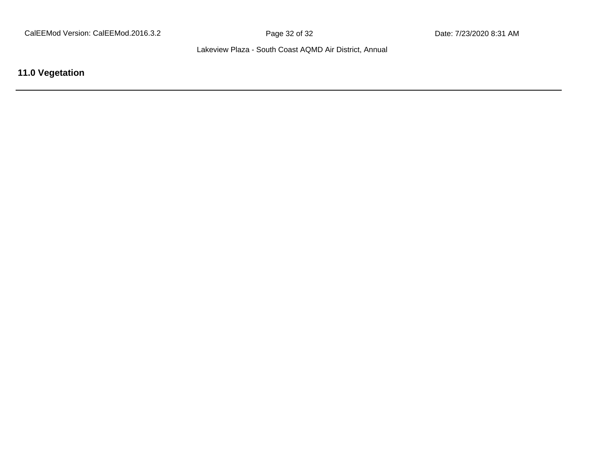**11.0 Vegetation**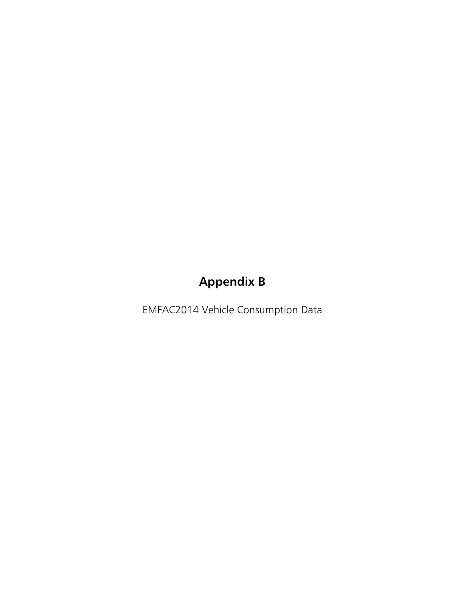# **Appendix B**

EMFAC2014 Vehicle Consumption Data